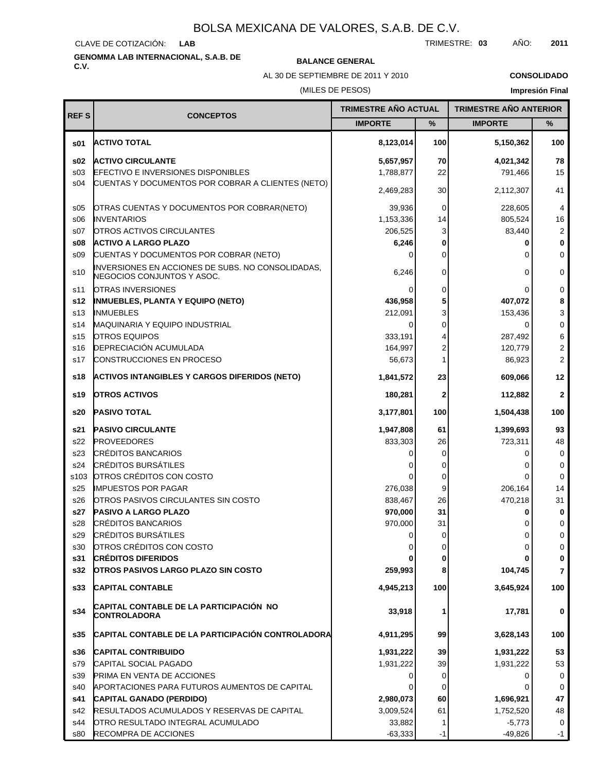CLAVE DE COTIZACIÓN: **LAB**

г

# **GENOMMA LAB INTERNACIONAL, S.A.B. DE C.V. BALANCE GENERAL**

AL 30 DE SEPTIEMBRE DE 2011 Y 2010

**CONSOLIDADO**

### (MILES DE PESOS)

| <b>REFS</b> | <b>CONCEPTOS</b>                                                                |                      | <b>TRIMESTRE AÑO ACTUAL</b> |                      | <b>TRIMESTRE AÑO ANTERIOR</b> |
|-------------|---------------------------------------------------------------------------------|----------------------|-----------------------------|----------------------|-------------------------------|
|             |                                                                                 | <b>IMPORTE</b>       | $\%$                        | <b>IMPORTE</b>       | %                             |
| s01         | <b>ACTIVO TOTAL</b>                                                             | 8,123,014            | 100                         | 5,150,362            | 100                           |
| \$02        | <b>ACTIVO CIRCULANTE</b>                                                        | 5,657,957            | 70                          | 4,021,342            | 78                            |
| \$03        | <b>EFECTIVO E INVERSIONES DISPONIBLES</b>                                       | 1,788,877            | 22                          | 791,466              | 15                            |
| s04         | CUENTAS Y DOCUMENTOS POR COBRAR A CLIENTES (NETO)                               | 2,469,283            | 30                          | 2,112,307            | 41                            |
| \$05        | OTRAS CUENTAS Y DOCUMENTOS POR COBRAR(NETO)                                     | 39,936               | 0                           | 228,605              | 4                             |
| \$06        | <b>INVENTARIOS</b>                                                              | 1,153,336            | 14                          | 805,524              | 16                            |
| s07         | <b>OTROS ACTIVOS CIRCULANTES</b>                                                | 206,525              | 3                           | 83,440               | $\overline{c}$                |
| s08         | <b>ACTIVO A LARGO PLAZO</b>                                                     | 6,246                | 0                           | 0                    | $\bf{0}$                      |
| \$09        | CUENTAS Y DOCUMENTOS POR COBRAR (NETO)                                          |                      | 0                           | O                    | 0                             |
| s10         | INVERSIONES EN ACCIONES DE SUBS. NO CONSOLIDADAS,<br>NEGOCIOS CONJUNTOS Y ASOC. | 6,246                | 0                           | 0                    | 0                             |
| s11         | <b>OTRAS INVERSIONES</b>                                                        |                      | 0                           | 0                    | 0                             |
| s12         | <b>INMUEBLES, PLANTA Y EQUIPO (NETO)</b>                                        | 436,958              | 5                           | 407,072              | 8                             |
| s13         | <b>INMUEBLES</b>                                                                | 212,091              | 3                           | 153,436              | 3                             |
| s14         | <b>MAQUINARIA Y EQUIPO INDUSTRIAL</b>                                           | 0                    | 0                           | 0                    | $\pmb{0}$                     |
| s15         | <b>OTROS EQUIPOS</b>                                                            | 333,191              |                             | 287,492              | 6                             |
| s16         | DEPRECIACIÓN ACUMULADA                                                          | 164,997              | 2                           | 120,779              | $\overline{c}$                |
| s17         | CONSTRUCCIONES EN PROCESO                                                       | 56,673               |                             | 86,923               | $\overline{2}$                |
| s18         | <b>ACTIVOS INTANGIBLES Y CARGOS DIFERIDOS (NETO)</b>                            | 1,841,572            | 23                          | 609,066              | 12                            |
| s19         | <b>OTROS ACTIVOS</b>                                                            | 180,281              | 2                           | 112,882              | $\mathbf{2}$                  |
| s20         | <b>PASIVO TOTAL</b>                                                             | 3,177,801            | 100                         | 1,504,438            | 100                           |
| s21         | <b>PASIVO CIRCULANTE</b>                                                        | 1,947,808            | 61                          | 1,399,693            | 93                            |
| s22         | <b>PROVEEDORES</b>                                                              | 833,303              | 26                          | 723,311              | 48                            |
| s23         | <b>CRÉDITOS BANCARIOS</b>                                                       |                      | 0                           | 0                    | 0                             |
| s24         | <b>CRÉDITOS BURSÁTILES</b>                                                      |                      | 0                           |                      | 0                             |
| s103        | OTROS CRÉDITOS CON COSTO                                                        |                      | 0                           | O                    | $\mathbf 0$                   |
| s25         | <b>IMPUESTOS POR PAGAR</b>                                                      | 276,038              | 9                           | 206,164              | 14                            |
| s26         | OTROS PASIVOS CIRCULANTES SIN COSTO                                             | 838,467              | 26                          | 470,218              | 31                            |
| s27         | <b>PASIVO A LARGO PLAZO</b>                                                     | 970,000              | 31                          | 0                    | 0                             |
| s28         | <b>CRÉDITOS BANCARIOS</b>                                                       | 970,000              | 31                          |                      | 0                             |
| s29         | <b>CRÉDITOS BURSÁTILES</b>                                                      | 0                    | 0                           | 0                    | 0                             |
| s30         | OTROS CRÉDITOS CON COSTO                                                        | 0                    | 0                           | 0                    | 0                             |
| s31         | <b>CRÉDITOS DIFERIDOS</b>                                                       |                      | 0                           | 0                    | 0                             |
| s32<br>s33  | <b>OTROS PASIVOS LARGO PLAZO SIN COSTO</b><br><b>CAPITAL CONTABLE</b>           | 259,993<br>4,945,213 | 8<br>100                    | 104,745<br>3,645,924 | $\overline{7}$<br>100         |
|             |                                                                                 |                      |                             |                      |                               |
| s34         | CAPITAL CONTABLE DE LA PARTICIPACIÓN NO<br><b>CONTROLADORA</b>                  | 33,918               | 1                           | 17,781               | 0                             |
| s35         | CAPITAL CONTABLE DE LA PARTICIPACIÓN CONTROLADORA                               | 4,911,295            | 99                          | 3,628,143            | 100                           |
| s36         | <b>CAPITAL CONTRIBUIDO</b>                                                      | 1,931,222            | 39                          | 1,931,222            | 53                            |
| s79         | <b>CAPITAL SOCIAL PAGADO</b>                                                    | 1,931,222            | 39                          | 1,931,222            | 53                            |
| s39         | <b>PRIMA EN VENTA DE ACCIONES</b>                                               |                      | 0                           | 0                    | 0                             |
| s40         | APORTACIONES PARA FUTUROS AUMENTOS DE CAPITAL                                   |                      | 0                           | 0                    | $\mathbf 0$                   |
| s41         | CAPITAL GANADO (PERDIDO)                                                        | 2,980,073            | 60                          | 1,696,921            | 47                            |
| s42         | RESULTADOS ACUMULADOS Y RESERVAS DE CAPITAL                                     | 3,009,524            | 61                          | 1,752,520            | 48                            |
| s44         | OTRO RESULTADO INTEGRAL ACUMULADO                                               | 33,882               | 1                           | $-5,773$             | 0                             |
| s80         | RECOMPRA DE ACCIONES                                                            | $-63,333$            | -1                          | $-49,826$            | $-1$                          |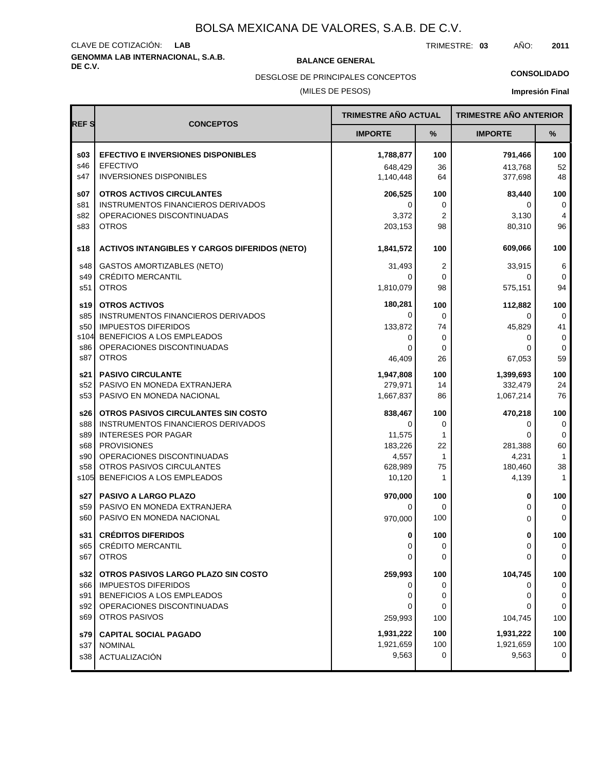## **GENOMMA LAB INTERNACIONAL, S.A.B. DE C.V. BALANCE GENERAL** CLAVE DE COTIZACIÓN: **LAB**

TRIMESTRE: **03** AÑO: **2011**

DESGLOSE DE PRINCIPALES CONCEPTOS

### (MILES DE PESOS)

### **CONSOLIDADO**

|              |                                                                         | <b>TRIMESTRE AÑO ACTUAL</b> |            | <b>TRIMESTRE AÑO ANTERIOR</b> |                   |
|--------------|-------------------------------------------------------------------------|-----------------------------|------------|-------------------------------|-------------------|
| <b>REFS</b>  | <b>CONCEPTOS</b>                                                        | <b>IMPORTE</b>              | %          | <b>IMPORTE</b>                | %                 |
| \$03         | <b>EFECTIVO E INVERSIONES DISPONIBLES</b>                               | 1,788,877                   | 100        | 791,466                       | 100               |
| s46          | <b>EFECTIVO</b>                                                         | 648,429                     | 36         | 413,768                       | 52                |
| s47          | <b>INVERSIONES DISPONIBLES</b>                                          | 1,140,448                   | 64         | 377,698                       | 48                |
| s07          | <b>OTROS ACTIVOS CIRCULANTES</b>                                        | 206,525                     | 100        | 83,440                        | 100               |
| s81<br>s82   | <b>INSTRUMENTOS FINANCIEROS DERIVADOS</b><br>OPERACIONES DISCONTINUADAS | 0                           | 0          | 0                             | 0                 |
| s83          | <b>OTROS</b>                                                            | 3,372<br>203,153            | 2<br>98    | 3,130<br>80,310               | 4<br>96           |
|              |                                                                         |                             |            |                               |                   |
| s18          | <b>ACTIVOS INTANGIBLES Y CARGOS DIFERIDOS (NETO)</b>                    | 1,841,572                   | 100        | 609,066                       | 100               |
| s48          | GASTOS AMORTIZABLES (NETO)                                              | 31,493                      | 2          | 33,915                        | 6                 |
| s49          | <b>CRÉDITO MERCANTIL</b>                                                | 0                           | 0          | 0                             | $\mathbf 0$       |
| s51          | <b>OTROS</b>                                                            | 1,810,079                   | 98         | 575,151                       | 94                |
| s19          | <b>OTROS ACTIVOS</b>                                                    | 180,281                     | 100        | 112,882                       | 100               |
| s85<br>s50   | <b>INSTRUMENTOS FINANCIEROS DERIVADOS</b><br><b>IMPUESTOS DIFERIDOS</b> | 0<br>133,872                | 0<br>74    | $\Omega$<br>45,829            | $\Omega$<br>41    |
| s104         | BENEFICIOS A LOS EMPLEADOS                                              | 0                           | 0          | 0                             | 0                 |
| s86          | OPERACIONES DISCONTINUADAS                                              |                             | 0          | 0                             | 0                 |
| s87          | <b>OTROS</b>                                                            | 46,409                      | 26         | 67,053                        | 59                |
| s21          | <b>PASIVO CIRCULANTE</b>                                                | 1,947,808                   | 100        | 1,399,693                     | 100               |
| s52          | PASIVO EN MONEDA EXTRANJERA                                             | 279,971                     | 14         | 332,479                       | 24                |
| s53          | PASIVO EN MONEDA NACIONAL                                               | 1,667,837                   | 86         | 1,067,214                     | 76                |
| s26          | OTROS PASIVOS CIRCULANTES SIN COSTO                                     | 838,467                     | 100        | 470,218                       | 100               |
| s88          | <b>INSTRUMENTOS FINANCIEROS DERIVADOS</b>                               | 0                           | 0          | 0                             | 0                 |
| s89          | <b>INTERESES POR PAGAR</b>                                              | 11,575                      | 1<br>22    | 0                             | $\mathbf 0$<br>60 |
| s68<br>s90   | <b>PROVISIONES</b><br>OPERACIONES DISCONTINUADAS                        | 183,226<br>4,557            | 1          | 281,388<br>4,231              | $\mathbf{1}$      |
| s58          | OTROS PASIVOS CIRCULANTES                                               | 628,989                     | 75         | 180,460                       | 38                |
| s105         | BENEFICIOS A LOS EMPLEADOS                                              | 10,120                      | 1          | 4,139                         | 1                 |
| s27          | <b>PASIVO A LARGO PLAZO</b>                                             | 970,000                     | 100        | 0                             | 100               |
| s59          | PASIVO EN MONEDA EXTRANJERA                                             | 0                           | 0          | 0                             | 0                 |
| s60          | PASIVO EN MONEDA NACIONAL                                               | 970,000                     | 100        | 0                             | $\Omega$          |
| s31          | <b>CRÉDITOS DIFERIDOS</b>                                               | 0                           | 100        | 0                             | 100               |
| s65          | CRÉDITO MERCANTIL                                                       | 0                           | 0          | 0                             | 0                 |
| s67          | <b>OTROS</b>                                                            | 0                           | 0          | 0                             | 0                 |
| s32          | OTROS PASIVOS LARGO PLAZO SIN COSTO                                     | 259,993                     | 100        | 104,745                       | 100               |
|              | s66   IMPUESTOS DIFERIDOS                                               | 0                           | 0          | 0                             | 0                 |
| s91 I        | BENEFICIOS A LOS EMPLEADOS                                              | 0                           | 0          | 0                             | 0                 |
| s92 l<br>s69 | OPERACIONES DISCONTINUADAS<br><b>OTROS PASIVOS</b>                      | 0<br>259,993                | 0<br>100   | 0<br>104,745                  | 0<br>100          |
|              |                                                                         |                             |            |                               |                   |
| s79          | <b>CAPITAL SOCIAL PAGADO</b>                                            | 1,931,222<br>1,921,659      | 100<br>100 | 1,931,222<br>1,921,659        | 100<br>100        |
| s37<br>s38   | NOMINAL<br>ACTUALIZACIÓN                                                | 9,563                       | 0          | 9,563                         | 0                 |
|              |                                                                         |                             |            |                               |                   |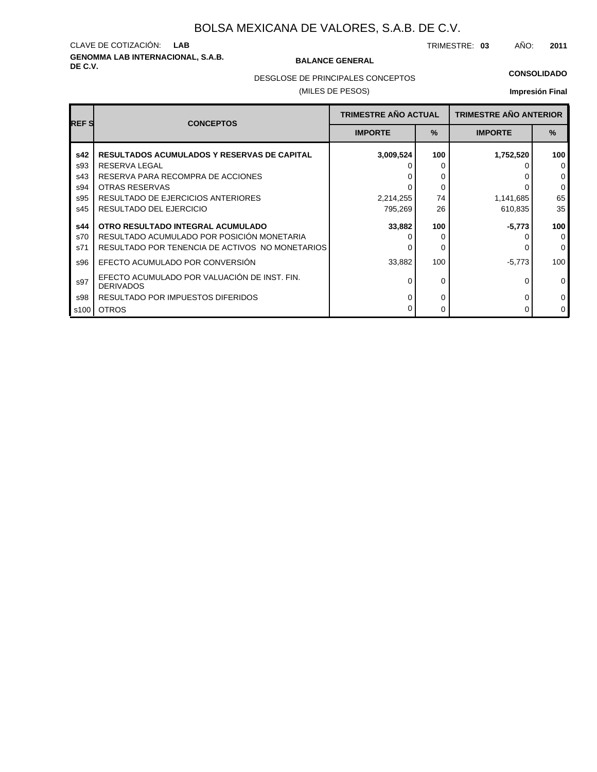## **GENOMMA LAB INTERNACIONAL, S.A.B. DE C.V. BALANCE GENERAL** CLAVE DE COTIZACIÓN: **LAB**

TRIMESTRE: **03** AÑO: **2011**

### **CONSOLIDADO**

DESGLOSE DE PRINCIPALES CONCEPTOS

### (MILES DE PESOS)

| <b>REFS</b> | <b>CONCEPTOS</b>                                                 | <b>TRIMESTRE AÑO ACTUAL</b> |      | <b>TRIMESTRE AÑO ANTERIOR</b> |              |
|-------------|------------------------------------------------------------------|-----------------------------|------|-------------------------------|--------------|
|             |                                                                  | <b>IMPORTE</b>              | $\%$ | <b>IMPORTE</b>                | $\%$         |
| s42         | <b>RESULTADOS ACUMULADOS Y RESERVAS DE CAPITAL</b>               | 3,009,524                   | 100  | 1,752,520                     | 100          |
| s93         | RESERVA LEGAL                                                    |                             | O    |                               | $\Omega$     |
| s43         | RESERVA PARA RECOMPRA DE ACCIONES                                |                             | 0    |                               | $\mathbf 0$  |
| s94         | <b>OTRAS RESERVAS</b>                                            |                             | 0    |                               | 0            |
| s95         | RESULTADO DE EJERCICIOS ANTERIORES                               | 2,214,255                   | 74   | 1,141,685                     | 65           |
| s45         | RESULTADO DEL EJERCICIO                                          | 795,269                     | 26   | 610,835                       | 35           |
| s44         | OTRO RESULTADO INTEGRAL ACUMULADO                                | 33,882                      | 100  | $-5,773$                      | 100          |
| s70         | RESULTADO ACUMULADO POR POSICIÓN MONETARIA                       |                             | 0    |                               | $\mathbf 0$  |
| s71         | RESULTADO POR TENENCIA DE ACTIVOS NO MONETARIOS                  |                             | 0    | O                             | $\mathbf{0}$ |
| s96         | EFECTO ACUMULADO POR CONVERSIÓN                                  | 33,882                      | 100  | $-5,773$                      | 100          |
| s97         | EFECTO ACUMULADO POR VALUACIÓN DE INST. FIN.<br><b>DERIVADOS</b> | O                           | 0    | 0                             | $\mathbf 0$  |
| s98         | RESULTADO POR IMPUESTOS DIFERIDOS                                |                             | 0    |                               | $\Omega$     |
| s100        | <b>OTROS</b>                                                     |                             | 0    |                               | $\mathbf 0$  |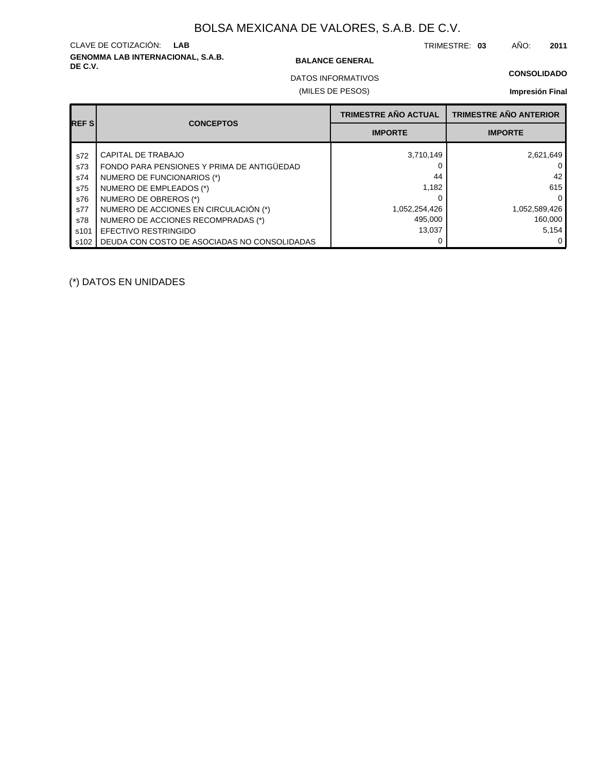## **GENOMMA LAB INTERNACIONAL, S.A.B. DE C.V. BALANCE GENERAL** CLAVE DE COTIZACIÓN: **LAB**

TRIMESTRE: **03** AÑO: **2011**

**CONSOLIDADO**

DATOS INFORMATIVOS

### (MILES DE PESOS)

### **Impresión Final**

| <b>REFS</b> | <b>CONCEPTOS</b>                             | <b>TRIMESTRE AÑO ACTUAL</b> | <b>TRIMESTRE AÑO ANTERIOR</b> |
|-------------|----------------------------------------------|-----------------------------|-------------------------------|
|             |                                              | <b>IMPORTE</b>              | <b>IMPORTE</b>                |
| s72         | CAPITAL DE TRABAJO                           | 3,710,149                   | 2,621,649                     |
| s73         | FONDO PARA PENSIONES Y PRIMA DE ANTIGÜEDAD   |                             | 0                             |
| s74         | NUMERO DE FUNCIONARIOS (*)                   | 44                          | 42                            |
| s75         | NUMERO DE EMPLEADOS (*)                      | 1,182                       | 615                           |
| s76         | NUMERO DE OBREROS (*)                        |                             | $\Omega$                      |
| s77         | NUMERO DE ACCIONES EN CIRCULACIÓN (*)        | 1,052,254,426               | 1,052,589,426                 |
| s78         | NUMERO DE ACCIONES RECOMPRADAS (*)           | 495,000                     | 160,000                       |
| s101        | EFECTIVO RESTRINGIDO                         | 13,037                      | 5,154                         |
| s102        | DEUDA CON COSTO DE ASOCIADAS NO CONSOLIDADAS |                             | $\mathbf{0}$                  |

(\*) DATOS EN UNIDADES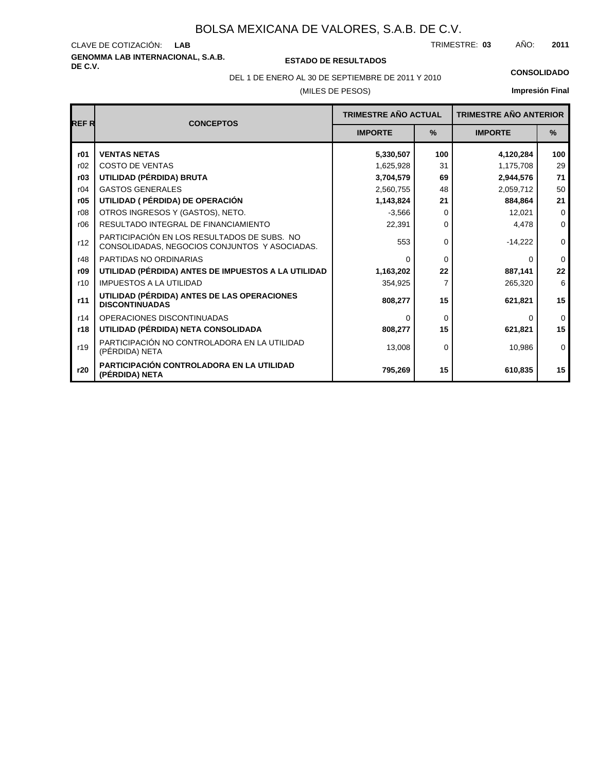## **GENOMMA LAB INTERNACIONAL, S.A.B.** CLAVE DE COTIZACIÓN:

**DE C.V. ESTADO DE RESULTADOS**

TRIMESTRE: AÑO: **LAB 03 2011**

## (MILES DE PESOS) DEL 1 DE ENERO AL 30 DE SEPTIEMBRE DE 2011 Y 2010 **CONSOLIDADO**

| <b>REFR</b> | <b>CONCEPTOS</b>                                                                             | <b>TRIMESTRE AÑO ACTUAL</b> |             | <b>TRIMESTRE AÑO ANTERIOR</b> |               |
|-------------|----------------------------------------------------------------------------------------------|-----------------------------|-------------|-------------------------------|---------------|
|             |                                                                                              | %<br><b>IMPORTE</b>         |             | <b>IMPORTE</b>                | $\frac{9}{6}$ |
| r01         | <b>VENTAS NETAS</b>                                                                          | 5,330,507                   | 100         | 4,120,284                     | 100           |
| r02         | COSTO DE VENTAS                                                                              | 1,625,928                   | 31          | 1,175,708                     | 29            |
| r03         | UTILIDAD (PÉRDIDA) BRUTA                                                                     | 3,704,579                   | 69          | 2,944,576                     | 71            |
| r04         | <b>GASTOS GENERALES</b>                                                                      | 2,560,755                   | 48          | 2,059,712                     | 50            |
| r05         | UTILIDAD ( PÉRDIDA) DE OPERACIÓN                                                             | 1,143,824                   | 21          | 884,864                       | 21            |
| r08         | OTROS INGRESOS Y (GASTOS), NETO.                                                             | $-3,566$                    | $\Omega$    | 12,021                        | $\mathbf 0$   |
| r06         | RESULTADO INTEGRAL DE FINANCIAMIENTO                                                         | 22,391                      | $\Omega$    | 4,478                         | $\mathbf 0$   |
| r12         | PARTICIPACIÓN EN LOS RESULTADOS DE SUBS. NO<br>CONSOLIDADAS, NEGOCIOS CONJUNTOS Y ASOCIADAS. | 553                         | $\mathbf 0$ | $-14,222$                     | $\mathbf 0$   |
| r48         | PARTIDAS NO ORDINARIAS                                                                       | ∩                           | $\Omega$    | $\Omega$                      | $\mathbf{0}$  |
| r09         | UTILIDAD (PÉRDIDA) ANTES DE IMPUESTOS A LA UTILIDAD                                          | 1,163,202                   | 22          | 887,141                       | 22            |
| r10         | <b>IMPUESTOS A LA UTILIDAD</b>                                                               | 354,925                     | 7           | 265,320                       | 6             |
| r11         | UTILIDAD (PÉRDIDA) ANTES DE LAS OPERACIONES<br><b>DISCONTINUADAS</b>                         | 808,277                     | 15          | 621,821                       | 15            |
| r14         | OPERACIONES DISCONTINUADAS                                                                   | 0                           | $\Omega$    | $\Omega$                      | $\mathbf 0$   |
| r18         | UTILIDAD (PÉRDIDA) NETA CONSOLIDADA                                                          | 808,277                     | 15          | 621,821                       | 15            |
| r19         | PARTICIPACIÓN NO CONTROLADORA EN LA UTILIDAD<br>(PÉRDIDA) NETA                               | 13.008                      | $\mathbf 0$ | 10,986                        | $\mathbf 0$   |
| r20         | PARTICIPACIÓN CONTROLADORA EN LA UTILIDAD<br>(PÉRDIDA) NETA                                  | 795,269                     | 15          | 610,835                       | 15            |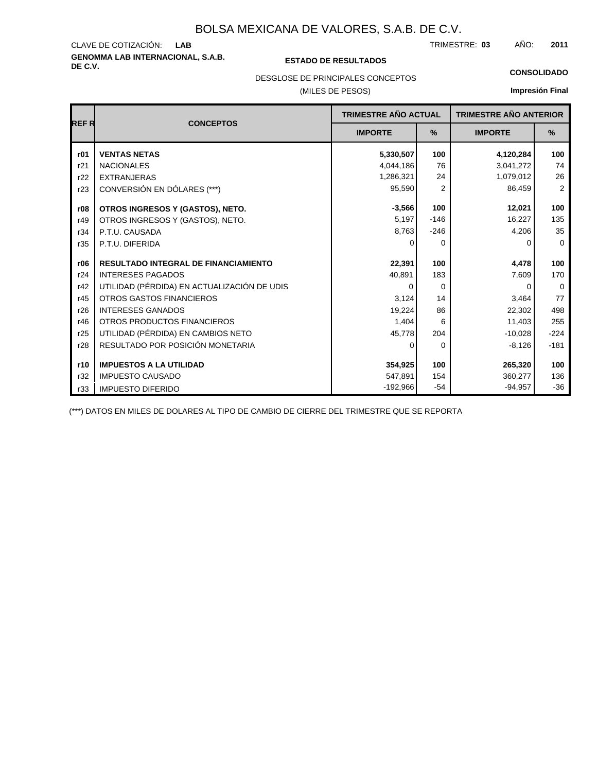### **GENOMMA LAB INTERNACIONAL, S.A.B. DE C.V. ESTADO DE RESULTADOS** CLAVE DE COTIZACIÓN: TRIMESTRE: AÑO: **LAB 03 2011**

### DESGLOSE DE PRINCIPALES CONCEPTOS

### (MILES DE PESOS)

## **CONSOLIDADO**

**Impresión Final**

|             |                                             | TRIMESTRE AÑO ACTUAL |                | <b>TRIMESTRE AÑO ANTERIOR</b> |          |
|-------------|---------------------------------------------|----------------------|----------------|-------------------------------|----------|
| <b>REFR</b> | <b>CONCEPTOS</b>                            | <b>IMPORTE</b>       | $\%$           | <b>IMPORTE</b>                | $\%$     |
| r01         | <b>VENTAS NETAS</b>                         | 5,330,507            | 100            | 4,120,284                     | 100      |
| r21         | <b>NACIONALES</b>                           | 4,044,186            | 76             | 3,041,272                     | 74       |
| r22         | <b>EXTRANJERAS</b>                          | 1,286,321            | 24             | 1,079,012                     | 26       |
| r23         | CONVERSIÓN EN DÓLARES (***)                 | 95,590               | $\overline{2}$ | 86,459                        | 2        |
| r08         | OTROS INGRESOS Y (GASTOS), NETO.            | $-3,566$             | 100            | 12,021                        | 100      |
| r49         | OTROS INGRESOS Y (GASTOS), NETO.            | 5,197                | $-146$         | 16,227                        | 135      |
| r34         | P.T.U. CAUSADA                              | 8,763                | $-246$         | 4,206                         | 35       |
| r35         | P.T.U. DIFERIDA                             | 0                    | 0              | <sup>0</sup>                  | $\Omega$ |
| r06         | <b>RESULTADO INTEGRAL DE FINANCIAMIENTO</b> | 22,391               | 100            | 4,478                         | 100      |
| r24         | <b>INTERESES PAGADOS</b>                    | 40,891               | 183            | 7,609                         | 170      |
| r42         | UTILIDAD (PÉRDIDA) EN ACTUALIZACIÓN DE UDIS | 0                    | 0              | <sup>0</sup>                  | $\Omega$ |
| r45         | OTROS GASTOS FINANCIEROS                    | 3,124                | 14             | 3,464                         | 77       |
| r26         | <b>INTERESES GANADOS</b>                    | 19,224               | 86             | 22,302                        | 498      |
| r46         | OTROS PRODUCTOS FINANCIEROS                 | 1,404                | 6              | 11,403                        | 255      |
| r25         | UTILIDAD (PÉRDIDA) EN CAMBIOS NETO          | 45,778               | 204            | $-10,028$                     | $-224$   |
| r28         | RESULTADO POR POSICIÓN MONETARIA            | 0                    | $\Omega$       | $-8,126$                      | $-181$   |
| r10         | <b>IMPUESTOS A LA UTILIDAD</b>              | 354,925              | 100            | 265,320                       | 100      |
| r32         | <b>IMPUESTO CAUSADO</b>                     | 547,891              | 154            | 360,277                       | 136      |
| r33         | <b>IMPUESTO DIFERIDO</b>                    | $-192,966$           | $-54$          | $-94,957$                     | $-36$    |

(\*\*\*) DATOS EN MILES DE DOLARES AL TIPO DE CAMBIO DE CIERRE DEL TRIMESTRE QUE SE REPORTA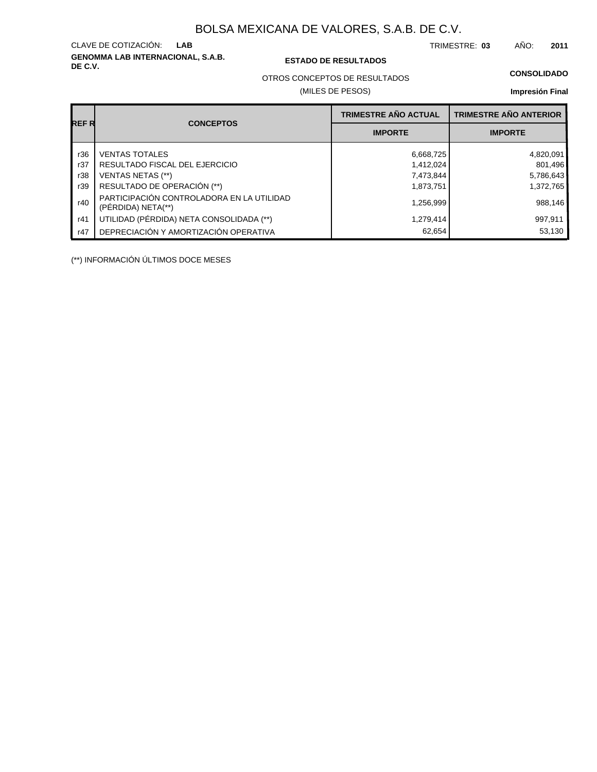**GENOMMA LAB INTERNACIONAL, S.A.B.** CLAVE DE COTIZACIÓN:

### **DE C.V. ESTADO DE RESULTADOS**

TRIMESTRE: AÑO: **LAB 03 2011**

### **CONSOLIDADO**

OTROS CONCEPTOS DE RESULTADOS

### (MILES DE PESOS)

### **Impresión Final**

|       |                                                                 | <b>TRIMESTRE AÑO ACTUAL</b> | <b>TRIMESTRE AÑO ANTERIOR</b> |
|-------|-----------------------------------------------------------------|-----------------------------|-------------------------------|
| REF R | <b>CONCEPTOS</b>                                                | <b>IMPORTE</b>              | <b>IMPORTE</b>                |
| r36   | <b>VENTAS TOTALES</b>                                           | 6,668,725                   | 4,820,091                     |
| r37   | RESULTADO FISCAL DEL EJERCICIO                                  | 1,412,024                   | 801,496                       |
| r38   | <b>VENTAS NETAS (**)</b>                                        | 7,473,844                   | 5,786,643                     |
| r39   | RESULTADO DE OPERACIÓN (**)                                     | 1,873,751                   | 1,372,765                     |
| r40   | PARTICIPACIÓN CONTROLADORA EN LA UTILIDAD<br>(PÉRDIDA) NETA(**) | 1,256,999                   | 988,146                       |
| r41   | UTILIDAD (PÉRDIDA) NETA CONSOLIDADA (**)                        | 1,279,414                   | 997,911                       |
| r47   | DEPRECIACIÓN Y AMORTIZACIÓN OPERATIVA                           | 62,654                      | 53.130                        |

(\*\*) INFORMACIÓN ÚLTIMOS DOCE MESES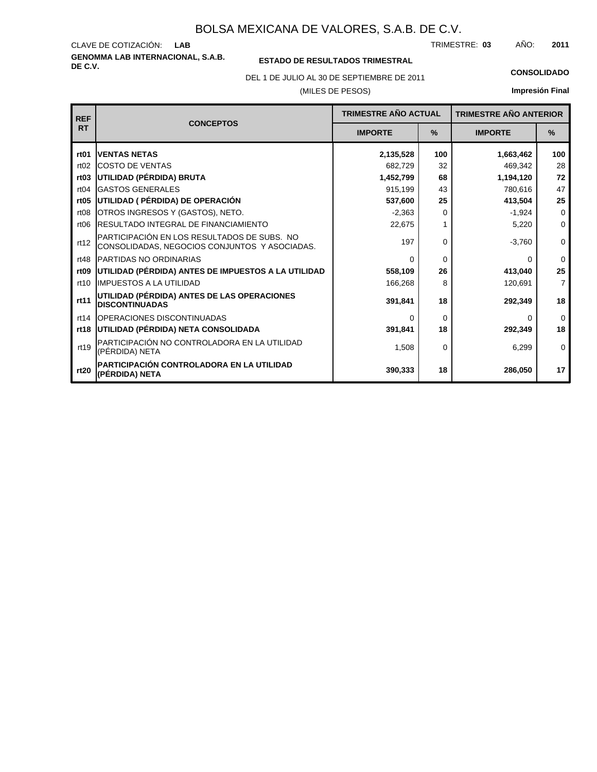**GENOMMA LAB INTERNACIONAL, S.A.B.** CLAVE DE COTIZACIÓN: TRIMESTRE: AÑO: **LAB 03 2011**

### **ESTADO DE RESULTADOS TRIMESTRAL**

DEL 1 DE JULIO AL 30 DE SEPTIEMBRE DE 2011 **CONSOLIDADO**

### (MILES DE PESOS)

| <b>REF</b>       |                                                                                              | <b>TRIMESTRE AÑO ACTUAL</b> |          | <b>TRIMESTRE AÑO ANTERIOR</b> |                |
|------------------|----------------------------------------------------------------------------------------------|-----------------------------|----------|-------------------------------|----------------|
| <b>RT</b>        | <b>CONCEPTOS</b>                                                                             | <b>IMPORTE</b>              | $\%$     | <b>IMPORTE</b>                | $\frac{9}{6}$  |
| rt <sub>01</sub> | <b>IVENTAS NETAS</b>                                                                         | 2,135,528                   | 100      | 1,663,462                     | 100            |
| rt02             | <b>ICOSTO DE VENTAS</b>                                                                      | 682,729                     | 32       | 469,342                       | 28             |
| rt03             | UTILIDAD (PÉRDIDA) BRUTA                                                                     | 1,452,799                   | 68       | 1,194,120                     | 72             |
| rt04             | <b>GASTOS GENERALES</b>                                                                      | 915,199                     | 43       | 780,616                       | 47             |
| rt05             | UTILIDAD ( PÉRDIDA) DE OPERACIÓN                                                             | 537,600                     | 25       | 413,504                       | 25             |
| rt <sub>08</sub> | OTROS INGRESOS Y (GASTOS), NETO.                                                             | $-2,363$                    | 0        | $-1,924$                      | $\mathbf 0$    |
| rt06             | <b>RESULTADO INTEGRAL DE FINANCIAMIENTO</b>                                                  | 22,675                      | 1        | 5,220                         | $\mathbf 0$    |
| rt12             | PARTICIPACIÓN EN LOS RESULTADOS DE SUBS. NO<br>CONSOLIDADAS, NEGOCIOS CONJUNTOS Y ASOCIADAS. | 197                         | 0        | $-3,760$                      | 0              |
| rt48             | <b>PARTIDAS NO ORDINARIAS</b>                                                                | $\Omega$                    | $\Omega$ | 0                             | $\Omega$       |
| rt <sub>09</sub> | UTILIDAD (PÉRDIDA) ANTES DE IMPUESTOS A LA UTILIDAD                                          | 558,109                     | 26       | 413,040                       | 25             |
| rt10             | <b>IIMPUESTOS A LA UTILIDAD</b>                                                              | 166,268                     | 8        | 120,691                       | $\overline{7}$ |
| rt11             | <b>UTILIDAD (PÉRDIDA) ANTES DE LAS OPERACIONES</b><br><b>DISCONTINUADAS</b>                  | 391,841                     | 18       | 292,349                       | 18             |
| rt14             | <b>OPERACIONES DISCONTINUADAS</b>                                                            | 0                           | $\Omega$ | 0                             | $\Omega$       |
| rt18             | UTILIDAD (PÉRDIDA) NETA CONSOLIDADA                                                          | 391,841                     | 18       | 292,349                       | 18             |
| rt19             | PARTICIPACIÓN NO CONTROLADORA EN LA UTILIDAD<br>(PÉRDIDA) NETA                               | 1,508                       | 0        | 6,299                         | $\mathbf 0$    |
| rt20             | IPARTICIPACIÓN CONTROLADORA EN LA UTILIDAD<br>(PÉRDIDA) NETA                                 | 390,333                     | 18       | 286,050                       | 17             |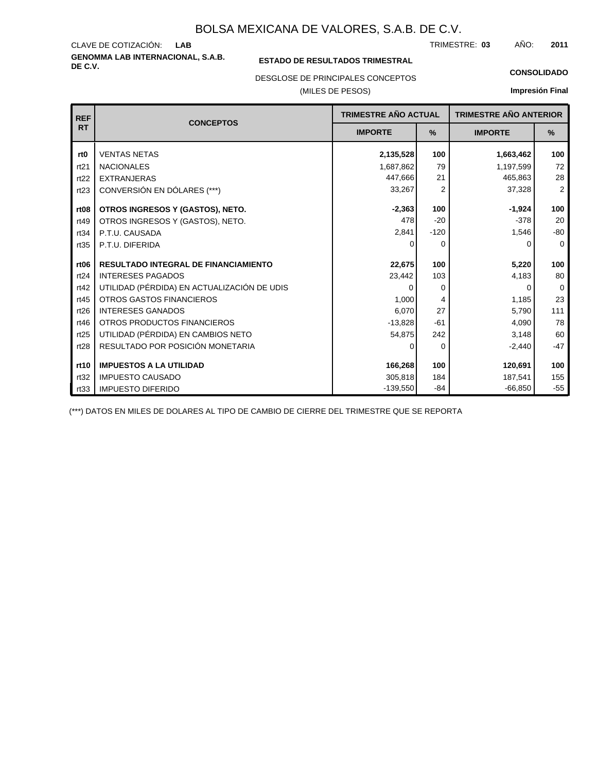**GENOMMA LAB INTERNACIONAL, S.A.B.** CLAVE DE COTIZACIÓN: TRIMESTRE: AÑO: **LAB 03 2011**

### **ESTADO DE RESULTADOS TRIMESTRAL**

DESGLOSE DE PRINCIPALES CONCEPTOS

(MILES DE PESOS)

#### **CONSOLIDADO**

**Impresión Final**

| <b>REF</b>       | <b>CONCEPTOS</b>                            | TRIMESTRE AÑO ACTUAL<br><b>IMPORTE</b><br>$\frac{9}{6}$ |                | <b>TRIMESTRE AÑO ANTERIOR</b> |          |
|------------------|---------------------------------------------|---------------------------------------------------------|----------------|-------------------------------|----------|
| <b>RT</b>        |                                             |                                                         |                | <b>IMPORTE</b>                | $\%$     |
| rt0              | <b>VENTAS NETAS</b>                         | 2,135,528                                               | 100            | 1,663,462                     | 100      |
| rt21             | <b>NACIONALES</b>                           | 1,687,862                                               | 79             | 1,197,599                     | 72       |
| rt22             | <b>EXTRANJERAS</b>                          | 447,666                                                 | 21             | 465,863                       | 28       |
| rt23             | CONVERSIÓN EN DÓLARES (***)                 | 33,267                                                  | $\overline{2}$ | 37,328                        | 2        |
| rt <sub>08</sub> | OTROS INGRESOS Y (GASTOS), NETO.            | $-2,363$                                                | 100            | $-1,924$                      | 100      |
| rt49             | OTROS INGRESOS Y (GASTOS), NETO.            | 478                                                     | $-20$          | $-378$                        | 20       |
| rt34             | P.T.U. CAUSADA                              | 2,841                                                   | $-120$         | 1,546                         | -80      |
| rt35             | P.T.U. DIFERIDA                             | 0                                                       | 0              | O                             | $\Omega$ |
|                  |                                             |                                                         |                |                               |          |
| rt <sub>06</sub> | <b>RESULTADO INTEGRAL DE FINANCIAMIENTO</b> | 22,675                                                  | 100            | 5,220                         | 100      |
| rt24             | <b>INTERESES PAGADOS</b>                    | 23,442                                                  | 103            | 4,183                         | 80       |
| rt42             | UTILIDAD (PÉRDIDA) EN ACTUALIZACIÓN DE UDIS | O                                                       | 0              | O                             | $\Omega$ |
| rt45             | <b>OTROS GASTOS FINANCIEROS</b>             | 1,000                                                   | 4              | 1,185                         | 23       |
| rt26             | <b>INTERESES GANADOS</b>                    | 6,070                                                   | 27             | 5,790                         | 111      |
| rt46             | OTROS PRODUCTOS FINANCIEROS                 | $-13,828$                                               | $-61$          | 4,090                         | 78       |
| rt25             | UTILIDAD (PÉRDIDA) EN CAMBIOS NETO          | 54,875                                                  | 242            | 3,148                         | 60       |
| rt28             | RESULTADO POR POSICIÓN MONETARIA            | 0                                                       | $\Omega$       | $-2,440$                      | $-47$    |
|                  |                                             |                                                         |                |                               |          |
| rt10             | <b>IMPUESTOS A LA UTILIDAD</b>              | 166,268                                                 | 100            | 120,691                       | 100      |
| rt32             | <b>IMPUESTO CAUSADO</b>                     | 305,818                                                 | 184            | 187,541                       | 155      |
| rt33             | <b>IMPUESTO DIFERIDO</b>                    | $-139,550$                                              | $-84$          | $-66,850$                     | $-55$    |

(\*\*\*) DATOS EN MILES DE DOLARES AL TIPO DE CAMBIO DE CIERRE DEL TRIMESTRE QUE SE REPORTA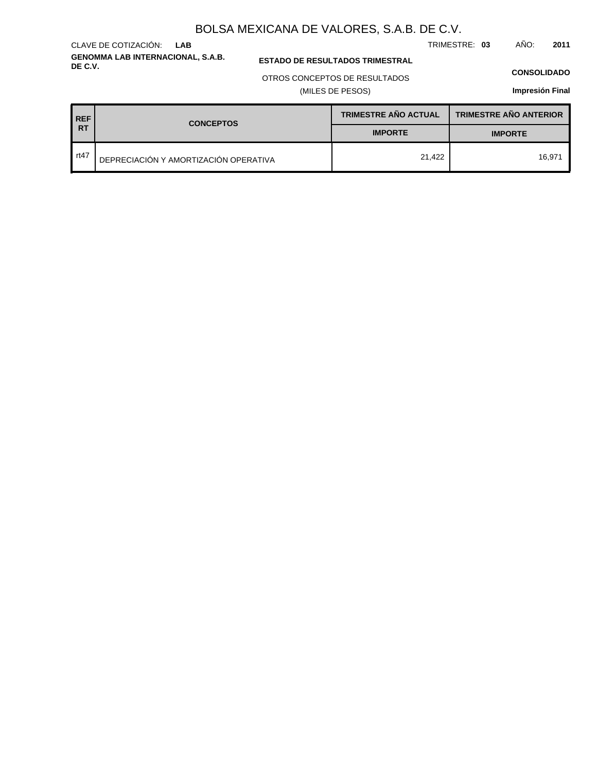**GENOMMA LAB INTERNACIONAL, S.A.B.** CLAVE DE COTIZACIÓN: **LAB**

**ESTADO DE RESULTADOS TRIMESTRAL** 

### OTROS CONCEPTOS DE RESULTADOS

(MILES DE PESOS)

### **CONSOLIDADO**

TRIMESTRE: **03** AÑO: **2011**

| <b>REF</b> | <b>CONCEPTOS</b>                      | <b>TRIMESTRE AÑO ACTUAL</b> | <b>TRIMESTRE AÑO ANTERIOR</b> |
|------------|---------------------------------------|-----------------------------|-------------------------------|
| l RT       |                                       | <b>IMPORTE</b>              | <b>IMPORTE</b>                |
| $l$ rt47   | DEPRECIACIÓN Y AMORTIZACIÓN OPERATIVA | 21.422                      | 16.971                        |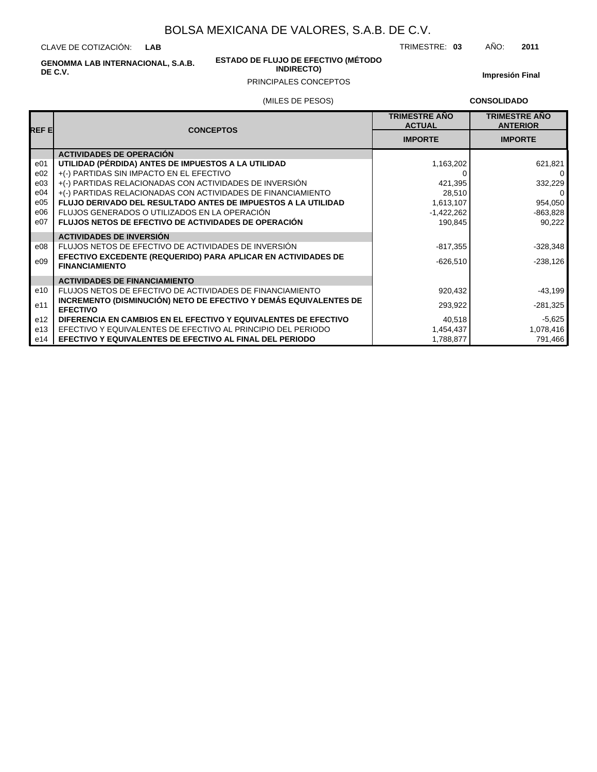CLAVE DE COTIZACIÓN: **LAB**

> **ESTADO DE FLUJO DE EFECTIVO (MÉTODO INDIRECTO)**

TRIMESTRE: **03** AÑO: **2011**

**GENOMMA LAB INTERNACIONAL, S.A.B. DE C.V.**

### PRINCIPALES CONCEPTOS

**Impresión Final**

### (MILES DE PESOS)

**CONSOLIDADO**

| REF EI          | <b>CONCEPTOS</b>                                                                       | <b>TRIMESTRE AÑO</b><br><b>ACTUAL</b> | <b>TRIMESTRE AÑO</b><br><b>ANTERIOR</b> |
|-----------------|----------------------------------------------------------------------------------------|---------------------------------------|-----------------------------------------|
|                 |                                                                                        | <b>IMPORTE</b>                        | <b>IMPORTE</b>                          |
|                 | <b>ACTIVIDADES DE OPERACIÓN</b>                                                        |                                       |                                         |
| e01             | UTILIDAD (PÉRDIDA) ANTES DE IMPUESTOS A LA UTILIDAD                                    | 1,163,202                             | 621,821                                 |
| e02             | +(-) PARTIDAS SIN IMPACTO EN EL EFECTIVO                                               |                                       | 0                                       |
| e03             | +(-) PARTIDAS RELACIONADAS CON ACTIVIDADES DE INVERSIÓN                                | 421,395                               | 332,229                                 |
| e04             | +(-) PARTIDAS RELACIONADAS CON ACTIVIDADES DE FINANCIAMIENTO                           | 28,510                                | 0                                       |
| e05             | <b>FLUJO DERIVADO DEL RESULTADO ANTES DE IMPUESTOS A LA UTILIDAD</b>                   | 1,613,107                             | 954,050                                 |
| e06             | FLUJOS GENERADOS O UTILIZADOS EN LA OPERACIÓN                                          | $-1,422,262$                          | $-863,828$                              |
| e07             | <b>FLUJOS NETOS DE EFECTIVO DE ACTIVIDADES DE OPERACIÓN</b>                            | 190,845                               | 90,222                                  |
|                 | <b>ACTIVIDADES DE INVERSIÓN</b>                                                        |                                       |                                         |
| e08             | FLUJOS NETOS DE EFECTIVO DE ACTIVIDADES DE INVERSIÓN                                   | $-817,355$                            | $-328,348$                              |
| e09             | EFECTIVO EXCEDENTE (REQUERIDO) PARA APLICAR EN ACTIVIDADES DE<br><b>FINANCIAMIENTO</b> | $-626,510$                            | $-238,126$                              |
|                 | <b>ACTIVIDADES DE FINANCIAMIENTO</b>                                                   |                                       |                                         |
| e10             | FLUJOS NETOS DE EFECTIVO DE ACTIVIDADES DE FINANCIAMIENTO                              | 920,432                               | $-43,199$                               |
| e11             | INCREMENTO (DISMINUCIÓN) NETO DE EFECTIVO Y DEMÁS EQUIVALENTES DE<br><b>EFECTIVO</b>   | 293,922                               | $-281,325$                              |
| e <sub>12</sub> | DIFERENCIA EN CAMBIOS EN EL EFECTIVO Y EQUIVALENTES DE EFECTIVO                        | 40,518                                | $-5,625$                                |
| e13             | EFECTIVO Y EQUIVALENTES DE EFECTIVO AL PRINCIPIO DEL PERIODO                           | 1,454,437                             | 1,078,416                               |
| e14             | EFECTIVO Y EQUIVALENTES DE EFECTIVO AL FINAL DEL PERIODO                               | 1,788,877                             | 791,466                                 |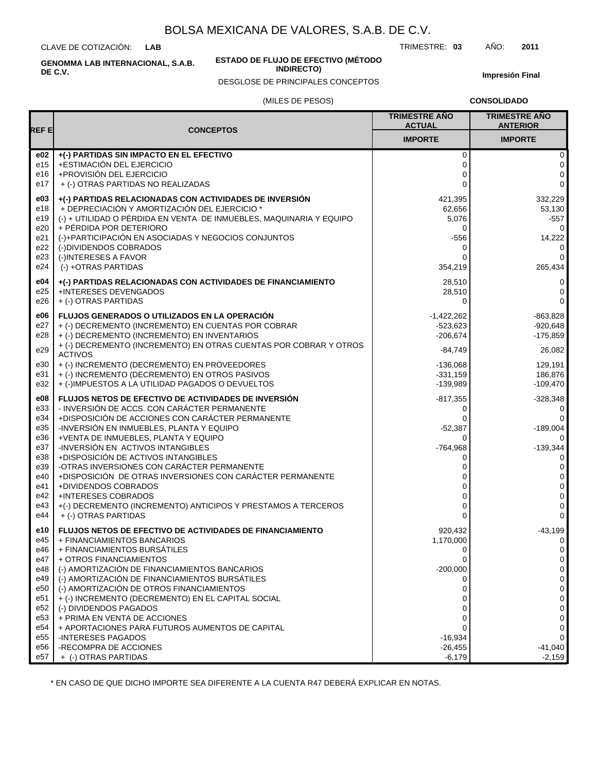CLAVE DE COTIZACIÓN: **LAB**

**ESTADO DE FLUJO DE EFECTIVO (MÉTODO**

**INDIRECTO)**

TRIMESTRE: **03** AÑO: **2011**

**Impresión Final**

## (MILES DE PESOS) DESGLOSE DE PRINCIPALES CONCEPTOS

**CONSOLIDADO**

| REF E      |                                                                                                     | <b>TRIMESTRE AÑO</b><br><b>ACTUAL</b> | <b>TRIMESTRE AÑO</b><br><b>ANTERIOR</b> |
|------------|-----------------------------------------------------------------------------------------------------|---------------------------------------|-----------------------------------------|
|            | <b>CONCEPTOS</b>                                                                                    | <b>IMPORTE</b>                        | <b>IMPORTE</b>                          |
| e02<br>e15 | +(-) PARTIDAS SIN IMPACTO EN EL EFECTIVO<br>+ESTIMACIÓN DEL EJERCICIO                               | 0                                     | 0<br>0                                  |
| e16        | +PROVISIÓN DEL EJERCICIO                                                                            | 0<br>0                                | 0                                       |
| e17        | + (-) OTRAS PARTIDAS NO REALIZADAS                                                                  | $\Omega$                              | 0                                       |
| e03        | +(-) PARTIDAS RELACIONADAS CON ACTIVIDADES DE INVERSIÓN                                             | 421,395                               | 332,229                                 |
| e18        | + DEPRECIACIÓN Y AMORTIZACIÓN DEL EJERCICIO *                                                       | 62.656                                | 53,130                                  |
| e19<br>e20 | (-) + UTILIDAD O PÉRDIDA EN VENTA DE INMUEBLES, MAQUINARIA Y EQUIPO<br>+ PÉRDIDA POR DETERIORO      | 5,076<br>0                            | -557<br>0                               |
| e21        | (-)+PARTICIPACIÓN EN ASOCIADAS Y NEGOCIOS CONJUNTOS                                                 | -556                                  | 14,222                                  |
| e22        | (-)DIVIDENDOS COBRADOS                                                                              | 0                                     | $\Omega$                                |
| e23<br>e24 | (-)INTERESES A FAVOR<br>(-) +OTRAS PARTIDAS                                                         | $\Omega$<br>354,219                   | 0<br>265,434                            |
| e04        | +(-) PARTIDAS RELACIONADAS CON ACTIVIDADES DE FINANCIAMIENTO                                        | 28,510                                | 0                                       |
| e25        | +INTERESES DEVENGADOS                                                                               | 28,510                                | 0                                       |
| e26        | + (-) OTRAS PARTIDAS                                                                                | $\Omega$                              | 0                                       |
| e06        | FLUJOS GENERADOS O UTILIZADOS EN LA OPERACIÓN                                                       | $-1,422,262$                          | $-863,828$                              |
| e27<br>e28 | + (-) DECREMENTO (INCREMENTO) EN CUENTAS POR COBRAR<br>+ (-) DECREMENTO (INCREMENTO) EN INVENTARIOS | $-523,623$<br>$-206,674$              | $-920,648$<br>$-175,859$                |
| e29        | + (-) DECREMENTO (INCREMENTO) EN OTRAS CUENTAS POR COBRAR Y OTROS                                   | $-84,749$                             | 26,082                                  |
| e30        | <b>ACTIVOS</b><br>+ (-) INCREMENTO (DECREMENTO) EN PROVEEDORES                                      | $-136,068$                            | 129,191                                 |
| e31        | + (-) INCREMENTO (DECREMENTO) EN OTROS PASIVOS                                                      | $-331,159$                            | 186,876                                 |
| e32        | + (-)IMPUESTOS A LA UTILIDAD PAGADOS O DEVUELTOS                                                    | $-139,989$                            | $-109,470$                              |
| e08        | FLUJOS NETOS DE EFECTIVO DE ACTIVIDADES DE INVERSIÓN                                                | $-817,355$                            | $-328,348$                              |
| e33<br>e34 | - INVERSIÓN DE ACCS. CON CARÁCTER PERMANENTE<br>+DISPOSICIÓN DE ACCIONES CON CARÁCTER PERMANENTE    | 0                                     | 0<br>0                                  |
| e35        | -INVERSIÓN EN INMUEBLES, PLANTA Y EQUIPO                                                            | $-52,387$                             | $-189,004$                              |
| e36        | +VENTA DE INMUEBLES, PLANTA Y EQUIPO                                                                | 0                                     | 0                                       |
| e37<br>e38 | -INVERSIÓN EN ACTIVOS INTANGIBLES<br>+DISPOSICIÓN DE ACTIVOS INTANGIBLES                            | $-764,968$<br>0                       | $-139,344$<br>0                         |
| e39        | -OTRAS INVERSIONES CON CARÁCTER PERMANENTE                                                          | 0                                     | 0                                       |
| e40        | +DISPOSICIÓN DE OTRAS INVERSIONES CON CARÁCTER PERMANENTE                                           | 0                                     | 0                                       |
| e41<br>e42 | +DIVIDENDOS COBRADOS<br>+INTERESES COBRADOS                                                         | 0<br>$\Omega$                         | 0<br>0                                  |
| e43        | +(-) DECREMENTO (INCREMENTO) ANTICIPOS Y PRESTAMOS A TERCEROS                                       | $\Omega$                              | 0                                       |
| e44        | + (-) OTRAS PARTIDAS                                                                                | 0                                     | 0                                       |
| e10        | <b>FLUJOS NETOS DE EFECTIVO DE ACTIVIDADES DE FINANCIAMIENTO</b>                                    | 920,432                               | $-43,199$                               |
| e45<br>e46 | + FINANCIAMIENTOS BANCARIOS<br>+ FINANCIAMIENTOS BURSÁTILES                                         | 1,170,000<br>$\Omega$                 | 0<br>$\Omega$                           |
| e47        | + OTROS FINANCIAMIENTOS                                                                             | 0                                     | 0                                       |
| e48        | (-) AMORTIZACIÓN DE FINANCIAMIENTOS BANCARIOS                                                       | $-200,000$                            | 0                                       |
| e49        | (-) AMORTIZACIÓN DE FINANCIAMIENTOS BURSÁTILES                                                      |                                       | 0                                       |
| e50<br>e51 | (-) AMORTIZACIÓN DE OTROS FINANCIAMIENTOS<br>+ (-) INCREMENTO (DECREMENTO) EN EL CAPITAL SOCIAL     | 0<br>0                                | 0<br>0                                  |
| e52        | (-) DIVIDENDOS PAGADOS                                                                              | ი                                     | 0                                       |
| e53        | + PRIMA EN VENTA DE ACCIONES                                                                        | 0                                     | 0                                       |
| e54<br>e55 | + APORTACIONES PARA FUTUROS AUMENTOS DE CAPITAL<br>-INTERESES PAGADOS                               | 0<br>$-16,934$                        | 0<br>0                                  |
| e56        | -RECOMPRA DE ACCIONES                                                                               | $-26,455$                             | $-41.040$                               |
| e57        | + (-) OTRAS PARTIDAS                                                                                | $-6,179$                              | $-2,159$                                |

\* EN CASO DE QUE DICHO IMPORTE SEA DIFERENTE A LA CUENTA R47 DEBERÁ EXPLICAR EN NOTAS.

**GENOMMA LAB INTERNACIONAL, S.A.B. DE C.V.**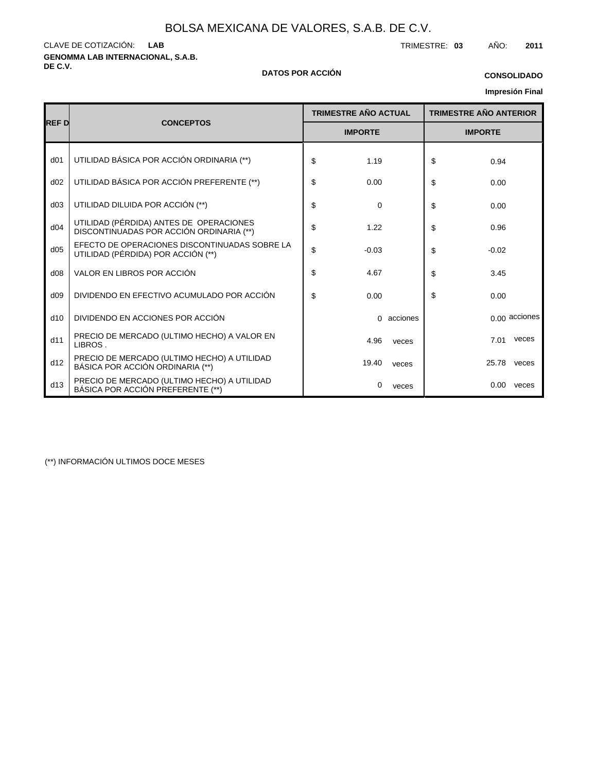**GENOMMA LAB INTERNACIONAL, S.A.B.** CLAVE DE COTIZACIÓN: TRIMESTRE: **03** AÑO: **2011 LAB**

### **DE C.V. DATOS POR ACCIÓN**

### **CONSOLIDADO**

## **Impresión Final**

|                 |                                                                                     |    | <b>TRIMESTRE AÑO ACTUAL</b> |    | <b>TRIMESTRE AÑO ANTERIOR</b> |  |  |
|-----------------|-------------------------------------------------------------------------------------|----|-----------------------------|----|-------------------------------|--|--|
| <b>REFD</b>     | <b>CONCEPTOS</b>                                                                    |    | <b>IMPORTE</b>              |    | <b>IMPORTE</b>                |  |  |
| d <sub>01</sub> | UTILIDAD BÁSICA POR ACCIÓN ORDINARIA (**)                                           | \$ | 1.19                        | \$ | 0.94                          |  |  |
| d02             | UTILIDAD BÁSICA POR ACCIÓN PREFERENTE (**)                                          | \$ | 0.00                        | \$ | 0.00                          |  |  |
| d03             | UTILIDAD DILUIDA POR ACCIÓN (**)                                                    | \$ | $\mathbf 0$                 | \$ | 0.00                          |  |  |
| d04             | UTILIDAD (PÉRDIDA) ANTES DE OPERACIONES<br>DISCONTINUADAS POR ACCIÓN ORDINARIA (**) | \$ | 1.22                        | \$ | 0.96                          |  |  |
| d05             | EFECTO DE OPERACIONES DISCONTINUADAS SOBRE LA<br>UTILIDAD (PÉRDIDA) POR ACCIÓN (**) | \$ | $-0.03$                     | \$ | $-0.02$                       |  |  |
| d08             | VALOR EN LIBROS POR ACCIÓN                                                          | \$ | 4.67                        | \$ | 3.45                          |  |  |
| d09             | DIVIDENDO EN EFECTIVO ACUMULADO POR ACCIÓN                                          | \$ | 0.00                        | \$ | 0.00                          |  |  |
| d10             | DIVIDENDO EN ACCIONES POR ACCIÓN                                                    |    | 0 acciones                  |    | $0.00$ acciones               |  |  |
| d11             | PRECIO DE MERCADO (ULTIMO HECHO) A VALOR EN<br>LIBROS.                              |    | 4.96<br>veces               |    | veces<br>7.01                 |  |  |
| d12             | PRECIO DE MERCADO (ULTIMO HECHO) A UTILIDAD<br>BÁSICA POR ACCIÓN ORDINARIA (**)     |    | 19.40<br>veces              |    | 25.78<br>veces                |  |  |
| d13             | PRECIO DE MERCADO (ULTIMO HECHO) A UTILIDAD<br>BÁSICA POR ACCIÓN PREFERENTE (**)    |    | 0<br>veces                  |    | 0.00<br>veces                 |  |  |

(\*\*) INFORMACIÓN ULTIMOS DOCE MESES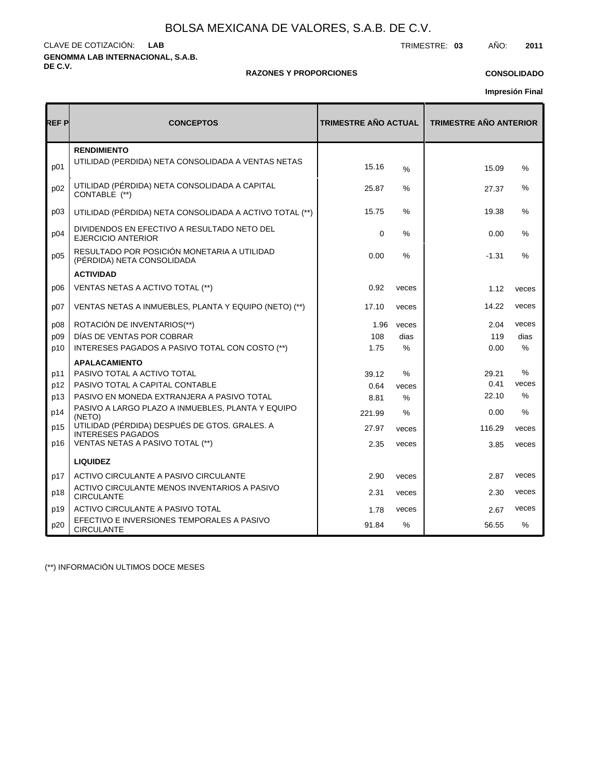**GENOMMA LAB INTERNACIONAL, S.A.B. DE C.V.** CLAVE DE COTIZACIÓN: TRIMESTRE: **03** AÑO: **2011 LAB**

### **RAZONES Y PROPORCIONES**

### **CONSOLIDADO**

**Impresión Final**

| REF P | <b>CONCEPTOS</b>                                                          | <b>TRIMESTRE AÑO ACTUAL</b> |       | <b>TRIMESTRE AÑO ANTERIOR</b> |       |
|-------|---------------------------------------------------------------------------|-----------------------------|-------|-------------------------------|-------|
| p01   | <b>RENDIMIENTO</b><br>UTILIDAD (PÉRDIDA) NETA CONSOLIDADA A VENTAS NETAS  | 15.16                       | $\%$  | 15.09                         | $\%$  |
| p02   | UTILIDAD (PÉRDIDA) NETA CONSOLIDADA A CAPITAL<br>CONTABLE (**)            | 25.87                       | %     | 27.37                         | %     |
| p03   | UTILIDAD (PÉRDIDA) NETA CONSOLIDADA A ACTIVO TOTAL (**)                   | 15.75                       | %     | 19.38                         | %     |
| p04   | DIVIDENDOS EN EFECTIVO A RESULTADO NETO DEL<br><b>EJERCICIO ANTERIOR</b>  | $\mathbf 0$                 | $\%$  | 0.00                          | %     |
| p05   | RESULTADO POR POSICIÓN MONETARIA A UTILIDAD<br>(PÉRDIDA) NETA CONSOLIDADA | 0.00                        | %     | $-1.31$                       | %     |
|       | <b>ACTIVIDAD</b>                                                          |                             |       |                               |       |
| p06   | VENTAS NETAS A ACTIVO TOTAL (**)                                          | 0.92                        | veces | 1.12                          | veces |
| p07   | VENTAS NETAS A INMUEBLES, PLANTA Y EQUIPO (NETO) (**)                     | 17.10                       | veces | 14.22                         | veces |
| p08   | ROTACIÓN DE INVENTARIOS(**)                                               | 1.96                        | veces | 2.04                          | veces |
| p09   | DÍAS DE VENTAS POR COBRAR                                                 | 108                         | dias  | 119                           | dias  |
| p10   | INTERESES PAGADOS A PASIVO TOTAL CON COSTO (**)                           | 1.75                        | $\%$  | 0.00                          | $\%$  |
|       | <b>APALACAMIENTO</b>                                                      |                             |       |                               |       |
| p11   | PASIVO TOTAL A ACTIVO TOTAL                                               | 39.12                       | $\%$  | 29.21                         | $\%$  |
| p12   | PASIVO TOTAL A CAPITAL CONTABLE                                           | 0.64                        | veces | 0.41                          | veces |
| p13   | PASIVO EN MONEDA EXTRANJERA A PASIVO TOTAL                                | 8.81                        | $\%$  | 22.10                         | %     |
| p14   | PASIVO A LARGO PLAZO A INMUEBLES, PLANTA Y EQUIPO<br>(NETO)               | 221.99                      | $\%$  | 0.00                          | %     |
| p15   | UTILIDAD (PÉRDIDA) DESPUÉS DE GTOS. GRALES. A<br><b>INTERESES PAGADOS</b> | 27.97                       | veces | 116.29                        | veces |
| p16   | VENTAS NETAS A PASIVO TOTAL (**)                                          | 2.35                        | veces | 3.85                          | veces |
|       | <b>LIQUIDEZ</b>                                                           |                             |       |                               |       |
| p17   | ACTIVO CIRCULANTE A PASIVO CIRCULANTE                                     | 2.90                        | veces | 2.87                          | veces |
| p18   | ACTIVO CIRCULANTE MENOS INVENTARIOS A PASIVO<br><b>CIRCULANTE</b>         | 2.31                        | veces | 2.30                          | veces |
| p19   | ACTIVO CIRCULANTE A PASIVO TOTAL                                          | 1.78                        | veces | 2.67                          | veces |
| p20   | EFECTIVO E INVERSIONES TEMPORALES A PASIVO<br><b>CIRCULANTE</b>           | 91.84                       | $\%$  | 56.55                         | $\%$  |

(\*\*) INFORMACIÓN ULTIMOS DOCE MESES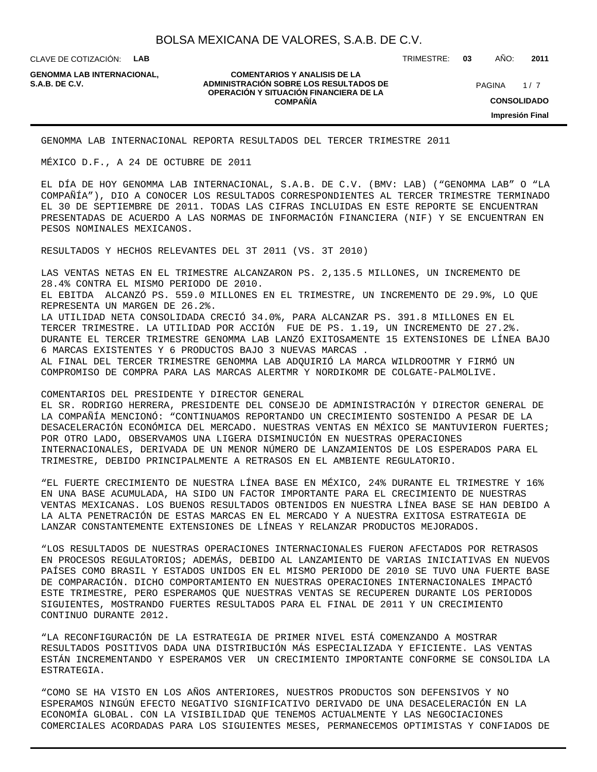CLAVE DE COTIZACIÓN: **LAB**

**GENOMMA LAB INTERNACIONAL,**

#### **COMENTARIOS Y ANALISIS DE LA ADMINISTRACIÓN SOBRE LOS RESULTADOS DE PAGINA 1/7 OPERACIÓN Y SITUACIÓN FINANCIERA DE LA COMPAÑÍA**

 $1/7$ 

TRIMESTRE: **03** AÑO: **2011**

**CONSOLIDADO Impresión Final**

GENOMMA LAB INTERNACIONAL REPORTA RESULTADOS DEL TERCER TRIMESTRE 2011

MÉXICO D.F., A 24 DE OCTUBRE DE 2011

EL DÍA DE HOY GENOMMA LAB INTERNACIONAL, S.A.B. DE C.V. (BMV: LAB) ("GENOMMA LAB" O "LA COMPAÑÍA"), DIO A CONOCER LOS RESULTADOS CORRESPONDIENTES AL TERCER TRIMESTRE TERMINADO EL 30 DE SEPTIEMBRE DE 2011. TODAS LAS CIFRAS INCLUIDAS EN ESTE REPORTE SE ENCUENTRAN PRESENTADAS DE ACUERDO A LAS NORMAS DE INFORMACIÓN FINANCIERA (NIF) Y SE ENCUENTRAN EN PESOS NOMINALES MEXICANOS.

RESULTADOS Y HECHOS RELEVANTES DEL 3T 2011 (VS. 3T 2010)

 LAS VENTAS NETAS EN EL TRIMESTRE ALCANZARON PS. 2,135.5 MILLONES, UN INCREMENTO DE 28.4% CONTRA EL MISMO PERIODO DE 2010.

 EL EBITDA ALCANZÓ PS. 559.0 MILLONES EN EL TRIMESTRE, UN INCREMENTO DE 29.9%, LO QUE REPRESENTA UN MARGEN DE 26.2%.

 LA UTILIDAD NETA CONSOLIDADA CRECIÓ 34.0%, PARA ALCANZAR PS. 391.8 MILLONES EN EL TERCER TRIMESTRE. LA UTILIDAD POR ACCIÓN FUE DE PS. 1.19, UN INCREMENTO DE 27.2%. DURANTE EL TERCER TRIMESTRE GENOMMA LAB LANZÓ EXITOSAMENTE 15 EXTENSIONES DE LÍNEA BAJO 6 MARCAS EXISTENTES Y 6 PRODUCTOS BAJO 3 NUEVAS MARCAS .

 AL FINAL DEL TERCER TRIMESTRE GENOMMA LAB ADQUIRIÓ LA MARCA WILDROOTMR Y FIRMÓ UN COMPROMISO DE COMPRA PARA LAS MARCAS ALERTMR Y NORDIKOMR DE COLGATE-PALMOLIVE.

COMENTARIOS DEL PRESIDENTE Y DIRECTOR GENERAL

EL SR. RODRIGO HERRERA, PRESIDENTE DEL CONSEJO DE ADMINISTRACIÓN Y DIRECTOR GENERAL DE LA COMPAÑÍA MENCIONÓ: "CONTINUAMOS REPORTANDO UN CRECIMIENTO SOSTENIDO A PESAR DE LA DESACELERACIÓN ECONÓMICA DEL MERCADO. NUESTRAS VENTAS EN MÉXICO SE MANTUVIERON FUERTES; POR OTRO LADO, OBSERVAMOS UNA LIGERA DISMINUCIÓN EN NUESTRAS OPERACIONES INTERNACIONALES, DERIVADA DE UN MENOR NÚMERO DE LANZAMIENTOS DE LOS ESPERADOS PARA EL TRIMESTRE, DEBIDO PRINCIPALMENTE A RETRASOS EN EL AMBIENTE REGULATORIO.

"EL FUERTE CRECIMIENTO DE NUESTRA LÍNEA BASE EN MÉXICO, 24% DURANTE EL TRIMESTRE Y 16% EN UNA BASE ACUMULADA, HA SIDO UN FACTOR IMPORTANTE PARA EL CRECIMIENTO DE NUESTRAS VENTAS MEXICANAS. LOS BUENOS RESULTADOS OBTENIDOS EN NUESTRA LÍNEA BASE SE HAN DEBIDO A LA ALTA PENETRACIÓN DE ESTAS MARCAS EN EL MERCADO Y A NUESTRA EXITOSA ESTRATEGIA DE LANZAR CONSTANTEMENTE EXTENSIONES DE LÍNEAS Y RELANZAR PRODUCTOS MEJORADOS.

"LOS RESULTADOS DE NUESTRAS OPERACIONES INTERNACIONALES FUERON AFECTADOS POR RETRASOS EN PROCESOS REGULATORIOS; ADEMÁS, DEBIDO AL LANZAMIENTO DE VARIAS INICIATIVAS EN NUEVOS PAÍSES COMO BRASIL Y ESTADOS UNIDOS EN EL MISMO PERIODO DE 2010 SE TUVO UNA FUERTE BASE DE COMPARACIÓN. DICHO COMPORTAMIENTO EN NUESTRAS OPERACIONES INTERNACIONALES IMPACTÓ ESTE TRIMESTRE, PERO ESPERAMOS QUE NUESTRAS VENTAS SE RECUPEREN DURANTE LOS PERIODOS SIGUIENTES, MOSTRANDO FUERTES RESULTADOS PARA EL FINAL DE 2011 Y UN CRECIMIENTO CONTINUO DURANTE 2012.

"LA RECONFIGURACIÓN DE LA ESTRATEGIA DE PRIMER NIVEL ESTÁ COMENZANDO A MOSTRAR RESULTADOS POSITIVOS DADA UNA DISTRIBUCIÓN MÁS ESPECIALIZADA Y EFICIENTE. LAS VENTAS ESTÁN INCREMENTANDO Y ESPERAMOS VER UN CRECIMIENTO IMPORTANTE CONFORME SE CONSOLIDA LA ESTRATEGIA.

"COMO SE HA VISTO EN LOS AÑOS ANTERIORES, NUESTROS PRODUCTOS SON DEFENSIVOS Y NO ESPERAMOS NINGÚN EFECTO NEGATIVO SIGNIFICATIVO DERIVADO DE UNA DESACELERACIÓN EN LA ECONOMÍA GLOBAL. CON LA VISIBILIDAD QUE TENEMOS ACTUALMENTE Y LAS NEGOCIACIONES COMERCIALES ACORDADAS PARA LOS SIGUIENTES MESES, PERMANECEMOS OPTIMISTAS Y CONFIADOS DE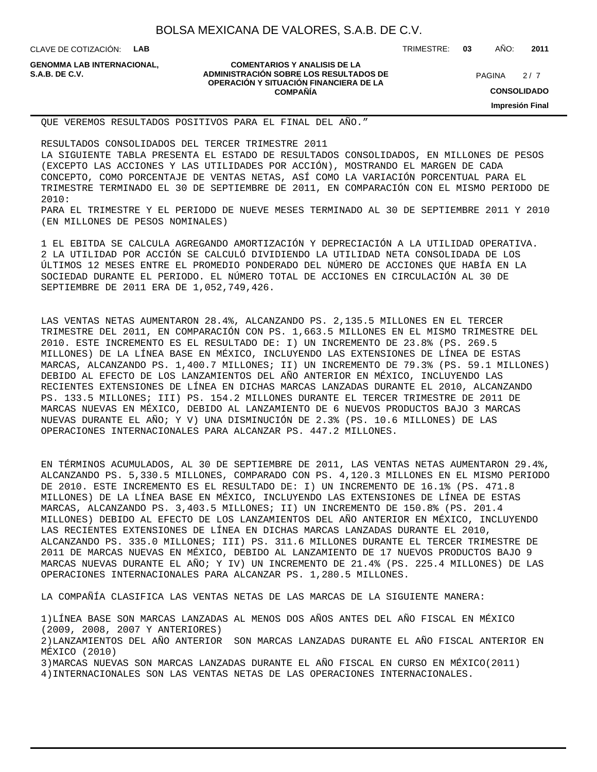CLAVE DE COTIZACIÓN: **LAB**

**GENOMMA LAB INTERNACIONAL,**

### **COMENTARIOS Y ANALISIS DE LA ADMINISTRACIÓN SOBRE LOS RESULTADOS DE PAGINA 2/7 PAGINA 2/7 OPERACIÓN Y SITUACIÓN FINANCIERA DE LA COMPAÑÍA**

 $2/7$ 

**CONSOLIDADO**

**Impresión Final**

QUE VEREMOS RESULTADOS POSITIVOS PARA EL FINAL DEL AÑO."

RESULTADOS CONSOLIDADOS DEL TERCER TRIMESTRE 2011 LA SIGUIENTE TABLA PRESENTA EL ESTADO DE RESULTADOS CONSOLIDADOS, EN MILLONES DE PESOS (EXCEPTO LAS ACCIONES Y LAS UTILIDADES POR ACCIÓN), MOSTRANDO EL MARGEN DE CADA CONCEPTO, COMO PORCENTAJE DE VENTAS NETAS, ASÍ COMO LA VARIACIÓN PORCENTUAL PARA EL TRIMESTRE TERMINADO EL 30 DE SEPTIEMBRE DE 2011, EN COMPARACIÓN CON EL MISMO PERIODO DE 2010: PARA EL TRIMESTRE Y EL PERIODO DE NUEVE MESES TERMINADO AL 30 DE SEPTIEMBRE 2011 Y 2010 (EN MILLONES DE PESOS NOMINALES)

1 EL EBITDA SE CALCULA AGREGANDO AMORTIZACIÓN Y DEPRECIACIÓN A LA UTILIDAD OPERATIVA. 2 LA UTILIDAD POR ACCIÓN SE CALCULÓ DIVIDIENDO LA UTILIDAD NETA CONSOLIDADA DE LOS ÚLTIMOS 12 MESES ENTRE EL PROMEDIO PONDERADO DEL NÚMERO DE ACCIONES QUE HABÍA EN LA SOCIEDAD DURANTE EL PERIODO. EL NÚMERO TOTAL DE ACCIONES EN CIRCULACIÓN AL 30 DE SEPTIEMBRE DE 2011 ERA DE 1,052,749,426.

LAS VENTAS NETAS AUMENTARON 28.4%, ALCANZANDO PS. 2,135.5 MILLONES EN EL TERCER TRIMESTRE DEL 2011, EN COMPARACIÓN CON PS. 1,663.5 MILLONES EN EL MISMO TRIMESTRE DEL 2010. ESTE INCREMENTO ES EL RESULTADO DE: I) UN INCREMENTO DE 23.8% (PS. 269.5 MILLONES) DE LA LÍNEA BASE EN MÉXICO, INCLUYENDO LAS EXTENSIONES DE LÍNEA DE ESTAS MARCAS, ALCANZANDO PS. 1,400.7 MILLONES; II) UN INCREMENTO DE 79.3% (PS. 59.1 MILLONES) DEBIDO AL EFECTO DE LOS LANZAMIENTOS DEL AÑO ANTERIOR EN MÉXICO, INCLUYENDO LAS RECIENTES EXTENSIONES DE LÍNEA EN DICHAS MARCAS LANZADAS DURANTE EL 2010, ALCANZANDO PS. 133.5 MILLONES; III) PS. 154.2 MILLONES DURANTE EL TERCER TRIMESTRE DE 2011 DE MARCAS NUEVAS EN MÉXICO, DEBIDO AL LANZAMIENTO DE 6 NUEVOS PRODUCTOS BAJO 3 MARCAS NUEVAS DURANTE EL AÑO; Y V) UNA DISMINUCIÓN DE 2.3% (PS. 10.6 MILLONES) DE LAS OPERACIONES INTERNACIONALES PARA ALCANZAR PS. 447.2 MILLONES.

EN TÉRMINOS ACUMULADOS, AL 30 DE SEPTIEMBRE DE 2011, LAS VENTAS NETAS AUMENTARON 29.4%, ALCANZANDO PS. 5,330.5 MILLONES, COMPARADO CON PS. 4,120.3 MILLONES EN EL MISMO PERIODO DE 2010. ESTE INCREMENTO ES EL RESULTADO DE: I) UN INCREMENTO DE 16.1% (PS. 471.8 MILLONES) DE LA LÍNEA BASE EN MÉXICO, INCLUYENDO LAS EXTENSIONES DE LÍNEA DE ESTAS MARCAS, ALCANZANDO PS. 3,403.5 MILLONES; II) UN INCREMENTO DE 150.8% (PS. 201.4 MILLONES) DEBIDO AL EFECTO DE LOS LANZAMIENTOS DEL AÑO ANTERIOR EN MÉXICO, INCLUYENDO LAS RECIENTES EXTENSIONES DE LÍNEA EN DICHAS MARCAS LANZADAS DURANTE EL 2010, ALCANZANDO PS. 335.0 MILLONES; III) PS. 311.6 MILLONES DURANTE EL TERCER TRIMESTRE DE 2011 DE MARCAS NUEVAS EN MÉXICO, DEBIDO AL LANZAMIENTO DE 17 NUEVOS PRODUCTOS BAJO 9 MARCAS NUEVAS DURANTE EL AÑO; Y IV) UN INCREMENTO DE 21.4% (PS. 225.4 MILLONES) DE LAS OPERACIONES INTERNACIONALES PARA ALCANZAR PS. 1,280.5 MILLONES.

LA COMPAÑÍA CLASIFICA LAS VENTAS NETAS DE LAS MARCAS DE LA SIGUIENTE MANERA:

1) LÍNEA BASE SON MARCAS LANZADAS AL MENOS DOS AÑOS ANTES DEL AÑO FISCAL EN MÉXICO (2009, 2008, 2007 Y ANTERIORES) 2) LANZAMIENTOS DEL AÑO ANTERIOR SON MARCAS LANZADAS DURANTE EL AÑO FISCAL ANTERIOR EN MÉXICO (2010) 3) MARCAS NUEVAS SON MARCAS LANZADAS DURANTE EL AÑO FISCAL EN CURSO EN MÉXICO(2011)

4) INTERNACIONALES SON LAS VENTAS NETAS DE LAS OPERACIONES INTERNACIONALES.

TRIMESTRE: **03** AÑO: **2011**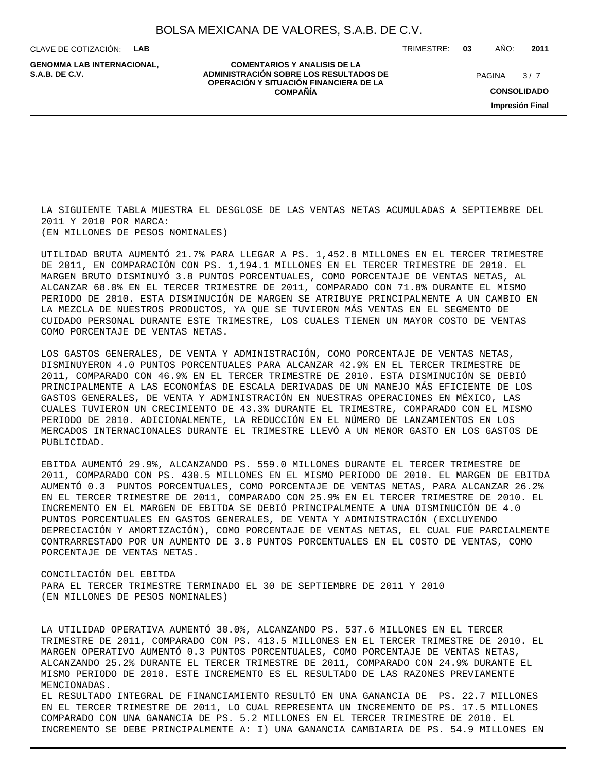CLAVE DE COTIZACIÓN: **LAB**

**GENOMMA LAB INTERNACIONAL,**

**COMENTARIOS Y ANALISIS DE LA ADMINISTRACIÓN SOBRE LOS RESULTADOS DE S.A.B. DE C.V.** PAGINA / 7 **OPERACIÓN Y SITUACIÓN FINANCIERA DE LA COMPAÑÍA**

TRIMESTRE: **03** AÑO: **2011**

 $3/7$ 

**CONSOLIDADO**

**Impresión Final**

LA SIGUIENTE TABLA MUESTRA EL DESGLOSE DE LAS VENTAS NETAS ACUMULADAS A SEPTIEMBRE DEL 2011 Y 2010 POR MARCA: (EN MILLONES DE PESOS NOMINALES)

UTILIDAD BRUTA AUMENTÓ 21.7% PARA LLEGAR A PS. 1,452.8 MILLONES EN EL TERCER TRIMESTRE DE 2011, EN COMPARACIÓN CON PS. 1,194.1 MILLONES EN EL TERCER TRIMESTRE DE 2010. EL MARGEN BRUTO DISMINUYÓ 3.8 PUNTOS PORCENTUALES, COMO PORCENTAJE DE VENTAS NETAS, AL ALCANZAR 68.0% EN EL TERCER TRIMESTRE DE 2011, COMPARADO CON 71.8% DURANTE EL MISMO PERIODO DE 2010. ESTA DISMINUCIÓN DE MARGEN SE ATRIBUYE PRINCIPALMENTE A UN CAMBIO EN LA MEZCLA DE NUESTROS PRODUCTOS, YA QUE SE TUVIERON MÁS VENTAS EN EL SEGMENTO DE CUIDADO PERSONAL DURANTE ESTE TRIMESTRE, LOS CUALES TIENEN UN MAYOR COSTO DE VENTAS COMO PORCENTAJE DE VENTAS NETAS.

LOS GASTOS GENERALES, DE VENTA Y ADMINISTRACIÓN, COMO PORCENTAJE DE VENTAS NETAS, DISMINUYERON 4.0 PUNTOS PORCENTUALES PARA ALCANZAR 42.9% EN EL TERCER TRIMESTRE DE 2011, COMPARADO CON 46.9% EN EL TERCER TRIMESTRE DE 2010. ESTA DISMINUCIÓN SE DEBIÓ PRINCIPALMENTE A LAS ECONOMÍAS DE ESCALA DERIVADAS DE UN MANEJO MÁS EFICIENTE DE LOS GASTOS GENERALES, DE VENTA Y ADMINISTRACIÓN EN NUESTRAS OPERACIONES EN MÉXICO, LAS CUALES TUVIERON UN CRECIMIENTO DE 43.3% DURANTE EL TRIMESTRE, COMPARADO CON EL MISMO PERIODO DE 2010. ADICIONALMENTE, LA REDUCCIÓN EN EL NÚMERO DE LANZAMIENTOS EN LOS MERCADOS INTERNACIONALES DURANTE EL TRIMESTRE LLEVÓ A UN MENOR GASTO EN LOS GASTOS DE PUBLICIDAD.

EBITDA AUMENTÓ 29.9%, ALCANZANDO PS. 559.0 MILLONES DURANTE EL TERCER TRIMESTRE DE 2011, COMPARADO CON PS. 430.5 MILLONES EN EL MISMO PERIODO DE 2010. EL MARGEN DE EBITDA AUMENTÓ 0.3 PUNTOS PORCENTUALES, COMO PORCENTAJE DE VENTAS NETAS, PARA ALCANZAR 26.2% EN EL TERCER TRIMESTRE DE 2011, COMPARADO CON 25.9% EN EL TERCER TRIMESTRE DE 2010. EL INCREMENTO EN EL MARGEN DE EBITDA SE DEBIÓ PRINCIPALMENTE A UNA DISMINUCIÓN DE 4.0 PUNTOS PORCENTUALES EN GASTOS GENERALES, DE VENTA Y ADMINISTRACIÓN (EXCLUYENDO DEPRECIACIÓN Y AMORTIZACIÓN), COMO PORCENTAJE DE VENTAS NETAS, EL CUAL FUE PARCIALMENTE CONTRARRESTADO POR UN AUMENTO DE 3.8 PUNTOS PORCENTUALES EN EL COSTO DE VENTAS, COMO PORCENTAJE DE VENTAS NETAS.

CONCILIACIÓN DEL EBITDA PARA EL TERCER TRIMESTRE TERMINADO EL 30 DE SEPTIEMBRE DE 2011 Y 2010 (EN MILLONES DE PESOS NOMINALES)

LA UTILIDAD OPERATIVA AUMENTÓ 30.0%, ALCANZANDO PS. 537.6 MILLONES EN EL TERCER TRIMESTRE DE 2011, COMPARADO CON PS. 413.5 MILLONES EN EL TERCER TRIMESTRE DE 2010. EL MARGEN OPERATIVO AUMENTÓ 0.3 PUNTOS PORCENTUALES, COMO PORCENTAJE DE VENTAS NETAS, ALCANZANDO 25.2% DURANTE EL TERCER TRIMESTRE DE 2011, COMPARADO CON 24.9% DURANTE EL MISMO PERIODO DE 2010. ESTE INCREMENTO ES EL RESULTADO DE LAS RAZONES PREVIAMENTE MENCIONADAS. EL RESULTADO INTEGRAL DE FINANCIAMIENTO RESULTÓ EN UNA GANANCIA DE PS. 22.7 MILLONES EN EL TERCER TRIMESTRE DE 2011, LO CUAL REPRESENTA UN INCREMENTO DE PS. 17.5 MILLONES COMPARADO CON UNA GANANCIA DE PS. 5.2 MILLONES EN EL TERCER TRIMESTRE DE 2010. EL INCREMENTO SE DEBE PRINCIPALMENTE A: I) UNA GANANCIA CAMBIARIA DE PS. 54.9 MILLONES EN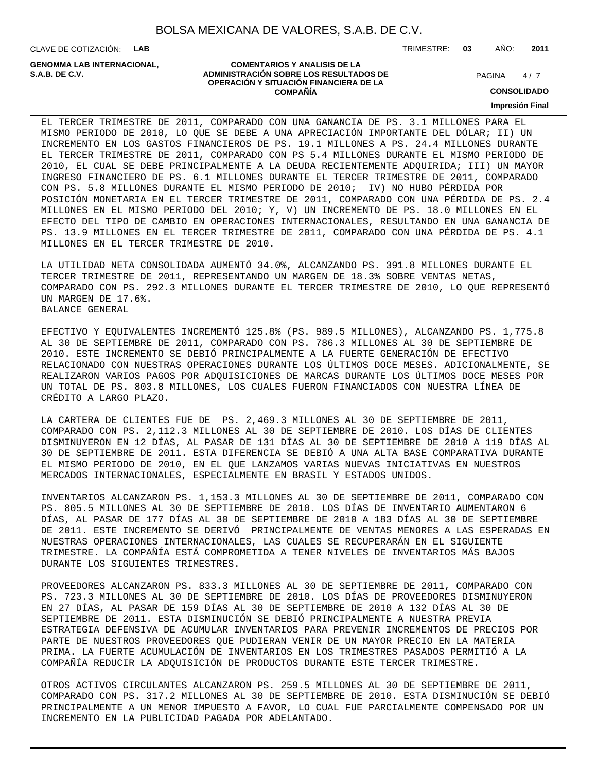CLAVE DE COTIZACIÓN: **LAB**

**GENOMMA LAB INTERNACIONAL,**

#### **COMENTARIOS Y ANALISIS DE LA ADMINISTRACIÓN SOBRE LOS RESULTADOS DE PAGINA 1997 E PAGINA 2018 OPERACIÓN Y SITUACIÓN FINANCIERA DE LA COMPAÑÍA**

 $4/7$ 

TRIMESTRE: **03** AÑO: **2011**

**CONSOLIDADO**

**Impresión Final**

EL TERCER TRIMESTRE DE 2011, COMPARADO CON UNA GANANCIA DE PS. 3.1 MILLONES PARA EL MISMO PERIODO DE 2010, LO QUE SE DEBE A UNA APRECIACIÓN IMPORTANTE DEL DÓLAR; II) UN INCREMENTO EN LOS GASTOS FINANCIEROS DE PS. 19.1 MILLONES A PS. 24.4 MILLONES DURANTE EL TERCER TRIMESTRE DE 2011, COMPARADO CON PS 5.4 MILLONES DURANTE EL MISMO PERIODO DE 2010, EL CUAL SE DEBE PRINCIPALMENTE A LA DEUDA RECIENTEMENTE ADQUIRIDA; III) UN MAYOR INGRESO FINANCIERO DE PS. 6.1 MILLONES DURANTE EL TERCER TRIMESTRE DE 2011, COMPARADO CON PS. 5.8 MILLONES DURANTE EL MISMO PERIODO DE 2010; IV) NO HUBO PÉRDIDA POR POSICIÓN MONETARIA EN EL TERCER TRIMESTRE DE 2011, COMPARADO CON UNA PÉRDIDA DE PS. 2.4 MILLONES EN EL MISMO PERIODO DEL 2010; Y, V) UN INCREMENTO DE PS. 18.0 MILLONES EN EL EFECTO DEL TIPO DE CAMBIO EN OPERACIONES INTERNACIONALES, RESULTANDO EN UNA GANANCIA DE PS. 13.9 MILLONES EN EL TERCER TRIMESTRE DE 2011, COMPARADO CON UNA PÉRDIDA DE PS. 4.1 MILLONES EN EL TERCER TRIMESTRE DE 2010.

LA UTILIDAD NETA CONSOLIDADA AUMENTÓ 34.0%, ALCANZANDO PS. 391.8 MILLONES DURANTE EL TERCER TRIMESTRE DE 2011, REPRESENTANDO UN MARGEN DE 18.3% SOBRE VENTAS NETAS, COMPARADO CON PS. 292.3 MILLONES DURANTE EL TERCER TRIMESTRE DE 2010, LO QUE REPRESENTÓ UN MARGEN DE 17.6%. BALANCE GENERAL

EFECTIVO Y EQUIVALENTES INCREMENTÓ 125.8% (PS. 989.5 MILLONES), ALCANZANDO PS. 1,775.8 AL 30 DE SEPTIEMBRE DE 2011, COMPARADO CON PS. 786.3 MILLONES AL 30 DE SEPTIEMBRE DE 2010. ESTE INCREMENTO SE DEBIÓ PRINCIPALMENTE A LA FUERTE GENERACIÓN DE EFECTIVO RELACIONADO CON NUESTRAS OPERACIONES DURANTE LOS ÚLTIMOS DOCE MESES. ADICIONALMENTE, SE REALIZARON VARIOS PAGOS POR ADQUISICIONES DE MARCAS DURANTE LOS ÚLTIMOS DOCE MESES POR UN TOTAL DE PS. 803.8 MILLONES, LOS CUALES FUERON FINANCIADOS CON NUESTRA LÍNEA DE CRÉDITO A LARGO PLAZO.

LA CARTERA DE CLIENTES FUE DE PS. 2,469.3 MILLONES AL 30 DE SEPTIEMBRE DE 2011, COMPARADO CON PS. 2,112.3 MILLONES AL 30 DE SEPTIEMBRE DE 2010. LOS DÍAS DE CLIENTES DISMINUYERON EN 12 DÍAS, AL PASAR DE 131 DÍAS AL 30 DE SEPTIEMBRE DE 2010 A 119 DÍAS AL 30 DE SEPTIEMBRE DE 2011. ESTA DIFERENCIA SE DEBIÓ A UNA ALTA BASE COMPARATIVA DURANTE EL MISMO PERIODO DE 2010, EN EL QUE LANZAMOS VARIAS NUEVAS INICIATIVAS EN NUESTROS MERCADOS INTERNACIONALES, ESPECIALMENTE EN BRASIL Y ESTADOS UNIDOS.

INVENTARIOS ALCANZARON PS. 1,153.3 MILLONES AL 30 DE SEPTIEMBRE DE 2011, COMPARADO CON PS. 805.5 MILLONES AL 30 DE SEPTIEMBRE DE 2010. LOS DÍAS DE INVENTARIO AUMENTARON 6 DÍAS, AL PASAR DE 177 DÍAS AL 30 DE SEPTIEMBRE DE 2010 A 183 DÍAS AL 30 DE SEPTIEMBRE DE 2011. ESTE INCREMENTO SE DERIVÓ PRINCIPALMENTE DE VENTAS MENORES A LAS ESPERADAS EN NUESTRAS OPERACIONES INTERNACIONALES, LAS CUALES SE RECUPERARÁN EN EL SIGUIENTE TRIMESTRE. LA COMPAÑÍA ESTÁ COMPROMETIDA A TENER NIVELES DE INVENTARIOS MÁS BAJOS DURANTE LOS SIGUIENTES TRIMESTRES.

PROVEEDORES ALCANZARON PS. 833.3 MILLONES AL 30 DE SEPTIEMBRE DE 2011, COMPARADO CON PS. 723.3 MILLONES AL 30 DE SEPTIEMBRE DE 2010. LOS DÍAS DE PROVEEDORES DISMINUYERON EN 27 DÍAS, AL PASAR DE 159 DÍAS AL 30 DE SEPTIEMBRE DE 2010 A 132 DÍAS AL 30 DE SEPTIEMBRE DE 2011. ESTA DISMINUCIÓN SE DEBIÓ PRINCIPALMENTE A NUESTRA PREVIA ESTRATEGIA DEFENSIVA DE ACUMULAR INVENTARIOS PARA PREVENIR INCREMENTOS DE PRECIOS POR PARTE DE NUESTROS PROVEEDORES QUE PUDIERAN VENIR DE UN MAYOR PRECIO EN LA MATERIA PRIMA. LA FUERTE ACUMULACIÓN DE INVENTARIOS EN LOS TRIMESTRES PASADOS PERMITIÓ A LA COMPAÑÍA REDUCIR LA ADQUISICIÓN DE PRODUCTOS DURANTE ESTE TERCER TRIMESTRE.

OTROS ACTIVOS CIRCULANTES ALCANZARON PS. 259.5 MILLONES AL 30 DE SEPTIEMBRE DE 2011, COMPARADO CON PS. 317.2 MILLONES AL 30 DE SEPTIEMBRE DE 2010. ESTA DISMINUCIÓN SE DEBIÓ PRINCIPALMENTE A UN MENOR IMPUESTO A FAVOR, LO CUAL FUE PARCIALMENTE COMPENSADO POR UN INCREMENTO EN LA PUBLICIDAD PAGADA POR ADELANTADO.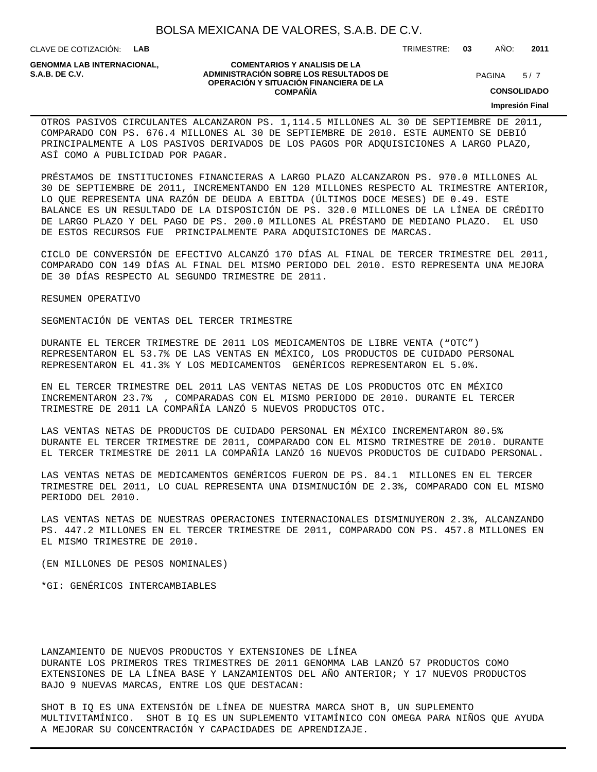CLAVE DE COTIZACIÓN: **LAB**

**GENOMMA LAB INTERNACIONAL,**

#### **COMENTARIOS Y ANALISIS DE LA ADMINISTRACIÓN SOBRE LOS RESULTADOS DE S.A.B. DE C.V.** PAGINA / 7 **OPERACIÓN Y SITUACIÓN FINANCIERA DE LA COMPAÑÍA**

 $5/7$ 

TRIMESTRE: **03** AÑO: **2011**

**CONSOLIDADO**

**Impresión Final**

OTROS PASIVOS CIRCULANTES ALCANZARON PS. 1,114.5 MILLONES AL 30 DE SEPTIEMBRE DE 2011, COMPARADO CON PS. 676.4 MILLONES AL 30 DE SEPTIEMBRE DE 2010. ESTE AUMENTO SE DEBIÓ PRINCIPALMENTE A LOS PASIVOS DERIVADOS DE LOS PAGOS POR ADQUISICIONES A LARGO PLAZO, ASÍ COMO A PUBLICIDAD POR PAGAR.

PRÉSTAMOS DE INSTITUCIONES FINANCIERAS A LARGO PLAZO ALCANZARON PS. 970.0 MILLONES AL 30 DE SEPTIEMBRE DE 2011, INCREMENTANDO EN 120 MILLONES RESPECTO AL TRIMESTRE ANTERIOR, LO QUE REPRESENTA UNA RAZÓN DE DEUDA A EBITDA (ÚLTIMOS DOCE MESES) DE 0.49. ESTE BALANCE ES UN RESULTADO DE LA DISPOSICIÓN DE PS. 320.0 MILLONES DE LA LÍNEA DE CRÉDITO DE LARGO PLAZO Y DEL PAGO DE PS. 200.0 MILLONES AL PRÉSTAMO DE MEDIANO PLAZO. EL USO DE ESTOS RECURSOS FUE PRINCIPALMENTE PARA ADQUISICIONES DE MARCAS.

CICLO DE CONVERSIÓN DE EFECTIVO ALCANZÓ 170 DÍAS AL FINAL DE TERCER TRIMESTRE DEL 2011, COMPARADO CON 149 DÍAS AL FINAL DEL MISMO PERIODO DEL 2010. ESTO REPRESENTA UNA MEJORA DE 30 DÍAS RESPECTO AL SEGUNDO TRIMESTRE DE 2011.

RESUMEN OPERATIVO

SEGMENTACIÓN DE VENTAS DEL TERCER TRIMESTRE

DURANTE EL TERCER TRIMESTRE DE 2011 LOS MEDICAMENTOS DE LIBRE VENTA ("OTC") REPRESENTARON EL 53.7% DE LAS VENTAS EN MÉXICO, LOS PRODUCTOS DE CUIDADO PERSONAL REPRESENTARON EL 41.3% Y LOS MEDICAMENTOS GENÉRICOS REPRESENTARON EL 5.0%.

EN EL TERCER TRIMESTRE DEL 2011 LAS VENTAS NETAS DE LOS PRODUCTOS OTC EN MÉXICO INCREMENTARON 23.7% , COMPARADAS CON EL MISMO PERIODO DE 2010. DURANTE EL TERCER TRIMESTRE DE 2011 LA COMPAÑÍA LANZÓ 5 NUEVOS PRODUCTOS OTC.

LAS VENTAS NETAS DE PRODUCTOS DE CUIDADO PERSONAL EN MÉXICO INCREMENTARON 80.5% DURANTE EL TERCER TRIMESTRE DE 2011, COMPARADO CON EL MISMO TRIMESTRE DE 2010. DURANTE EL TERCER TRIMESTRE DE 2011 LA COMPAÑÍA LANZÓ 16 NUEVOS PRODUCTOS DE CUIDADO PERSONAL.

LAS VENTAS NETAS DE MEDICAMENTOS GENÉRICOS FUERON DE PS. 84.1 MILLONES EN EL TERCER TRIMESTRE DEL 2011, LO CUAL REPRESENTA UNA DISMINUCIÓN DE 2.3%, COMPARADO CON EL MISMO PERIODO DEL 2010.

LAS VENTAS NETAS DE NUESTRAS OPERACIONES INTERNACIONALES DISMINUYERON 2.3%, ALCANZANDO PS. 447.2 MILLONES EN EL TERCER TRIMESTRE DE 2011, COMPARADO CON PS. 457.8 MILLONES EN EL MISMO TRIMESTRE DE 2010.

(EN MILLONES DE PESOS NOMINALES)

\*GI: GENÉRICOS INTERCAMBIABLES

LANZAMIENTO DE NUEVOS PRODUCTOS Y EXTENSIONES DE LÍNEA DURANTE LOS PRIMEROS TRES TRIMESTRES DE 2011 GENOMMA LAB LANZÓ 57 PRODUCTOS COMO EXTENSIONES DE LA LÍNEA BASE Y LANZAMIENTOS DEL AÑO ANTERIOR; Y 17 NUEVOS PRODUCTOS BAJO 9 NUEVAS MARCAS, ENTRE LOS QUE DESTACAN:

SHOT B IQ ES UNA EXTENSIÓN DE LÍNEA DE NUESTRA MARCA SHOT B, UN SUPLEMENTO MULTIVITAMÍNICO. SHOT B IQ ES UN SUPLEMENTO VITAMÍNICO CON OMEGA PARA NIÑOS QUE AYUDA A MEJORAR SU CONCENTRACIÓN Y CAPACIDADES DE APRENDIZAJE.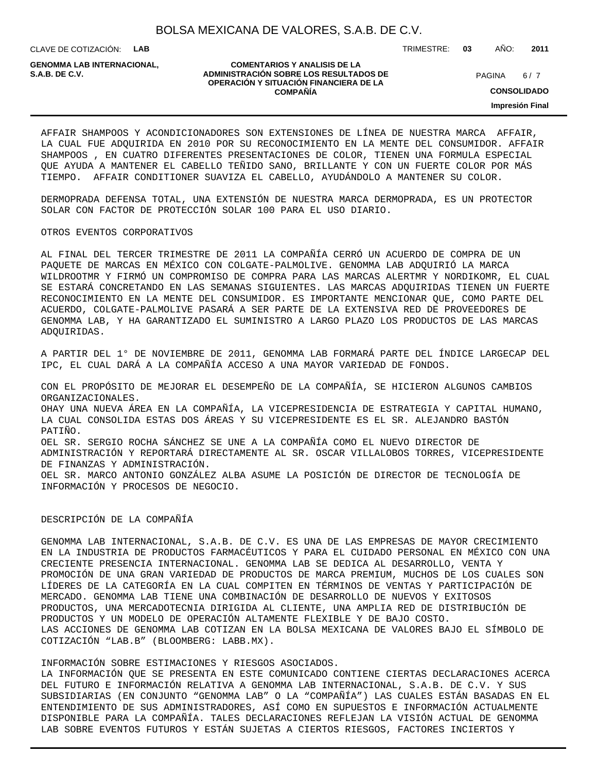CLAVE DE COTIZACIÓN: **LAB**

**GENOMMA LAB INTERNACIONAL,**

#### **COMENTARIOS Y ANALISIS DE LA ADMINISTRACIÓN SOBRE LOS RESULTADOS DE S.A.B. DE C.V.** PAGINA / 7 **OPERACIÓN Y SITUACIÓN FINANCIERA DE LA COMPAÑÍA**

TRIMESTRE: **03** AÑO: **2011**

 $6/7$ 

**CONSOLIDADO**

**Impresión Final**

AFFAIR SHAMPOOS Y ACONDICIONADORES SON EXTENSIONES DE LÍNEA DE NUESTRA MARCA AFFAIR, LA CUAL FUE ADQUIRIDA EN 2010 POR SU RECONOCIMIENTO EN LA MENTE DEL CONSUMIDOR. AFFAIR SHAMPOOS , EN CUATRO DIFERENTES PRESENTACIONES DE COLOR, TIENEN UNA FORMULA ESPECIAL QUE AYUDA A MANTENER EL CABELLO TEÑIDO SANO, BRILLANTE Y CON UN FUERTE COLOR POR MÁS TIEMPO. AFFAIR CONDITIONER SUAVIZA EL CABELLO, AYUDÁNDOLO A MANTENER SU COLOR.

DERMOPRADA DEFENSA TOTAL, UNA EXTENSIÓN DE NUESTRA MARCA DERMOPRADA, ES UN PROTECTOR SOLAR CON FACTOR DE PROTECCIÓN SOLAR 100 PARA EL USO DIARIO.

#### OTROS EVENTOS CORPORATIVOS

 AL FINAL DEL TERCER TRIMESTRE DE 2011 LA COMPAÑÍA CERRÓ UN ACUERDO DE COMPRA DE UN PAQUETE DE MARCAS EN MÉXICO CON COLGATE-PALMOLIVE. GENOMMA LAB ADQUIRIÓ LA MARCA WILDROOTMR Y FIRMÓ UN COMPROMISO DE COMPRA PARA LAS MARCAS ALERTMR Y NORDIKOMR, EL CUAL SE ESTARÁ CONCRETANDO EN LAS SEMANAS SIGUIENTES. LAS MARCAS ADQUIRIDAS TIENEN UN FUERTE RECONOCIMIENTO EN LA MENTE DEL CONSUMIDOR. ES IMPORTANTE MENCIONAR QUE, COMO PARTE DEL ACUERDO, COLGATE-PALMOLIVE PASARÁ A SER PARTE DE LA EXTENSIVA RED DE PROVEEDORES DE GENOMMA LAB, Y HA GARANTIZADO EL SUMINISTRO A LARGO PLAZO LOS PRODUCTOS DE LAS MARCAS ADQUIRIDAS.

 A PARTIR DEL 1° DE NOVIEMBRE DE 2011, GENOMMA LAB FORMARÁ PARTE DEL ÍNDICE LARGECAP DEL IPC, EL CUAL DARÁ A LA COMPAÑÍA ACCESO A UNA MAYOR VARIEDAD DE FONDOS.

 CON EL PROPÓSITO DE MEJORAR EL DESEMPEÑO DE LA COMPAÑÍA, SE HICIERON ALGUNOS CAMBIOS ORGANIZACIONALES. O HAY UNA NUEVA ÁREA EN LA COMPAÑÍA, LA VICEPRESIDENCIA DE ESTRATEGIA Y CAPITAL HUMANO, LA CUAL CONSOLIDA ESTAS DOS ÁREAS Y SU VICEPRESIDENTE ES EL SR. ALEJANDRO BASTÓN PATIÑO. O EL SR. SERGIO ROCHA SÁNCHEZ SE UNE A LA COMPAÑÍA COMO EL NUEVO DIRECTOR DE ADMINISTRACIÓN Y REPORTARÁ DIRECTAMENTE AL SR. OSCAR VILLALOBOS TORRES, VICEPRESIDENTE DE FINANZAS Y ADMINISTRACIÓN. O EL SR. MARCO ANTONIO GONZÁLEZ ALBA ASUME LA POSICIÓN DE DIRECTOR DE TECNOLOGÍA DE INFORMACIÓN Y PROCESOS DE NEGOCIO.

#### DESCRIPCIÓN DE LA COMPAÑÍA

GENOMMA LAB INTERNACIONAL, S.A.B. DE C.V. ES UNA DE LAS EMPRESAS DE MAYOR CRECIMIENTO EN LA INDUSTRIA DE PRODUCTOS FARMACÉUTICOS Y PARA EL CUIDADO PERSONAL EN MÉXICO CON UNA CRECIENTE PRESENCIA INTERNACIONAL. GENOMMA LAB SE DEDICA AL DESARROLLO, VENTA Y PROMOCIÓN DE UNA GRAN VARIEDAD DE PRODUCTOS DE MARCA PREMIUM, MUCHOS DE LOS CUALES SON LÍDERES DE LA CATEGORÍA EN LA CUAL COMPITEN EN TÉRMINOS DE VENTAS Y PARTICIPACIÓN DE MERCADO. GENOMMA LAB TIENE UNA COMBINACIÓN DE DESARROLLO DE NUEVOS Y EXITOSOS PRODUCTOS, UNA MERCADOTECNIA DIRIGIDA AL CLIENTE, UNA AMPLIA RED DE DISTRIBUCIÓN DE PRODUCTOS Y UN MODELO DE OPERACIÓN ALTAMENTE FLEXIBLE Y DE BAJO COSTO. LAS ACCIONES DE GENOMMA LAB COTIZAN EN LA BOLSA MEXICANA DE VALORES BAJO EL SÍMBOLO DE COTIZACIÓN "LAB.B" (BLOOMBERG: LABB.MX).

INFORMACIÓN SOBRE ESTIMACIONES Y RIESGOS ASOCIADOS.

LA INFORMACIÓN QUE SE PRESENTA EN ESTE COMUNICADO CONTIENE CIERTAS DECLARACIONES ACERCA DEL FUTURO E INFORMACIÓN RELATIVA A GENOMMA LAB INTERNACIONAL, S.A.B. DE C.V. Y SUS SUBSIDIARIAS (EN CONJUNTO "GENOMMA LAB" O LA "COMPAÑÍA") LAS CUALES ESTÁN BASADAS EN EL ENTENDIMIENTO DE SUS ADMINISTRADORES, ASÍ COMO EN SUPUESTOS E INFORMACIÓN ACTUALMENTE DISPONIBLE PARA LA COMPAÑÍA. TALES DECLARACIONES REFLEJAN LA VISIÓN ACTUAL DE GENOMMA LAB SOBRE EVENTOS FUTUROS Y ESTÁN SUJETAS A CIERTOS RIESGOS, FACTORES INCIERTOS Y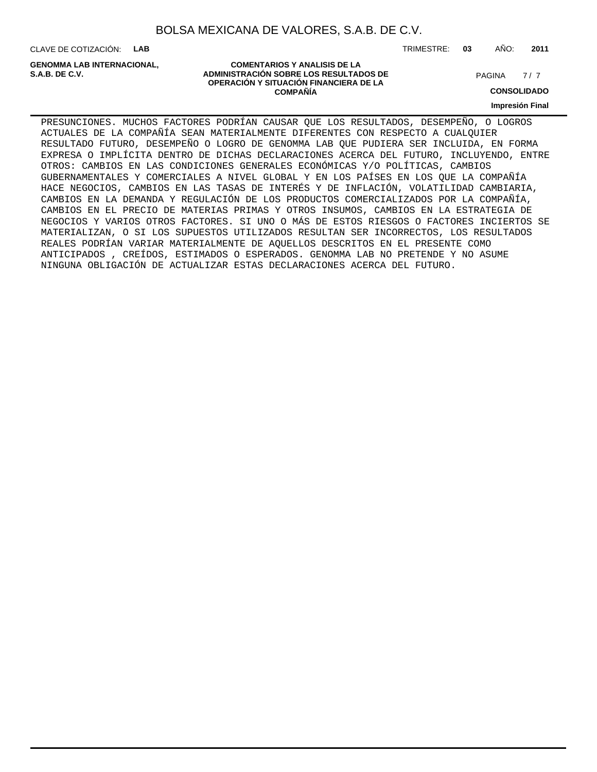CLAVE DE COTIZACIÓN: **LAB**

**GENOMMA LAB INTERNACIONAL,**

#### **COMENTARIOS Y ANALISIS DE LA ADMINISTRACIÓN SOBRE LOS RESULTADOS DE S.A.B. DE C.V.** PAGINA / 7 **OPERACIÓN Y SITUACIÓN FINANCIERA DE LA COMPAÑÍA**

 $7/7$ 

TRIMESTRE: **03** AÑO: **2011**

**CONSOLIDADO**

**Impresión Final**

PRESUNCIONES. MUCHOS FACTORES PODRÍAN CAUSAR QUE LOS RESULTADOS, DESEMPEÑO, O LOGROS ACTUALES DE LA COMPAÑÍA SEAN MATERIALMENTE DIFERENTES CON RESPECTO A CUALQUIER RESULTADO FUTURO, DESEMPEÑO O LOGRO DE GENOMMA LAB QUE PUDIERA SER INCLUIDA, EN FORMA EXPRESA O IMPLÍCITA DENTRO DE DICHAS DECLARACIONES ACERCA DEL FUTURO, INCLUYENDO, ENTRE OTROS: CAMBIOS EN LAS CONDICIONES GENERALES ECONÓMICAS Y/O POLÍTICAS, CAMBIOS GUBERNAMENTALES Y COMERCIALES A NIVEL GLOBAL Y EN LOS PAÍSES EN LOS QUE LA COMPAÑÍA HACE NEGOCIOS, CAMBIOS EN LAS TASAS DE INTERÉS Y DE INFLACIÓN, VOLATILIDAD CAMBIARIA, CAMBIOS EN LA DEMANDA Y REGULACIÓN DE LOS PRODUCTOS COMERCIALIZADOS POR LA COMPAÑÍA, CAMBIOS EN EL PRECIO DE MATERIAS PRIMAS Y OTROS INSUMOS, CAMBIOS EN LA ESTRATEGIA DE NEGOCIOS Y VARIOS OTROS FACTORES. SI UNO O MÁS DE ESTOS RIESGOS O FACTORES INCIERTOS SE MATERIALIZAN, O SI LOS SUPUESTOS UTILIZADOS RESULTAN SER INCORRECTOS, LOS RESULTADOS REALES PODRÍAN VARIAR MATERIALMENTE DE AQUELLOS DESCRITOS EN EL PRESENTE COMO ANTICIPADOS , CREÍDOS, ESTIMADOS O ESPERADOS. GENOMMA LAB NO PRETENDE Y NO ASUME NINGUNA OBLIGACIÓN DE ACTUALIZAR ESTAS DECLARACIONES ACERCA DEL FUTURO.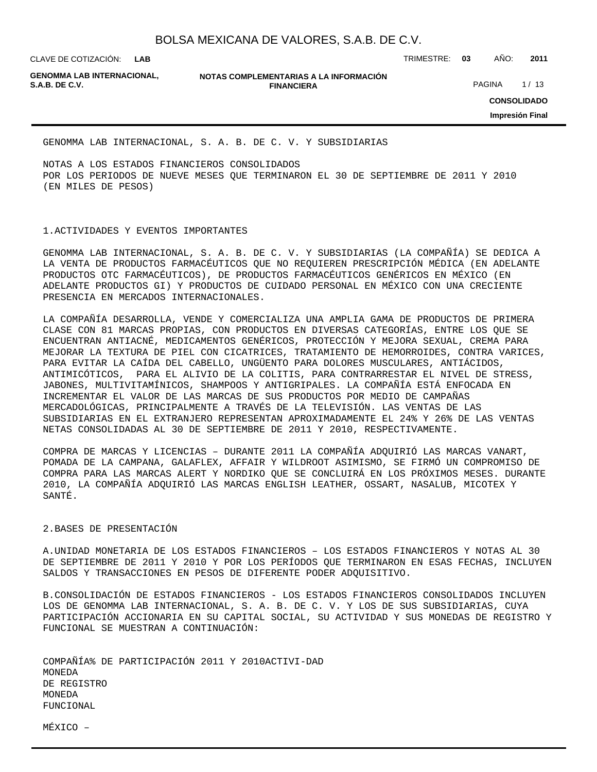**LAB GENOMMA LAB INTERNACIONAL,**

**NOTAS COMPLEMENTARIAS A LA INFORMACIÓN FINANCIERA S.A.B. DE C.V.** PAGINA 1/13

CLAVE DE COTIZACIÓN: TRIMESTRE: **03** AÑO: **2011**

**CONSOLIDADO**

**Impresión Final**

GENOMMA LAB INTERNACIONAL, S. A. B. DE C. V. Y SUBSIDIARIAS

NOTAS A LOS ESTADOS FINANCIEROS CONSOLIDADOS POR LOS PERIODOS DE NUEVE MESES QUE TERMINARON EL 30 DE SEPTIEMBRE DE 2011 Y 2010 (EN MILES DE PESOS)

#### 1. ACTIVIDADES Y EVENTOS IMPORTANTES

GENOMMA LAB INTERNACIONAL, S. A. B. DE C. V. Y SUBSIDIARIAS (LA COMPAÑÍA) SE DEDICA A LA VENTA DE PRODUCTOS FARMACÉUTICOS QUE NO REQUIEREN PRESCRIPCIÓN MÉDICA (EN ADELANTE PRODUCTOS OTC FARMACÉUTICOS), DE PRODUCTOS FARMACÉUTICOS GENÉRICOS EN MÉXICO (EN ADELANTE PRODUCTOS GI) Y PRODUCTOS DE CUIDADO PERSONAL EN MÉXICO CON UNA CRECIENTE PRESENCIA EN MERCADOS INTERNACIONALES.

LA COMPAÑÍA DESARROLLA, VENDE Y COMERCIALIZA UNA AMPLIA GAMA DE PRODUCTOS DE PRIMERA CLASE CON 81 MARCAS PROPIAS, CON PRODUCTOS EN DIVERSAS CATEGORÍAS, ENTRE LOS QUE SE ENCUENTRAN ANTIACNÉ, MEDICAMENTOS GENÉRICOS, PROTECCIÓN Y MEJORA SEXUAL, CREMA PARA MEJORAR LA TEXTURA DE PIEL CON CICATRICES, TRATAMIENTO DE HEMORROIDES, CONTRA VARICES, PARA EVITAR LA CAÍDA DEL CABELLO, UNGÜENTO PARA DOLORES MUSCULARES, ANTIÁCIDOS, ANTIMICÓTICOS, PARA EL ALIVIO DE LA COLITIS, PARA CONTRARRESTAR EL NIVEL DE STRESS, JABONES, MULTIVITAMÍNICOS, SHAMPOOS Y ANTIGRIPALES. LA COMPAÑÍA ESTÁ ENFOCADA EN INCREMENTAR EL VALOR DE LAS MARCAS DE SUS PRODUCTOS POR MEDIO DE CAMPAÑAS MERCADOLÓGICAS, PRINCIPALMENTE A TRAVÉS DE LA TELEVISIÓN. LAS VENTAS DE LAS SUBSIDIARIAS EN EL EXTRANJERO REPRESENTAN APROXIMADAMENTE EL 24% Y 26% DE LAS VENTAS NETAS CONSOLIDADAS AL 30 DE SEPTIEMBRE DE 2011 Y 2010, RESPECTIVAMENTE.

COMPRA DE MARCAS Y LICENCIAS – DURANTE 2011 LA COMPAÑÍA ADQUIRIÓ LAS MARCAS VANART, POMADA DE LA CAMPANA, GALAFLEX, AFFAIR Y WILDROOT ASIMISMO, SE FIRMÓ UN COMPROMISO DE COMPRA PARA LAS MARCAS ALERT Y NORDIKO QUE SE CONCLUIRÁ EN LOS PRÓXIMOS MESES. DURANTE 2010, LA COMPAÑÍA ADQUIRIÓ LAS MARCAS ENGLISH LEATHER, OSSART, NASALUB, MICOTEX Y SANTÉ.

### 2. BASES DE PRESENTACIÓN

A. UNIDAD MONETARIA DE LOS ESTADOS FINANCIEROS – LOS ESTADOS FINANCIEROS Y NOTAS AL 30 DE SEPTIEMBRE DE 2011 Y 2010 Y POR LOS PERÍODOS QUE TERMINARON EN ESAS FECHAS, INCLUYEN SALDOS Y TRANSACCIONES EN PESOS DE DIFERENTE PODER ADQUISITIVO.

B. CONSOLIDACIÓN DE ESTADOS FINANCIEROS - LOS ESTADOS FINANCIEROS CONSOLIDADOS INCLUYEN LOS DE GENOMMA LAB INTERNACIONAL, S. A. B. DE C. V. Y LOS DE SUS SUBSIDIARIAS, CUYA PARTICIPACIÓN ACCIONARIA EN SU CAPITAL SOCIAL, SU ACTIVIDAD Y SUS MONEDAS DE REGISTRO Y FUNCIONAL SE MUESTRAN A CONTINUACIÓN:

COMPAÑÍA % DE PARTICIPACIÓN 2011 Y 2010 ACTIVI-DAD MONEDA DE REGISTRO MONEDA FUNCIONAL

MÉXICO –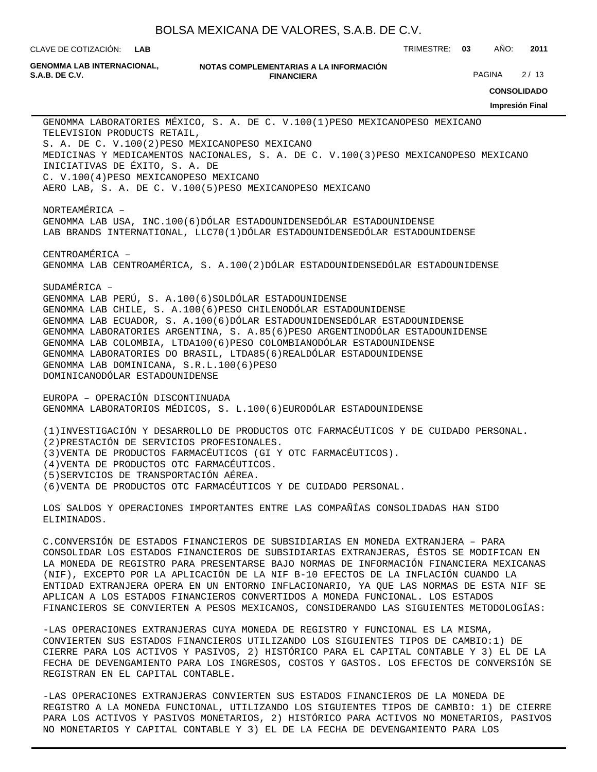**LAB**

CLAVE DE COTIZACIÓN: TRIMESTRE: **03** AÑO: **2011**

**NOTAS COMPLEMENTARIAS A LA INFORMACIÓN FINANCIERA CONSOLIDADO Impresión Final GENOMMA LAB INTERNACIONAL, S.A.B. DE C.V.** PAGINA 2 / 13 GENOMMA LABORATORIES MÉXICO, S. A. DE C. V. 100 (1) PESO MEXICANO PESO MEXICANO TELEVISION PRODUCTS RETAIL, S. A. DE C. V. 100 (2) PESO MEXICANO PESO MEXICANO MEDICINAS Y MEDICAMENTOS NACIONALES, S. A. DE C. V. 100 (3) PESO MEXICANO PESO MEXICANO INICIATIVAS DE ÉXITO, S. A. DE C. V. 100 (4) PESO MEXICANO PESO MEXICANO AERO LAB, S. A. DE C. V. 100 (5) PESO MEXICANO PESO MEXICANO NORTEAMÉRICA – GENOMMA LAB USA, INC. 100 (6) DÓLAR ESTADOUNIDENSE DÓLAR ESTADOUNIDENSE LAB BRANDS INTERNATIONAL, LLC 70 (1) DÓLAR ESTADOUNIDENSE DÓLAR ESTADOUNIDENSE CENTROAMÉRICA – GENOMMA LAB CENTROAMÉRICA, S. A. 100 (2) DÓLAR ESTADOUNIDENSE DÓLAR ESTADOUNIDENSE SUDAMÉRICA – GENOMMA LAB PERÚ, S. A. 100 (6) SOL DÓLAR ESTADOUNIDENSE GENOMMA LAB CHILE, S. A. 100 (6) PESO CHILENO DÓLAR ESTADOUNIDENSE GENOMMA LAB ECUADOR, S. A. 100 (6) DÓLAR ESTADOUNIDENSE DÓLAR ESTADOUNIDENSE GENOMMA LABORATORIES ARGENTINA, S. A. 85 (6) PESO ARGENTINO DÓLAR ESTADOUNIDENSE GENOMMA LAB COLOMBIA, LTDA 100 (6) PESO COLOMBIANO DÓLAR ESTADOUNIDENSE GENOMMA LABORATORIES DO BRASIL, LTDA 85 (6) REAL DÓLAR ESTADOUNIDENSE GENOMMA LAB DOMINICANA, S.R.L. 100 (6) PESO DOMINICANO DÓLAR ESTADOUNIDENSE EUROPA – OPERACIÓN DISCONTINUADA GENOMMA LABORATORIOS MÉDICOS, S. L. 100 (6) EURO DÓLAR ESTADOUNIDENSE (1) INVESTIGACIÓN Y DESARROLLO DE PRODUCTOS OTC FARMACÉUTICOS Y DE CUIDADO PERSONAL. (2) PRESTACIÓN DE SERVICIOS PROFESIONALES. (3) VENTA DE PRODUCTOS FARMACÉUTICOS (GI Y OTC FARMACÉUTICOS). (4) VENTA DE PRODUCTOS OTC FARMACÉUTICOS. (5) SERVICIOS DE TRANSPORTACIÓN AÉREA. (6) VENTA DE PRODUCTOS OTC FARMACÉUTICOS Y DE CUIDADO PERSONAL. LOS SALDOS Y OPERACIONES IMPORTANTES ENTRE LAS COMPAÑÍAS CONSOLIDADAS HAN SIDO ELIMINADOS. C. CONVERSIÓN DE ESTADOS FINANCIEROS DE SUBSIDIARIAS EN MONEDA EXTRANJERA – PARA CONSOLIDAR LOS ESTADOS FINANCIEROS DE SUBSIDIARIAS EXTRANJERAS, ÉSTOS SE MODIFICAN EN LA MONEDA DE REGISTRO PARA PRESENTARSE BAJO NORMAS DE INFORMACIÓN FINANCIERA MEXICANAS (NIF), EXCEPTO POR LA APLICACIÓN DE LA NIF B-10 EFECTOS DE LA INFLACIÓN CUANDO LA ENTIDAD EXTRANJERA OPERA EN UN ENTORNO INFLACIONARIO, YA QUE LAS NORMAS DE ESTA NIF SE APLICAN A LOS ESTADOS FINANCIEROS CONVERTIDOS A MONEDA FUNCIONAL. LOS ESTADOS

FINANCIEROS SE CONVIERTEN A PESOS MEXICANOS, CONSIDERANDO LAS SIGUIENTES METODOLOGÍAS:

- LAS OPERACIONES EXTRANJERAS CUYA MONEDA DE REGISTRO Y FUNCIONAL ES LA MISMA, CONVIERTEN SUS ESTADOS FINANCIEROS UTILIZANDO LOS SIGUIENTES TIPOS DE CAMBIO:1) DE CIERRE PARA LOS ACTIVOS Y PASIVOS, 2) HISTÓRICO PARA EL CAPITAL CONTABLE Y 3) EL DE LA FECHA DE DEVENGAMIENTO PARA LOS INGRESOS, COSTOS Y GASTOS. LOS EFECTOS DE CONVERSIÓN SE REGISTRAN EN EL CAPITAL CONTABLE.

- LAS OPERACIONES EXTRANJERAS CONVIERTEN SUS ESTADOS FINANCIEROS DE LA MONEDA DE REGISTRO A LA MONEDA FUNCIONAL, UTILIZANDO LOS SIGUIENTES TIPOS DE CAMBIO: 1) DE CIERRE PARA LOS ACTIVOS Y PASIVOS MONETARIOS, 2) HISTÓRICO PARA ACTIVOS NO MONETARIOS, PASIVOS NO MONETARIOS Y CAPITAL CONTABLE Y 3) EL DE LA FECHA DE DEVENGAMIENTO PARA LOS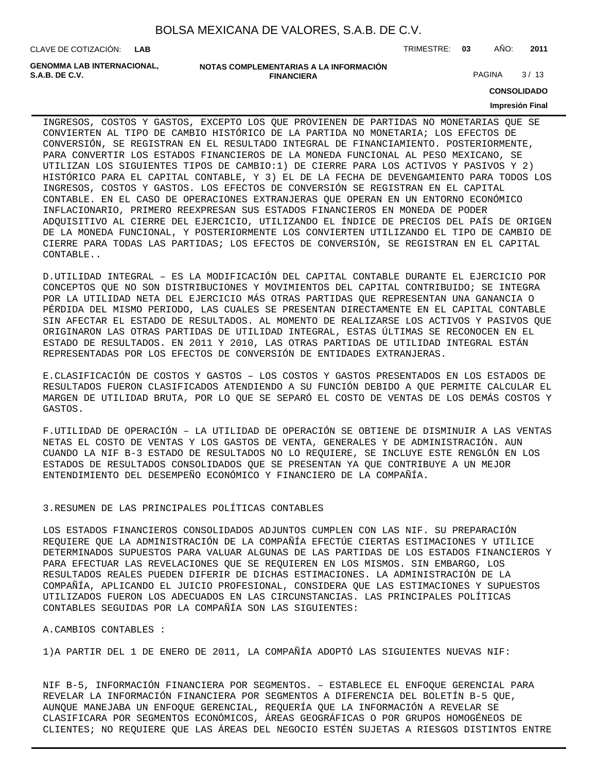CLAVE DE COTIZACIÓN: TRIMESTRE: **03** AÑO: **2011 LAB**

**GENOMMA LAB INTERNACIONAL,**

**NOTAS COMPLEMENTARIAS A LA INFORMACIÓN FINANCIERA S.A.B. DE C.V.** PAGINA 2 / 13

**CONSOLIDADO**

#### **Impresión Final**

INGRESOS, COSTOS Y GASTOS, EXCEPTO LOS QUE PROVIENEN DE PARTIDAS NO MONETARIAS QUE SE CONVIERTEN AL TIPO DE CAMBIO HISTÓRICO DE LA PARTIDA NO MONETARIA; LOS EFECTOS DE CONVERSIÓN, SE REGISTRAN EN EL RESULTADO INTEGRAL DE FINANCIAMIENTO. POSTERIORMENTE, PARA CONVERTIR LOS ESTADOS FINANCIEROS DE LA MONEDA FUNCIONAL AL PESO MEXICANO, SE UTILIZAN LOS SIGUIENTES TIPOS DE CAMBIO:1) DE CIERRE PARA LOS ACTIVOS Y PASIVOS Y 2) HISTÓRICO PARA EL CAPITAL CONTABLE, Y 3) EL DE LA FECHA DE DEVENGAMIENTO PARA TODOS LOS INGRESOS, COSTOS Y GASTOS. LOS EFECTOS DE CONVERSIÓN SE REGISTRAN EN EL CAPITAL CONTABLE. EN EL CASO DE OPERACIONES EXTRANJERAS QUE OPERAN EN UN ENTORNO ECONÓMICO INFLACIONARIO, PRIMERO REEXPRESAN SUS ESTADOS FINANCIEROS EN MONEDA DE PODER ADQUISITIVO AL CIERRE DEL EJERCICIO, UTILIZANDO EL ÍNDICE DE PRECIOS DEL PAÍS DE ORIGEN DE LA MONEDA FUNCIONAL, Y POSTERIORMENTE LOS CONVIERTEN UTILIZANDO EL TIPO DE CAMBIO DE CIERRE PARA TODAS LAS PARTIDAS; LOS EFECTOS DE CONVERSIÓN, SE REGISTRAN EN EL CAPITAL CONTABLE..

D. UTILIDAD INTEGRAL – ES LA MODIFICACIÓN DEL CAPITAL CONTABLE DURANTE EL EJERCICIO POR CONCEPTOS QUE NO SON DISTRIBUCIONES Y MOVIMIENTOS DEL CAPITAL CONTRIBUIDO; SE INTEGRA POR LA UTILIDAD NETA DEL EJERCICIO MÁS OTRAS PARTIDAS QUE REPRESENTAN UNA GANANCIA O PÉRDIDA DEL MISMO PERIODO, LAS CUALES SE PRESENTAN DIRECTAMENTE EN EL CAPITAL CONTABLE SIN AFECTAR EL ESTADO DE RESULTADOS. AL MOMENTO DE REALIZARSE LOS ACTIVOS Y PASIVOS QUE ORIGINARON LAS OTRAS PARTIDAS DE UTILIDAD INTEGRAL, ESTAS ÚLTIMAS SE RECONOCEN EN EL ESTADO DE RESULTADOS. EN 2011 Y 2010, LAS OTRAS PARTIDAS DE UTILIDAD INTEGRAL ESTÁN REPRESENTADAS POR LOS EFECTOS DE CONVERSIÓN DE ENTIDADES EXTRANJERAS.

E. CLASIFICACIÓN DE COSTOS Y GASTOS - LOS COSTOS Y GASTOS PRESENTADOS EN LOS ESTADOS DE RESULTADOS FUERON CLASIFICADOS ATENDIENDO A SU FUNCIÓN DEBIDO A QUE PERMITE CALCULAR EL MARGEN DE UTILIDAD BRUTA, POR LO QUE SE SEPARÓ EL COSTO DE VENTAS DE LOS DEMÁS COSTOS Y GASTOS.

F. UTILIDAD DE OPERACIÓN – LA UTILIDAD DE OPERACIÓN SE OBTIENE DE DISMINUIR A LAS VENTAS NETAS EL COSTO DE VENTAS Y LOS GASTOS DE VENTA, GENERALES Y DE ADMINISTRACIÓN. AUN CUANDO LA NIF B-3 ESTADO DE RESULTADOS NO LO REQUIERE, SE INCLUYE ESTE RENGLÓN EN LOS ESTADOS DE RESULTADOS CONSOLIDADOS QUE SE PRESENTAN YA QUE CONTRIBUYE A UN MEJOR ENTENDIMIENTO DEL DESEMPEÑO ECONÓMICO Y FINANCIERO DE LA COMPAÑÍA.

#### 3. RESUMEN DE LAS PRINCIPALES POLÍTICAS CONTABLES

LOS ESTADOS FINANCIEROS CONSOLIDADOS ADJUNTOS CUMPLEN CON LAS NIF. SU PREPARACIÓN REQUIERE QUE LA ADMINISTRACIÓN DE LA COMPAÑÍA EFECTÚE CIERTAS ESTIMACIONES Y UTILICE DETERMINADOS SUPUESTOS PARA VALUAR ALGUNAS DE LAS PARTIDAS DE LOS ESTADOS FINANCIEROS Y PARA EFECTUAR LAS REVELACIONES QUE SE REQUIEREN EN LOS MISMOS. SIN EMBARGO, LOS RESULTADOS REALES PUEDEN DIFERIR DE DICHAS ESTIMACIONES. LA ADMINISTRACIÓN DE LA COMPAÑÍA, APLICANDO EL JUICIO PROFESIONAL, CONSIDERA QUE LAS ESTIMACIONES Y SUPUESTOS UTILIZADOS FUERON LOS ADECUADOS EN LAS CIRCUNSTANCIAS. LAS PRINCIPALES POLÍTICAS CONTABLES SEGUIDAS POR LA COMPAÑÍA SON LAS SIGUIENTES:

A. CAMBIOS CONTABLES :

1) A PARTIR DEL 1 DE ENERO DE 2011, LA COMPAÑÍA ADOPTÓ LAS SIGUIENTES NUEVAS NIF:

NIF B-5, INFORMACIÓN FINANCIERA POR SEGMENTOS. – ESTABLECE EL ENFOQUE GERENCIAL PARA REVELAR LA INFORMACIÓN FINANCIERA POR SEGMENTOS A DIFERENCIA DEL BOLETÍN B-5 QUE, AUNQUE MANEJABA UN ENFOQUE GERENCIAL, REQUERÍA QUE LA INFORMACIÓN A REVELAR SE CLASIFICARA POR SEGMENTOS ECONÓMICOS, ÁREAS GEOGRÁFICAS O POR GRUPOS HOMOGÉNEOS DE CLIENTES; NO REQUIERE QUE LAS ÁREAS DEL NEGOCIO ESTÉN SUJETAS A RIESGOS DISTINTOS ENTRE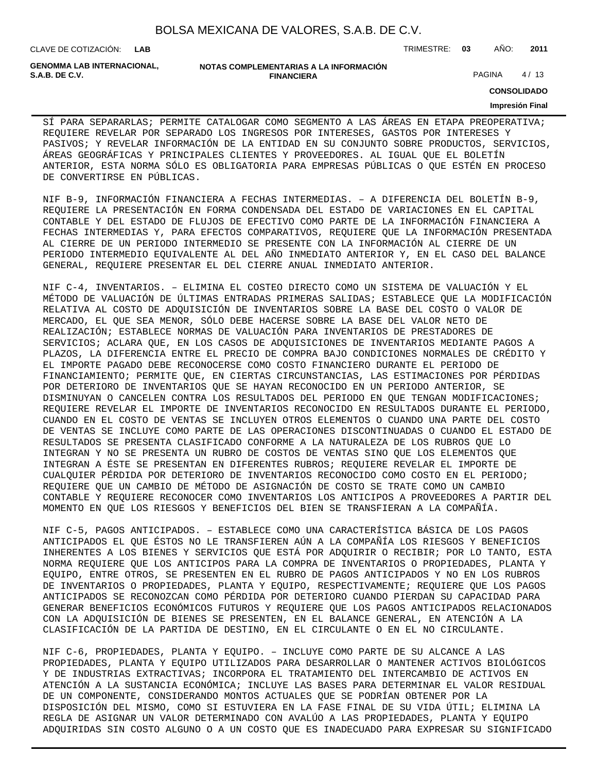CLAVE DE COTIZACIÓN: TRIMESTRE: **03** AÑO: **2011**

**GENOMMA LAB INTERNACIONAL,**

#### **NOTAS COMPLEMENTARIAS A LA INFORMACIÓN FINANCIERA S.A.B. DE C.V.** PAGINA 4/13

**CONSOLIDADO**

### **Impresión Final**

SÍ PARA SEPARARLAS; PERMITE CATALOGAR COMO SEGMENTO A LAS ÁREAS EN ETAPA PREOPERATIVA; REQUIERE REVELAR POR SEPARADO LOS INGRESOS POR INTERESES, GASTOS POR INTERESES Y PASIVOS; Y REVELAR INFORMACIÓN DE LA ENTIDAD EN SU CONJUNTO SOBRE PRODUCTOS, SERVICIOS, ÁREAS GEOGRÁFICAS Y PRINCIPALES CLIENTES Y PROVEEDORES. AL IGUAL QUE EL BOLETÍN ANTERIOR, ESTA NORMA SÓLO ES OBLIGATORIA PARA EMPRESAS PÚBLICAS O QUE ESTÉN EN PROCESO DE CONVERTIRSE EN PÚBLICAS.

NIF B-9, INFORMACIÓN FINANCIERA A FECHAS INTERMEDIAS. – A DIFERENCIA DEL BOLETÍN B-9, REQUIERE LA PRESENTACIÓN EN FORMA CONDENSADA DEL ESTADO DE VARIACIONES EN EL CAPITAL CONTABLE Y DEL ESTADO DE FLUJOS DE EFECTIVO COMO PARTE DE LA INFORMACIÓN FINANCIERA A FECHAS INTERMEDIAS Y, PARA EFECTOS COMPARATIVOS, REQUIERE QUE LA INFORMACIÓN PRESENTADA AL CIERRE DE UN PERIODO INTERMEDIO SE PRESENTE CON LA INFORMACIÓN AL CIERRE DE UN PERIODO INTERMEDIO EQUIVALENTE AL DEL AÑO INMEDIATO ANTERIOR Y, EN EL CASO DEL BALANCE GENERAL, REQUIERE PRESENTAR EL DEL CIERRE ANUAL INMEDIATO ANTERIOR.

NIF C-4, INVENTARIOS. – ELIMINA EL COSTEO DIRECTO COMO UN SISTEMA DE VALUACIÓN Y EL MÉTODO DE VALUACIÓN DE ÚLTIMAS ENTRADAS PRIMERAS SALIDAS; ESTABLECE QUE LA MODIFICACIÓN RELATIVA AL COSTO DE ADQUISICIÓN DE INVENTARIOS SOBRE LA BASE DEL COSTO O VALOR DE MERCADO, EL QUE SEA MENOR, SÓLO DEBE HACERSE SOBRE LA BASE DEL VALOR NETO DE REALIZACIÓN; ESTABLECE NORMAS DE VALUACIÓN PARA INVENTARIOS DE PRESTADORES DE SERVICIOS; ACLARA QUE, EN LOS CASOS DE ADQUISICIONES DE INVENTARIOS MEDIANTE PAGOS A PLAZOS, LA DIFERENCIA ENTRE EL PRECIO DE COMPRA BAJO CONDICIONES NORMALES DE CRÉDITO Y EL IMPORTE PAGADO DEBE RECONOCERSE COMO COSTO FINANCIERO DURANTE EL PERIODO DE FINANCIAMIENTO; PERMITE QUE, EN CIERTAS CIRCUNSTANCIAS, LAS ESTIMACIONES POR PÉRDIDAS POR DETERIORO DE INVENTARIOS QUE SE HAYAN RECONOCIDO EN UN PERIODO ANTERIOR, SE DISMINUYAN O CANCELEN CONTRA LOS RESULTADOS DEL PERIODO EN QUE TENGAN MODIFICACIONES; REQUIERE REVELAR EL IMPORTE DE INVENTARIOS RECONOCIDO EN RESULTADOS DURANTE EL PERIODO, CUANDO EN EL COSTO DE VENTAS SE INCLUYEN OTROS ELEMENTOS O CUANDO UNA PARTE DEL COSTO DE VENTAS SE INCLUYE COMO PARTE DE LAS OPERACIONES DISCONTINUADAS O CUANDO EL ESTADO DE RESULTADOS SE PRESENTA CLASIFICADO CONFORME A LA NATURALEZA DE LOS RUBROS QUE LO INTEGRAN Y NO SE PRESENTA UN RUBRO DE COSTOS DE VENTAS SINO QUE LOS ELEMENTOS QUE INTEGRAN A ÉSTE SE PRESENTAN EN DIFERENTES RUBROS; REQUIERE REVELAR EL IMPORTE DE CUALQUIER PÉRDIDA POR DETERIORO DE INVENTARIOS RECONOCIDO COMO COSTO EN EL PERIODO; REQUIERE QUE UN CAMBIO DE MÉTODO DE ASIGNACIÓN DE COSTO SE TRATE COMO UN CAMBIO CONTABLE Y REQUIERE RECONOCER COMO INVENTARIOS LOS ANTICIPOS A PROVEEDORES A PARTIR DEL MOMENTO EN QUE LOS RIESGOS Y BENEFICIOS DEL BIEN SE TRANSFIERAN A LA COMPAÑÍA.

NIF C-5, PAGOS ANTICIPADOS. – ESTABLECE COMO UNA CARACTERÍSTICA BÁSICA DE LOS PAGOS ANTICIPADOS EL QUE ÉSTOS NO LE TRANSFIEREN AÚN A LA COMPAÑÍA LOS RIESGOS Y BENEFICIOS INHERENTES A LOS BIENES Y SERVICIOS QUE ESTÁ POR ADQUIRIR O RECIBIR; POR LO TANTO, ESTA NORMA REQUIERE QUE LOS ANTICIPOS PARA LA COMPRA DE INVENTARIOS O PROPIEDADES, PLANTA Y EQUIPO, ENTRE OTROS, SE PRESENTEN EN EL RUBRO DE PAGOS ANTICIPADOS Y NO EN LOS RUBROS DE INVENTARIOS O PROPIEDADES, PLANTA Y EQUIPO, RESPECTIVAMENTE; REQUIERE QUE LOS PAGOS ANTICIPADOS SE RECONOZCAN COMO PÉRDIDA POR DETERIORO CUANDO PIERDAN SU CAPACIDAD PARA GENERAR BENEFICIOS ECONÓMICOS FUTUROS Y REQUIERE QUE LOS PAGOS ANTICIPADOS RELACIONADOS CON LA ADQUISICIÓN DE BIENES SE PRESENTEN, EN EL BALANCE GENERAL, EN ATENCIÓN A LA CLASIFICACIÓN DE LA PARTIDA DE DESTINO, EN EL CIRCULANTE O EN EL NO CIRCULANTE.

NIF C-6, PROPIEDADES, PLANTA Y EQUIPO. – INCLUYE COMO PARTE DE SU ALCANCE A LAS PROPIEDADES, PLANTA Y EQUIPO UTILIZADOS PARA DESARROLLAR O MANTENER ACTIVOS BIOLÓGICOS Y DE INDUSTRIAS EXTRACTIVAS; INCORPORA EL TRATAMIENTO DEL INTERCAMBIO DE ACTIVOS EN ATENCIÓN A LA SUSTANCIA ECONÓMICA; INCLUYE LAS BASES PARA DETERMINAR EL VALOR RESIDUAL DE UN COMPONENTE, CONSIDERANDO MONTOS ACTUALES QUE SE PODRÍAN OBTENER POR LA DISPOSICIÓN DEL MISMO, COMO SI ESTUVIERA EN LA FASE FINAL DE SU VIDA ÚTIL; ELIMINA LA REGLA DE ASIGNAR UN VALOR DETERMINADO CON AVALÚO A LAS PROPIEDADES, PLANTA Y EQUIPO ADQUIRIDAS SIN COSTO ALGUNO O A UN COSTO QUE ES INADECUADO PARA EXPRESAR SU SIGNIFICADO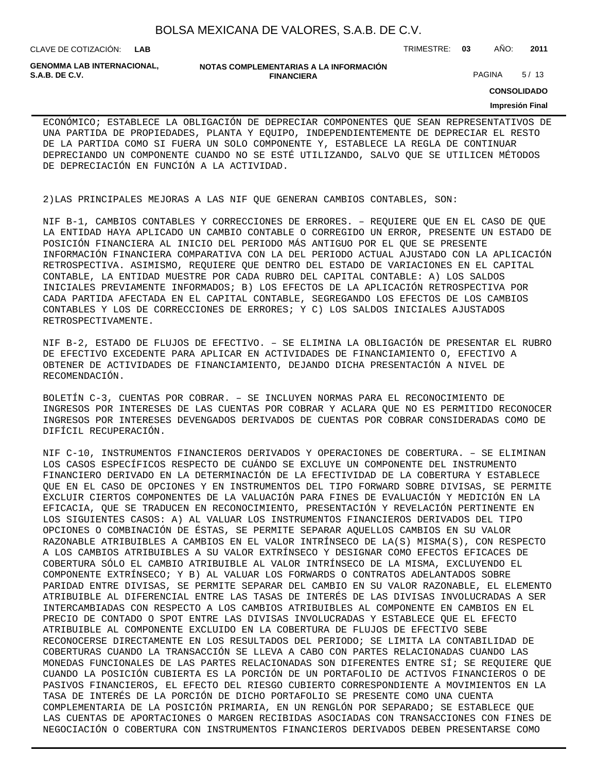| BOLSA MEXICANA DE VALORES, S.A.B. DE C.V. |  |  |  |
|-------------------------------------------|--|--|--|
|-------------------------------------------|--|--|--|

CLAVE DE COTIZACIÓN: TRIMESTRE: **03** AÑO: **2011**

**GENOMMA LAB INTERNACIONAL,**

#### **NOTAS COMPLEMENTARIAS A LA INFORMACIÓN FINANCIERA S.A.B. DE C.V.** PAGINA 5/13

**CONSOLIDADO**

### **Impresión Final**

ECONÓMICO; ESTABLECE LA OBLIGACIÓN DE DEPRECIAR COMPONENTES QUE SEAN REPRESENTATIVOS DE UNA PARTIDA DE PROPIEDADES, PLANTA Y EQUIPO, INDEPENDIENTEMENTE DE DEPRECIAR EL RESTO DE LA PARTIDA COMO SI FUERA UN SOLO COMPONENTE Y, ESTABLECE LA REGLA DE CONTINUAR DEPRECIANDO UN COMPONENTE CUANDO NO SE ESTÉ UTILIZANDO, SALVO QUE SE UTILICEN MÉTODOS DE DEPRECIACIÓN EN FUNCIÓN A LA ACTIVIDAD.

2) LAS PRINCIPALES MEJORAS A LAS NIF QUE GENERAN CAMBIOS CONTABLES, SON:

NIF B-1, CAMBIOS CONTABLES Y CORRECCIONES DE ERRORES. – REQUIERE QUE EN EL CASO DE QUE LA ENTIDAD HAYA APLICADO UN CAMBIO CONTABLE O CORREGIDO UN ERROR, PRESENTE UN ESTADO DE POSICIÓN FINANCIERA AL INICIO DEL PERIODO MÁS ANTIGUO POR EL QUE SE PRESENTE INFORMACIÓN FINANCIERA COMPARATIVA CON LA DEL PERIODO ACTUAL AJUSTADO CON LA APLICACIÓN RETROSPECTIVA. ASIMISMO, REQUIERE QUE DENTRO DEL ESTADO DE VARIACIONES EN EL CAPITAL CONTABLE, LA ENTIDAD MUESTRE POR CADA RUBRO DEL CAPITAL CONTABLE: A) LOS SALDOS INICIALES PREVIAMENTE INFORMADOS; B) LOS EFECTOS DE LA APLICACIÓN RETROSPECTIVA POR CADA PARTIDA AFECTADA EN EL CAPITAL CONTABLE, SEGREGANDO LOS EFECTOS DE LOS CAMBIOS CONTABLES Y LOS DE CORRECCIONES DE ERRORES; Y C) LOS SALDOS INICIALES AJUSTADOS RETROSPECTIVAMENTE.

NIF B-2, ESTADO DE FLUJOS DE EFECTIVO. – SE ELIMINA LA OBLIGACIÓN DE PRESENTAR EL RUBRO DE EFECTIVO EXCEDENTE PARA APLICAR EN ACTIVIDADES DE FINANCIAMIENTO O, EFECTIVO A OBTENER DE ACTIVIDADES DE FINANCIAMIENTO, DEJANDO DICHA PRESENTACIÓN A NIVEL DE RECOMENDACIÓN.

BOLETÍN C-3, CUENTAS POR COBRAR. – SE INCLUYEN NORMAS PARA EL RECONOCIMIENTO DE INGRESOS POR INTERESES DE LAS CUENTAS POR COBRAR Y ACLARA QUE NO ES PERMITIDO RECONOCER INGRESOS POR INTERESES DEVENGADOS DERIVADOS DE CUENTAS POR COBRAR CONSIDERADAS COMO DE DIFÍCIL RECUPERACIÓN.

NIF C-10, INSTRUMENTOS FINANCIEROS DERIVADOS Y OPERACIONES DE COBERTURA. – SE ELIMINAN LOS CASOS ESPECÍFICOS RESPECTO DE CUÁNDO SE EXCLUYE UN COMPONENTE DEL INSTRUMENTO FINANCIERO DERIVADO EN LA DETERMINACIÓN DE LA EFECTIVIDAD DE LA COBERTURA Y ESTABLECE QUE EN EL CASO DE OPCIONES Y EN INSTRUMENTOS DEL TIPO FORWARD SOBRE DIVISAS, SE PERMITE EXCLUIR CIERTOS COMPONENTES DE LA VALUACIÓN PARA FINES DE EVALUACIÓN Y MEDICIÓN EN LA EFICACIA, QUE SE TRADUCEN EN RECONOCIMIENTO, PRESENTACIÓN Y REVELACIÓN PERTINENTE EN LOS SIGUIENTES CASOS: A) AL VALUAR LOS INSTRUMENTOS FINANCIEROS DERIVADOS DEL TIPO OPCIONES O COMBINACIÓN DE ÉSTAS, SE PERMITE SEPARAR AQUELLOS CAMBIOS EN SU VALOR RAZONABLE ATRIBUIBLES A CAMBIOS EN EL VALOR INTRÍNSECO DE LA(S) MISMA(S), CON RESPECTO A LOS CAMBIOS ATRIBUIBLES A SU VALOR EXTRÍNSECO Y DESIGNAR COMO EFECTOS EFICACES DE COBERTURA SÓLO EL CAMBIO ATRIBUIBLE AL VALOR INTRÍNSECO DE LA MISMA, EXCLUYENDO EL COMPONENTE EXTRÍNSECO; Y B) AL VALUAR LOS FORWARDS O CONTRATOS ADELANTADOS SOBRE PARIDAD ENTRE DIVISAS, SE PERMITE SEPARAR DEL CAMBIO EN SU VALOR RAZONABLE, EL ELEMENTO ATRIBUIBLE AL DIFERENCIAL ENTRE LAS TASAS DE INTERÉS DE LAS DIVISAS INVOLUCRADAS A SER INTERCAMBIADAS CON RESPECTO A LOS CAMBIOS ATRIBUIBLES AL COMPONENTE EN CAMBIOS EN EL PRECIO DE CONTADO O SPOT ENTRE LAS DIVISAS INVOLUCRADAS Y ESTABLECE QUE EL EFECTO ATRIBUIBLE AL COMPONENTE EXCLUIDO EN LA COBERTURA DE FLUJOS DE EFECTIVO SEBE RECONOCERSE DIRECTAMENTE EN LOS RESULTADOS DEL PERIODO; SE LIMITA LA CONTABILIDAD DE COBERTURAS CUANDO LA TRANSACCIÓN SE LLEVA A CABO CON PARTES RELACIONADAS CUANDO LAS MONEDAS FUNCIONALES DE LAS PARTES RELACIONADAS SON DIFERENTES ENTRE SÍ; SE REQUIERE QUE CUANDO LA POSICIÓN CUBIERTA ES LA PORCIÓN DE UN PORTAFOLIO DE ACTIVOS FINANCIEROS O DE PASIVOS FINANCIEROS, EL EFECTO DEL RIESGO CUBIERTO CORRESPONDIENTE A MOVIMIENTOS EN LA TASA DE INTERÉS DE LA PORCIÓN DE DICHO PORTAFOLIO SE PRESENTE COMO UNA CUENTA COMPLEMENTARIA DE LA POSICIÓN PRIMARIA, EN UN RENGLÓN POR SEPARADO; SE ESTABLECE QUE LAS CUENTAS DE APORTACIONES O MARGEN RECIBIDAS ASOCIADAS CON TRANSACCIONES CON FINES DE NEGOCIACIÓN O COBERTURA CON INSTRUMENTOS FINANCIEROS DERIVADOS DEBEN PRESENTARSE COMO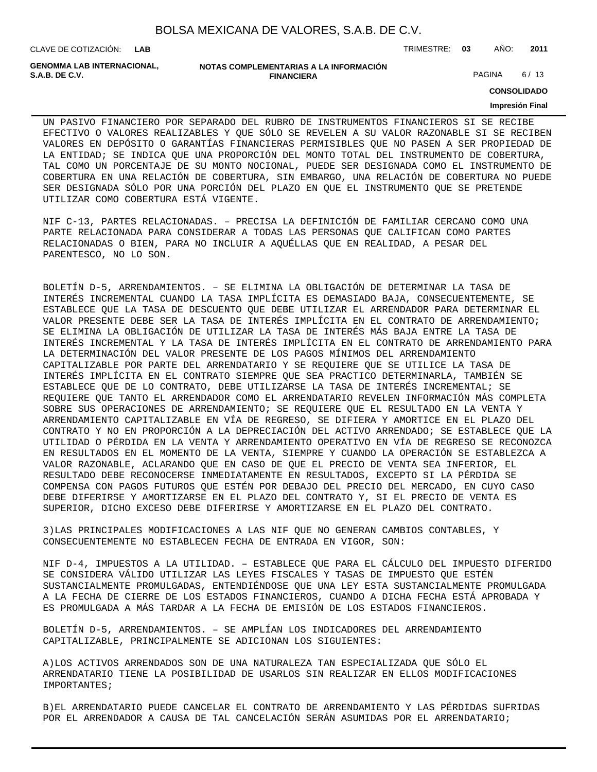CLAVE DE COTIZACIÓN: TRIMESTRE: **03** AÑO: **2011**

**GENOMMA LAB INTERNACIONAL,**

| GENOMMA LAB INTERNACIONAL. | NOTAS COMPLEMENTARIAS A LA INFORMACIÓN |               |      |
|----------------------------|----------------------------------------|---------------|------|
| S.A.B. DE C.V.             | <b>FINANCIERA</b>                      | <b>PAGINA</b> | 6/13 |

**CONSOLIDADO**

#### **Impresión Final**

UN PASIVO FINANCIERO POR SEPARADO DEL RUBRO DE INSTRUMENTOS FINANCIEROS SI SE RECIBE EFECTIVO O VALORES REALIZABLES Y QUE SÓLO SE REVELEN A SU VALOR RAZONABLE SI SE RECIBEN VALORES EN DEPÓSITO O GARANTÍAS FINANCIERAS PERMISIBLES QUE NO PASEN A SER PROPIEDAD DE LA ENTIDAD; SE INDICA QUE UNA PROPORCIÓN DEL MONTO TOTAL DEL INSTRUMENTO DE COBERTURA, TAL COMO UN PORCENTAJE DE SU MONTO NOCIONAL, PUEDE SER DESIGNADA COMO EL INSTRUMENTO DE COBERTURA EN UNA RELACIÓN DE COBERTURA, SIN EMBARGO, UNA RELACIÓN DE COBERTURA NO PUEDE SER DESIGNADA SÓLO POR UNA PORCIÓN DEL PLAZO EN QUE EL INSTRUMENTO QUE SE PRETENDE UTILIZAR COMO COBERTURA ESTÁ VIGENTE.

NIF C-13, PARTES RELACIONADAS. – PRECISA LA DEFINICIÓN DE FAMILIAR CERCANO COMO UNA PARTE RELACIONADA PARA CONSIDERAR A TODAS LAS PERSONAS QUE CALIFICAN COMO PARTES RELACIONADAS O BIEN, PARA NO INCLUIR A AQUÉLLAS QUE EN REALIDAD, A PESAR DEL PARENTESCO, NO LO SON.

BOLETÍN D-5, ARRENDAMIENTOS. – SE ELIMINA LA OBLIGACIÓN DE DETERMINAR LA TASA DE INTERÉS INCREMENTAL CUANDO LA TASA IMPLÍCITA ES DEMASIADO BAJA, CONSECUENTEMENTE, SE ESTABLECE QUE LA TASA DE DESCUENTO QUE DEBE UTILIZAR EL ARRENDADOR PARA DETERMINAR EL VALOR PRESENTE DEBE SER LA TASA DE INTERÉS IMPLÍCITA EN EL CONTRATO DE ARRENDAMIENTO; SE ELIMINA LA OBLIGACIÓN DE UTILIZAR LA TASA DE INTERÉS MÁS BAJA ENTRE LA TASA DE INTERÉS INCREMENTAL Y LA TASA DE INTERÉS IMPLÍCITA EN EL CONTRATO DE ARRENDAMIENTO PARA LA DETERMINACIÓN DEL VALOR PRESENTE DE LOS PAGOS MÍNIMOS DEL ARRENDAMIENTO CAPITALIZABLE POR PARTE DEL ARRENDATARIO Y SE REQUIERE QUE SE UTILICE LA TASA DE INTERÉS IMPLÍCITA EN EL CONTRATO SIEMPRE QUE SEA PRACTICO DETERMINARLA, TAMBIÉN SE ESTABLECE QUE DE LO CONTRATO, DEBE UTILIZARSE LA TASA DE INTERÉS INCREMENTAL; SE REQUIERE QUE TANTO EL ARRENDADOR COMO EL ARRENDATARIO REVELEN INFORMACIÓN MÁS COMPLETA SOBRE SUS OPERACIONES DE ARRENDAMIENTO; SE REQUIERE QUE EL RESULTADO EN LA VENTA Y ARRENDAMIENTO CAPITALIZABLE EN VÍA DE REGRESO, SE DIFIERA Y AMORTICE EN EL PLAZO DEL CONTRATO Y NO EN PROPORCIÓN A LA DEPRECIACIÓN DEL ACTIVO ARRENDADO; SE ESTABLECE QUE LA UTILIDAD O PÉRDIDA EN LA VENTA Y ARRENDAMIENTO OPERATIVO EN VÍA DE REGRESO SE RECONOZCA EN RESULTADOS EN EL MOMENTO DE LA VENTA, SIEMPRE Y CUANDO LA OPERACIÓN SE ESTABLEZCA A VALOR RAZONABLE, ACLARANDO QUE EN CASO DE QUE EL PRECIO DE VENTA SEA INFERIOR, EL RESULTADO DEBE RECONOCERSE INMEDIATAMENTE EN RESULTADOS, EXCEPTO SI LA PÉRDIDA SE COMPENSA CON PAGOS FUTUROS QUE ESTÉN POR DEBAJO DEL PRECIO DEL MERCADO, EN CUYO CASO DEBE DIFERIRSE Y AMORTIZARSE EN EL PLAZO DEL CONTRATO Y, SI EL PRECIO DE VENTA ES SUPERIOR, DICHO EXCESO DEBE DIFERIRSE Y AMORTIZARSE EN EL PLAZO DEL CONTRATO.

3) LAS PRINCIPALES MODIFICACIONES A LAS NIF QUE NO GENERAN CAMBIOS CONTABLES, Y CONSECUENTEMENTE NO ESTABLECEN FECHA DE ENTRADA EN VIGOR, SON:

NIF D-4, IMPUESTOS A LA UTILIDAD. – ESTABLECE QUE PARA EL CÁLCULO DEL IMPUESTO DIFERIDO SE CONSIDERA VÁLIDO UTILIZAR LAS LEYES FISCALES Y TASAS DE IMPUESTO QUE ESTÉN SUSTANCIALMENTE PROMULGADAS, ENTENDIÉNDOSE QUE UNA LEY ESTA SUSTANCIALMENTE PROMULGADA A LA FECHA DE CIERRE DE LOS ESTADOS FINANCIEROS, CUANDO A DICHA FECHA ESTÁ APROBADA Y ES PROMULGADA A MÁS TARDAR A LA FECHA DE EMISIÓN DE LOS ESTADOS FINANCIEROS.

BOLETÍN D-5, ARRENDAMIENTOS. – SE AMPLÍAN LOS INDICADORES DEL ARRENDAMIENTO CAPITALIZABLE, PRINCIPALMENTE SE ADICIONAN LOS SIGUIENTES:

A) LOS ACTIVOS ARRENDADOS SON DE UNA NATURALEZA TAN ESPECIALIZADA QUE SÓLO EL ARRENDATARIO TIENE LA POSIBILIDAD DE USARLOS SIN REALIZAR EN ELLOS MODIFICACIONES IMPORTANTES;

B) EL ARRENDATARIO PUEDE CANCELAR EL CONTRATO DE ARRENDAMIENTO Y LAS PÉRDIDAS SUFRIDAS POR EL ARRENDADOR A CAUSA DE TAL CANCELACIÓN SERÁN ASUMIDAS POR EL ARRENDATARIO;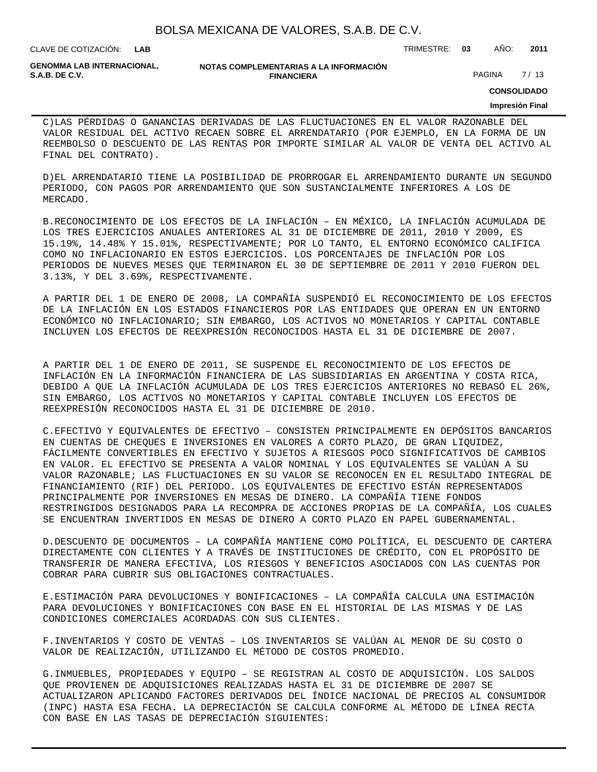| BOLSA MEXICANA DE VALORES, S.A.B. DE C.V. |  |  |
|-------------------------------------------|--|--|
|-------------------------------------------|--|--|

CLAVE DE COTIZACIÓN: TRIMESTRE: **03** AÑO: **2011**

**GENOMMA LAB INTERNACIONAL,**

**NOTAS COMPLEMENTARIAS A LA INFORMACIÓN FINANCIERA S.A.B. DE C.V.** PAGINA 27 / 13

**CONSOLIDADO**

#### **Impresión Final**

C) LAS PÉRDIDAS O GANANCIAS DERIVADAS DE LAS FLUCTUACIONES EN EL VALOR RAZONABLE DEL VALOR RESIDUAL DEL ACTIVO RECAEN SOBRE EL ARRENDATARIO (POR EJEMPLO, EN LA FORMA DE UN REEMBOLSO O DESCUENTO DE LAS RENTAS POR IMPORTE SIMILAR AL VALOR DE VENTA DEL ACTIVO AL FINAL DEL CONTRATO).

D) EL ARRENDATARIO TIENE LA POSIBILIDAD DE PRORROGAR EL ARRENDAMIENTO DURANTE UN SEGUNDO PERIODO, CON PAGOS POR ARRENDAMIENTO QUE SON SUSTANCIALMENTE INFERIORES A LOS DE MERCADO.

B. RECONOCIMIENTO DE LOS EFECTOS DE LA INFLACIÓN – EN MÉXICO, LA INFLACIÓN ACUMULADA DE LOS TRES EJERCICIOS ANUALES ANTERIORES AL 31 DE DICIEMBRE DE 2011, 2010 Y 2009, ES 15.19%, 14.48% Y 15.01%, RESPECTIVAMENTE; POR LO TANTO, EL ENTORNO ECONÓMICO CALIFICA COMO NO INFLACIONARIO EN ESTOS EJERCICIOS. LOS PORCENTAJES DE INFLACIÓN POR LOS PERIODOS DE NUEVES MESES QUE TERMINARON EL 30 DE SEPTIEMBRE DE 2011 Y 2010 FUERON DEL 3.13%, Y DEL 3.69%, RESPECTIVAMENTE.

A PARTIR DEL 1 DE ENERO DE 2008, LA COMPAÑÍA SUSPENDIÓ EL RECONOCIMIENTO DE LOS EFECTOS DE LA INFLACIÓN EN LOS ESTADOS FINANCIEROS POR LAS ENTIDADES QUE OPERAN EN UN ENTORNO ECONÓMICO NO INFLACIONARIO; SIN EMBARGO, LOS ACTIVOS NO MONETARIOS Y CAPITAL CONTABLE INCLUYEN LOS EFECTOS DE REEXPRESIÓN RECONOCIDOS HASTA EL 31 DE DICIEMBRE DE 2007.

A PARTIR DEL 1 DE ENERO DE 2011, SE SUSPENDE EL RECONOCIMIENTO DE LOS EFECTOS DE INFLACIÓN EN LA INFORMACIÓN FINANCIERA DE LAS SUBSIDIARIAS EN ARGENTINA Y COSTA RICA, DEBIDO A QUE LA INFLACIÓN ACUMULADA DE LOS TRES EJERCICIOS ANTERIORES NO REBASÓ EL 26%, SIN EMBARGO, LOS ACTIVOS NO MONETARIOS Y CAPITAL CONTABLE INCLUYEN LOS EFECTOS DE REEXPRESIÓN RECONOCIDOS HASTA EL 31 DE DICIEMBRE DE 2010.

C. EFECTIVO Y EQUIVALENTES DE EFECTIVO – CONSISTEN PRINCIPALMENTE EN DEPÓSITOS BANCARIOS EN CUENTAS DE CHEQUES E INVERSIONES EN VALORES A CORTO PLAZO, DE GRAN LIQUIDEZ, FÁCILMENTE CONVERTIBLES EN EFECTIVO Y SUJETOS A RIESGOS POCO SIGNIFICATIVOS DE CAMBIOS EN VALOR. EL EFECTIVO SE PRESENTA A VALOR NOMINAL Y LOS EQUIVALENTES SE VALÚAN A SU VALOR RAZONABLE; LAS FLUCTUACIONES EN SU VALOR SE RECONOCEN EN EL RESULTADO INTEGRAL DE FINANCIAMIENTO (RIF) DEL PERIODO. LOS EQUIVALENTES DE EFECTIVO ESTÁN REPRESENTADOS PRINCIPALMENTE POR INVERSIONES EN MESAS DE DINERO. LA COMPAÑÍA TIENE FONDOS RESTRINGIDOS DESIGNADOS PARA LA RECOMPRA DE ACCIONES PROPIAS DE LA COMPAÑÍA, LOS CUALES SE ENCUENTRAN INVERTIDOS EN MESAS DE DINERO A CORTO PLAZO EN PAPEL GUBERNAMENTAL.

D. DESCUENTO DE DOCUMENTOS – LA COMPAÑÍA MANTIENE COMO POLÍTICA, EL DESCUENTO DE CARTERA DIRECTAMENTE CON CLIENTES Y A TRAVÉS DE INSTITUCIONES DE CRÉDITO, CON EL PROPÓSITO DE TRANSFERIR DE MANERA EFECTIVA, LOS RIESGOS Y BENEFICIOS ASOCIADOS CON LAS CUENTAS POR COBRAR PARA CUBRIR SUS OBLIGACIONES CONTRACTUALES.

E. ESTIMACIÓN PARA DEVOLUCIONES Y BONIFICACIONES – LA COMPAÑÍA CALCULA UNA ESTIMACIÓN PARA DEVOLUCIONES Y BONIFICACIONES CON BASE EN EL HISTORIAL DE LAS MISMAS Y DE LAS CONDICIONES COMERCIALES ACORDADAS CON SUS CLIENTES.

F. INVENTARIOS Y COSTO DE VENTAS – LOS INVENTARIOS SE VALÚAN AL MENOR DE SU COSTO O VALOR DE REALIZACIÓN, UTILIZANDO EL MÉTODO DE COSTOS PROMEDIO.

G. INMUEBLES, PROPIEDADES Y EQUIPO – SE REGISTRAN AL COSTO DE ADQUISICIÓN. LOS SALDOS QUE PROVIENEN DE ADQUISICIONES REALIZADAS HASTA EL 31 DE DICIEMBRE DE 2007 SE ACTUALIZARON APLICANDO FACTORES DERIVADOS DEL ÍNDICE NACIONAL DE PRECIOS AL CONSUMIDOR (INPC) HASTA ESA FECHA. LA DEPRECIACIÓN SE CALCULA CONFORME AL MÉTODO DE LÍNEA RECTA CON BASE EN LAS TASAS DE DEPRECIACIÓN SIGUIENTES: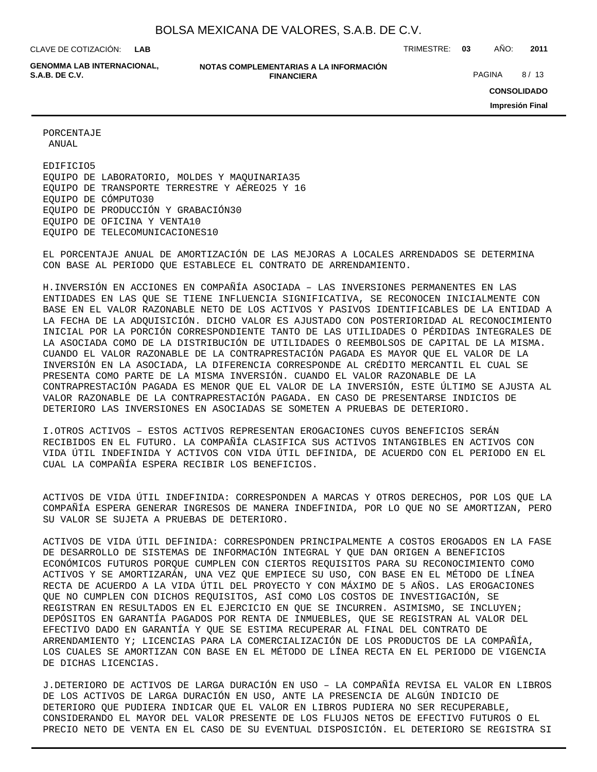**LAB**

**GENOMMA LAB INTERNACIONAL,**

**NOTAS COMPLEMENTARIAS A LA INFORMACIÓN FINANCIERA S.A.B. DE C.V.** PAGINA 8 / 13

CLAVE DE COTIZACIÓN: TRIMESTRE: **03** AÑO: **2011**

**CONSOLIDADO**

**Impresión Final**

PORCENTAJE ANUAL

EDIFICIO 5 EQUIPO DE LABORATORIO, MOLDES Y MAQUINARIA 35 EQUIPO DE TRANSPORTE TERRESTRE Y AÉREO 25 Y 16 EQUIPO DE CÓMPUTO 30 EQUIPO DE PRODUCCIÓN Y GRABACIÓN 30 EQUIPO DE OFICINA Y VENTA 10 EQUIPO DE TELECOMUNICACIONES 10

EL PORCENTAJE ANUAL DE AMORTIZACIÓN DE LAS MEJORAS A LOCALES ARRENDADOS SE DETERMINA CON BASE AL PERIODO QUE ESTABLECE EL CONTRATO DE ARRENDAMIENTO.

H. INVERSIÓN EN ACCIONES EN COMPAÑÍA ASOCIADA - LAS INVERSIONES PERMANENTES EN LAS ENTIDADES EN LAS QUE SE TIENE INFLUENCIA SIGNIFICATIVA, SE RECONOCEN INICIALMENTE CON BASE EN EL VALOR RAZONABLE NETO DE LOS ACTIVOS Y PASIVOS IDENTIFICABLES DE LA ENTIDAD A LA FECHA DE LA ADQUISICIÓN. DICHO VALOR ES AJUSTADO CON POSTERIORIDAD AL RECONOCIMIENTO INICIAL POR LA PORCIÓN CORRESPONDIENTE TANTO DE LAS UTILIDADES O PÉRDIDAS INTEGRALES DE LA ASOCIADA COMO DE LA DISTRIBUCIÓN DE UTILIDADES O REEMBOLSOS DE CAPITAL DE LA MISMA. CUANDO EL VALOR RAZONABLE DE LA CONTRAPRESTACIÓN PAGADA ES MAYOR QUE EL VALOR DE LA INVERSIÓN EN LA ASOCIADA, LA DIFERENCIA CORRESPONDE AL CRÉDITO MERCANTIL EL CUAL SE PRESENTA COMO PARTE DE LA MISMA INVERSIÓN. CUANDO EL VALOR RAZONABLE DE LA CONTRAPRESTACIÓN PAGADA ES MENOR QUE EL VALOR DE LA INVERSIÓN, ESTE ÚLTIMO SE AJUSTA AL VALOR RAZONABLE DE LA CONTRAPRESTACIÓN PAGADA. EN CASO DE PRESENTARSE INDICIOS DE DETERIORO LAS INVERSIONES EN ASOCIADAS SE SOMETEN A PRUEBAS DE DETERIORO.

I. OTROS ACTIVOS - ESTOS ACTIVOS REPRESENTAN EROGACIONES CUYOS BENEFICIOS SERÁN RECIBIDOS EN EL FUTURO. LA COMPAÑÍA CLASIFICA SUS ACTIVOS INTANGIBLES EN ACTIVOS CON VIDA ÚTIL INDEFINIDA Y ACTIVOS CON VIDA ÚTIL DEFINIDA, DE ACUERDO CON EL PERIODO EN EL CUAL LA COMPAÑÍA ESPERA RECIBIR LOS BENEFICIOS.

ACTIVOS DE VIDA ÚTIL INDEFINIDA: CORRESPONDEN A MARCAS Y OTROS DERECHOS, POR LOS QUE LA COMPAÑÍA ESPERA GENERAR INGRESOS DE MANERA INDEFINIDA, POR LO QUE NO SE AMORTIZAN, PERO SU VALOR SE SUJETA A PRUEBAS DE DETERIORO.

ACTIVOS DE VIDA ÚTIL DEFINIDA: CORRESPONDEN PRINCIPALMENTE A COSTOS EROGADOS EN LA FASE DE DESARROLLO DE SISTEMAS DE INFORMACIÓN INTEGRAL Y QUE DAN ORIGEN A BENEFICIOS ECONÓMICOS FUTUROS PORQUE CUMPLEN CON CIERTOS REQUISITOS PARA SU RECONOCIMIENTO COMO ACTIVOS Y SE AMORTIZARÁN, UNA VEZ QUE EMPIECE SU USO, CON BASE EN EL MÉTODO DE LÍNEA RECTA DE ACUERDO A LA VIDA ÚTIL DEL PROYECTO Y CON MÁXIMO DE 5 AÑOS. LAS EROGACIONES QUE NO CUMPLEN CON DICHOS REQUISITOS, ASÍ COMO LOS COSTOS DE INVESTIGACIÓN, SE REGISTRAN EN RESULTADOS EN EL EJERCICIO EN QUE SE INCURREN. ASIMISMO, SE INCLUYEN; DEPÓSITOS EN GARANTÍA PAGADOS POR RENTA DE INMUEBLES, QUE SE REGISTRAN AL VALOR DEL EFECTIVO DADO EN GARANTÍA Y QUE SE ESTIMA RECUPERAR AL FINAL DEL CONTRATO DE ARRENDAMIENTO Y; LICENCIAS PARA LA COMERCIALIZACIÓN DE LOS PRODUCTOS DE LA COMPAÑÍA, LOS CUALES SE AMORTIZAN CON BASE EN EL MÉTODO DE LÍNEA RECTA EN EL PERIODO DE VIGENCIA DE DICHAS LICENCIAS.

J. DETERIORO DE ACTIVOS DE LARGA DURACIÓN EN USO – LA COMPAÑÍA REVISA EL VALOR EN LIBROS DE LOS ACTIVOS DE LARGA DURACIÓN EN USO, ANTE LA PRESENCIA DE ALGÚN INDICIO DE DETERIORO QUE PUDIERA INDICAR QUE EL VALOR EN LIBROS PUDIERA NO SER RECUPERABLE, CONSIDERANDO EL MAYOR DEL VALOR PRESENTE DE LOS FLUJOS NETOS DE EFECTIVO FUTUROS O EL PRECIO NETO DE VENTA EN EL CASO DE SU EVENTUAL DISPOSICIÓN. EL DETERIORO SE REGISTRA SI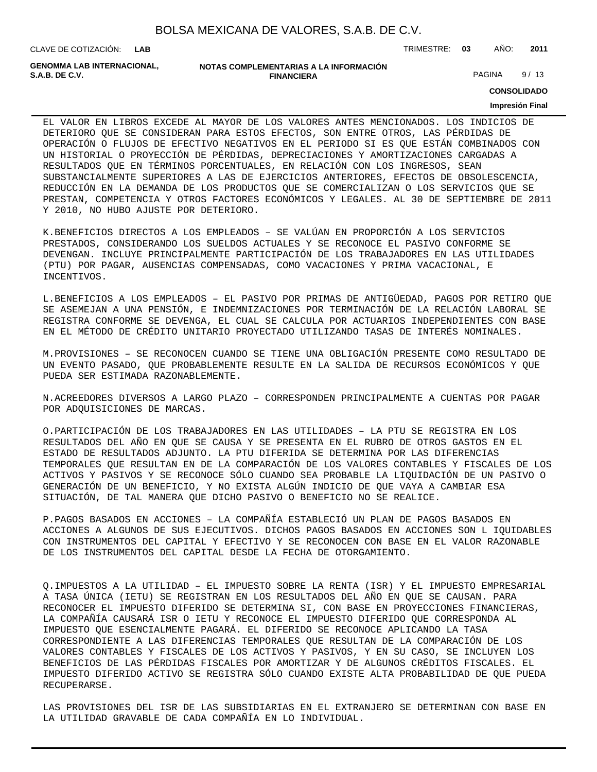| BOLSA MEXICANA DE VALORES, S.A.B. DE C.V. |  |  |  |  |  |
|-------------------------------------------|--|--|--|--|--|
|-------------------------------------------|--|--|--|--|--|

CLAVE DE COTIZACIÓN: TRIMESTRE: **03** AÑO: **2011 LAB**

**GENOMMA LAB INTERNACIONAL,**

```
NOTAS COMPLEMENTARIAS A LA INFORMACIÓN
                       FINANCIERA
S.A.B. DE C.V. PAGINA 9/13
```
**CONSOLIDADO**

#### **Impresión Final**

EL VALOR EN LIBROS EXCEDE AL MAYOR DE LOS VALORES ANTES MENCIONADOS. LOS INDICIOS DE DETERIORO QUE SE CONSIDERAN PARA ESTOS EFECTOS, SON ENTRE OTROS, LAS PÉRDIDAS DE OPERACIÓN O FLUJOS DE EFECTIVO NEGATIVOS EN EL PERIODO SI ES QUE ESTÁN COMBINADOS CON UN HISTORIAL O PROYECCIÓN DE PÉRDIDAS, DEPRECIACIONES Y AMORTIZACIONES CARGADAS A RESULTADOS QUE EN TÉRMINOS PORCENTUALES, EN RELACIÓN CON LOS INGRESOS, SEAN SUBSTANCIALMENTE SUPERIORES A LAS DE EJERCICIOS ANTERIORES, EFECTOS DE OBSOLESCENCIA, REDUCCIÓN EN LA DEMANDA DE LOS PRODUCTOS QUE SE COMERCIALIZAN O LOS SERVICIOS QUE SE PRESTAN, COMPETENCIA Y OTROS FACTORES ECONÓMICOS Y LEGALES. AL 30 DE SEPTIEMBRE DE 2011 Y 2010, NO HUBO AJUSTE POR DETERIORO.

K. BENEFICIOS DIRECTOS A LOS EMPLEADOS – SE VALÚAN EN PROPORCIÓN A LOS SERVICIOS PRESTADOS, CONSIDERANDO LOS SUELDOS ACTUALES Y SE RECONOCE EL PASIVO CONFORME SE DEVENGAN. INCLUYE PRINCIPALMENTE PARTICIPACIÓN DE LOS TRABAJADORES EN LAS UTILIDADES (PTU) POR PAGAR, AUSENCIAS COMPENSADAS, COMO VACACIONES Y PRIMA VACACIONAL, E INCENTIVOS.

L. BENEFICIOS A LOS EMPLEADOS - EL PASIVO POR PRIMAS DE ANTIGÜEDAD, PAGOS POR RETIRO OUE SE ASEMEJAN A UNA PENSIÓN, E INDEMNIZACIONES POR TERMINACIÓN DE LA RELACIÓN LABORAL SE REGISTRA CONFORME SE DEVENGA, EL CUAL SE CALCULA POR ACTUARIOS INDEPENDIENTES CON BASE EN EL MÉTODO DE CRÉDITO UNITARIO PROYECTADO UTILIZANDO TASAS DE INTERÉS NOMINALES.

M. PROVISIONES – SE RECONOCEN CUANDO SE TIENE UNA OBLIGACIÓN PRESENTE COMO RESULTADO DE UN EVENTO PASADO, QUE PROBABLEMENTE RESULTE EN LA SALIDA DE RECURSOS ECONÓMICOS Y QUE PUEDA SER ESTIMADA RAZONABLEMENTE.

N. ACREEDORES DIVERSOS A LARGO PLAZO – CORRESPONDEN PRINCIPALMENTE A CUENTAS POR PAGAR POR ADQUISICIONES DE MARCAS.

O. PARTICIPACIÓN DE LOS TRABAJADORES EN LAS UTILIDADES – LA PTU SE REGISTRA EN LOS RESULTADOS DEL AÑO EN QUE SE CAUSA Y SE PRESENTA EN EL RUBRO DE OTROS GASTOS EN EL ESTADO DE RESULTADOS ADJUNTO. LA PTU DIFERIDA SE DETERMINA POR LAS DIFERENCIAS TEMPORALES QUE RESULTAN EN DE LA COMPARACIÓN DE LOS VALORES CONTABLES Y FISCALES DE LOS ACTIVOS Y PASIVOS Y SE RECONOCE SÓLO CUANDO SEA PROBABLE LA LIQUIDACIÓN DE UN PASIVO O GENERACIÓN DE UN BENEFICIO, Y NO EXISTA ALGÚN INDICIO DE QUE VAYA A CAMBIAR ESA SITUACIÓN, DE TAL MANERA QUE DICHO PASIVO O BENEFICIO NO SE REALICE.

P. PAGOS BASADOS EN ACCIONES – LA COMPAÑÍA ESTABLECIÓ UN PLAN DE PAGOS BASADOS EN ACCIONES A ALGUNOS DE SUS EJECUTIVOS. DICHOS PAGOS BASADOS EN ACCIONES SON L IQUIDABLES CON INSTRUMENTOS DEL CAPITAL Y EFECTIVO Y SE RECONOCEN CON BASE EN EL VALOR RAZONABLE DE LOS INSTRUMENTOS DEL CAPITAL DESDE LA FECHA DE OTORGAMIENTO.

Q. IMPUESTOS A LA UTILIDAD – EL IMPUESTO SOBRE LA RENTA (ISR) Y EL IMPUESTO EMPRESARIAL A TASA ÚNICA (IETU) SE REGISTRAN EN LOS RESULTADOS DEL AÑO EN QUE SE CAUSAN. PARA RECONOCER EL IMPUESTO DIFERIDO SE DETERMINA SI, CON BASE EN PROYECCIONES FINANCIERAS, LA COMPAÑÍA CAUSARÁ ISR O IETU Y RECONOCE EL IMPUESTO DIFERIDO QUE CORRESPONDA AL IMPUESTO QUE ESENCIALMENTE PAGARÁ. EL DIFERIDO SE RECONOCE APLICANDO LA TASA CORRESPONDIENTE A LAS DIFERENCIAS TEMPORALES QUE RESULTAN DE LA COMPARACIÓN DE LOS VALORES CONTABLES Y FISCALES DE LOS ACTIVOS Y PASIVOS, Y EN SU CASO, SE INCLUYEN LOS BENEFICIOS DE LAS PÉRDIDAS FISCALES POR AMORTIZAR Y DE ALGUNOS CRÉDITOS FISCALES. EL IMPUESTO DIFERIDO ACTIVO SE REGISTRA SÓLO CUANDO EXISTE ALTA PROBABILIDAD DE QUE PUEDA RECUPERARSE.

LAS PROVISIONES DEL ISR DE LAS SUBSIDIARIAS EN EL EXTRANJERO SE DETERMINAN CON BASE EN LA UTILIDAD GRAVABLE DE CADA COMPAÑÍA EN LO INDIVIDUAL.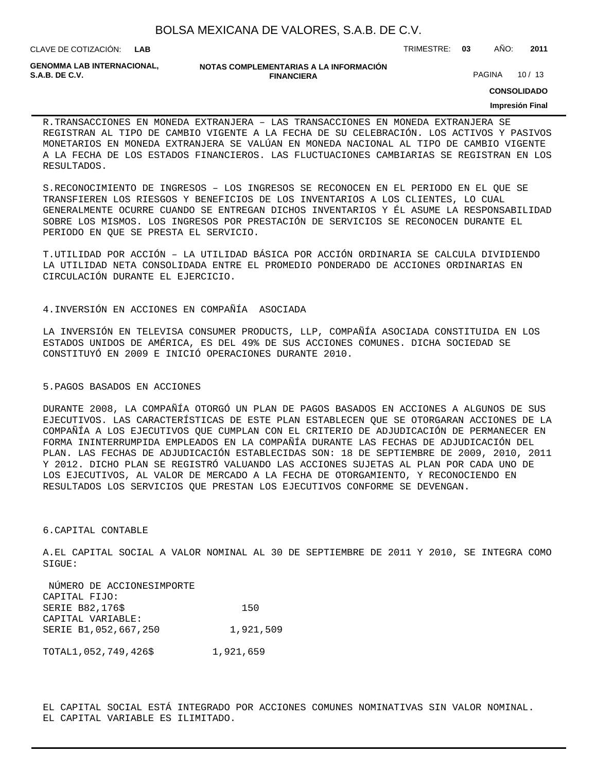| BOLSA MEXICANA DE VALORES, S.A.B. DE C.V. |  |  |
|-------------------------------------------|--|--|
|-------------------------------------------|--|--|

CLAVE DE COTIZACIÓN: TRIMESTRE: **03** AÑO: **2011**

**GENOMMA LAB INTERNACIONAL,**

**NOTAS COMPLEMENTARIAS A LA INFORMACIÓN FINANCIERA**

PAGINA 10 / 13

**CONSOLIDADO**

#### **Impresión Final**

R. TRANSACCIONES EN MONEDA EXTRANJERA - LAS TRANSACCIONES EN MONEDA EXTRANJERA SE REGISTRAN AL TIPO DE CAMBIO VIGENTE A LA FECHA DE SU CELEBRACIÓN. LOS ACTIVOS Y PASIVOS MONETARIOS EN MONEDA EXTRANJERA SE VALÚAN EN MONEDA NACIONAL AL TIPO DE CAMBIO VIGENTE A LA FECHA DE LOS ESTADOS FINANCIEROS. LAS FLUCTUACIONES CAMBIARIAS SE REGISTRAN EN LOS RESULTADOS.

S. RECONOCIMIENTO DE INGRESOS - LOS INGRESOS SE RECONOCEN EN EL PERIODO EN EL QUE SE TRANSFIEREN LOS RIESGOS Y BENEFICIOS DE LOS INVENTARIOS A LOS CLIENTES, LO CUAL GENERALMENTE OCURRE CUANDO SE ENTREGAN DICHOS INVENTARIOS Y ÉL ASUME LA RESPONSABILIDAD SOBRE LOS MISMOS. LOS INGRESOS POR PRESTACIÓN DE SERVICIOS SE RECONOCEN DURANTE EL PERIODO EN QUE SE PRESTA EL SERVICIO.

T. UTILIDAD POR ACCIÓN – LA UTILIDAD BÁSICA POR ACCIÓN ORDINARIA SE CALCULA DIVIDIENDO LA UTILIDAD NETA CONSOLIDADA ENTRE EL PROMEDIO PONDERADO DE ACCIONES ORDINARIAS EN CIRCULACIÓN DURANTE EL EJERCICIO.

4. INVERSIÓN EN ACCIONES EN COMPAÑÍA ASOCIADA

LA INVERSIÓN EN TELEVISA CONSUMER PRODUCTS, LLP, COMPAÑÍA ASOCIADA CONSTITUIDA EN LOS ESTADOS UNIDOS DE AMÉRICA, ES DEL 49% DE SUS ACCIONES COMUNES. DICHA SOCIEDAD SE CONSTITUYÓ EN 2009 E INICIÓ OPERACIONES DURANTE 2010.

5. PAGOS BASADOS EN ACCIONES

DURANTE 2008, LA COMPAÑÍA OTORGÓ UN PLAN DE PAGOS BASADOS EN ACCIONES A ALGUNOS DE SUS EJECUTIVOS. LAS CARACTERÍSTICAS DE ESTE PLAN ESTABLECEN QUE SE OTORGARAN ACCIONES DE LA COMPAÑÍA A LOS EJECUTIVOS QUE CUMPLAN CON EL CRITERIO DE ADJUDICACIÓN DE PERMANECER EN FORMA ININTERRUMPIDA EMPLEADOS EN LA COMPAÑÍA DURANTE LAS FECHAS DE ADJUDICACIÓN DEL PLAN. LAS FECHAS DE ADJUDICACIÓN ESTABLECIDAS SON: 18 DE SEPTIEMBRE DE 2009, 2010, 2011 Y 2012. DICHO PLAN SE REGISTRÓ VALUANDO LAS ACCIONES SUJETAS AL PLAN POR CADA UNO DE LOS EJECUTIVOS, AL VALOR DE MERCADO A LA FECHA DE OTORGAMIENTO, Y RECONOCIENDO EN RESULTADOS LOS SERVICIOS QUE PRESTAN LOS EJECUTIVOS CONFORME SE DEVENGAN.

6. CAPITAL CONTABLE

A. EL CAPITAL SOCIAL A VALOR NOMINAL AL 30 DE SEPTIEMBRE DE 2011 Y 2010, SE INTEGRA COMO SIGUE:

| NUMERO DE ACCIONES IMPORTE |           |
|----------------------------|-----------|
| CAPITAL FIJO:              |           |
| SERIE B 82,176 \$          | 150       |
| CAPITAL VARIABLE:          |           |
| SERIE B 1,052,667,250      | 1,921,509 |
|                            |           |
| TOTAL 1,052,749,426 \$     | 1,921,659 |

EL CAPITAL SOCIAL ESTÁ INTEGRADO POR ACCIONES COMUNES NOMINATIVAS SIN VALOR NOMINAL. EL CAPITAL VARIABLE ES ILIMITADO.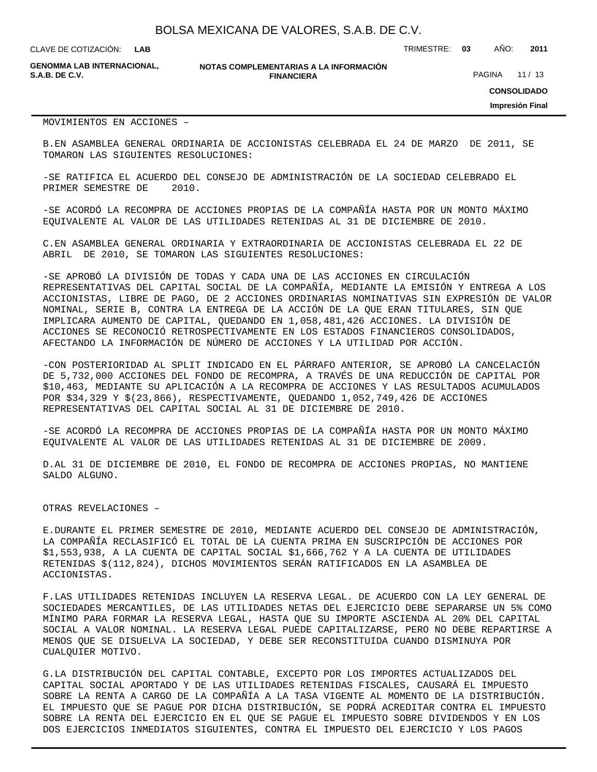CLAVE DE COTIZACIÓN: TRIMESTRE: **03** AÑO: **2011 LAB**

**GENOMMA LAB INTERNACIONAL,**

**NOTAS COMPLEMENTARIAS A LA INFORMACIÓN FINANCIERA**

PAGINA 11 / 13

**CONSOLIDADO**

**Impresión Final**

MOVIMIENTOS EN ACCIONES –

B. EN ASAMBLEA GENERAL ORDINARIA DE ACCIONISTAS CELEBRADA EL 24 DE MARZO DE 2011, SE TOMARON LAS SIGUIENTES RESOLUCIONES:

- SE RATIFICA EL ACUERDO DEL CONSEJO DE ADMINISTRACIÓN DE LA SOCIEDAD CELEBRADO EL PRIMER SEMESTRE DE 2010.

- SE ACORDÓ LA RECOMPRA DE ACCIONES PROPIAS DE LA COMPAÑÍA HASTA POR UN MONTO MÁXIMO EQUIVALENTE AL VALOR DE LAS UTILIDADES RETENIDAS AL 31 DE DICIEMBRE DE 2010.

C. EN ASAMBLEA GENERAL ORDINARIA Y EXTRAORDINARIA DE ACCIONISTAS CELEBRADA EL 22 DE ABRIL DE 2010, SE TOMARON LAS SIGUIENTES RESOLUCIONES:

- SE APROBÓ LA DIVISIÓN DE TODAS Y CADA UNA DE LAS ACCIONES EN CIRCULACIÓN REPRESENTATIVAS DEL CAPITAL SOCIAL DE LA COMPAÑÍA, MEDIANTE LA EMISIÓN Y ENTREGA A LOS ACCIONISTAS, LIBRE DE PAGO, DE 2 ACCIONES ORDINARIAS NOMINATIVAS SIN EXPRESIÓN DE VALOR NOMINAL, SERIE B, CONTRA LA ENTREGA DE LA ACCIÓN DE LA QUE ERAN TITULARES, SIN QUE IMPLICARA AUMENTO DE CAPITAL, QUEDANDO EN 1,058,481,426 ACCIONES. LA DIVISIÓN DE ACCIONES SE RECONOCIÓ RETROSPECTIVAMENTE EN LOS ESTADOS FINANCIEROS CONSOLIDADOS, AFECTANDO LA INFORMACIÓN DE NÚMERO DE ACCIONES Y LA UTILIDAD POR ACCIÓN.

- CON POSTERIORIDAD AL SPLIT INDICADO EN EL PÁRRAFO ANTERIOR, SE APROBÓ LA CANCELACIÓN DE 5,732,000 ACCIONES DEL FONDO DE RECOMPRA, A TRAVÉS DE UNA REDUCCIÓN DE CAPITAL POR \$10,463, MEDIANTE SU APLICACIÓN A LA RECOMPRA DE ACCIONES Y LAS RESULTADOS ACUMULADOS POR \$34,329 Y \$(23,866), RESPECTIVAMENTE, QUEDANDO 1,052,749,426 DE ACCIONES REPRESENTATIVAS DEL CAPITAL SOCIAL AL 31 DE DICIEMBRE DE 2010.

- SE ACORDÓ LA RECOMPRA DE ACCIONES PROPIAS DE LA COMPAÑÍA HASTA POR UN MONTO MÁXIMO EQUIVALENTE AL VALOR DE LAS UTILIDADES RETENIDAS AL 31 DE DICIEMBRE DE 2009.

D. AL 31 DE DICIEMBRE DE 2010, EL FONDO DE RECOMPRA DE ACCIONES PROPIAS, NO MANTIENE SALDO ALGUNO.

OTRAS REVELACIONES –

E. DURANTE EL PRIMER SEMESTRE DE 2010, MEDIANTE ACUERDO DEL CONSEJO DE ADMINISTRACIÓN, LA COMPAÑÍA RECLASIFICÓ EL TOTAL DE LA CUENTA PRIMA EN SUSCRIPCIÓN DE ACCIONES POR \$1,553,938, A LA CUENTA DE CAPITAL SOCIAL \$1,666,762 Y A LA CUENTA DE UTILIDADES RETENIDAS \$(112,824), DICHOS MOVIMIENTOS SERÁN RATIFICADOS EN LA ASAMBLEA DE ACCIONISTAS.

F. LAS UTILIDADES RETENIDAS INCLUYEN LA RESERVA LEGAL. DE ACUERDO CON LA LEY GENERAL DE SOCIEDADES MERCANTILES, DE LAS UTILIDADES NETAS DEL EJERCICIO DEBE SEPARARSE UN 5% COMO MÍNIMO PARA FORMAR LA RESERVA LEGAL, HASTA QUE SU IMPORTE ASCIENDA AL 20% DEL CAPITAL SOCIAL A VALOR NOMINAL. LA RESERVA LEGAL PUEDE CAPITALIZARSE, PERO NO DEBE REPARTIRSE A MENOS QUE SE DISUELVA LA SOCIEDAD, Y DEBE SER RECONSTITUIDA CUANDO DISMINUYA POR CUALQUIER MOTIVO.

G. LA DISTRIBUCIÓN DEL CAPITAL CONTABLE, EXCEPTO POR LOS IMPORTES ACTUALIZADOS DEL CAPITAL SOCIAL APORTADO Y DE LAS UTILIDADES RETENIDAS FISCALES, CAUSARÁ EL IMPUESTO SOBRE LA RENTA A CARGO DE LA COMPAÑÍA A LA TASA VIGENTE AL MOMENTO DE LA DISTRIBUCIÓN. EL IMPUESTO QUE SE PAGUE POR DICHA DISTRIBUCIÓN, SE PODRÁ ACREDITAR CONTRA EL IMPUESTO SOBRE LA RENTA DEL EJERCICIO EN EL QUE SE PAGUE EL IMPUESTO SOBRE DIVIDENDOS Y EN LOS DOS EJERCICIOS INMEDIATOS SIGUIENTES, CONTRA EL IMPUESTO DEL EJERCICIO Y LOS PAGOS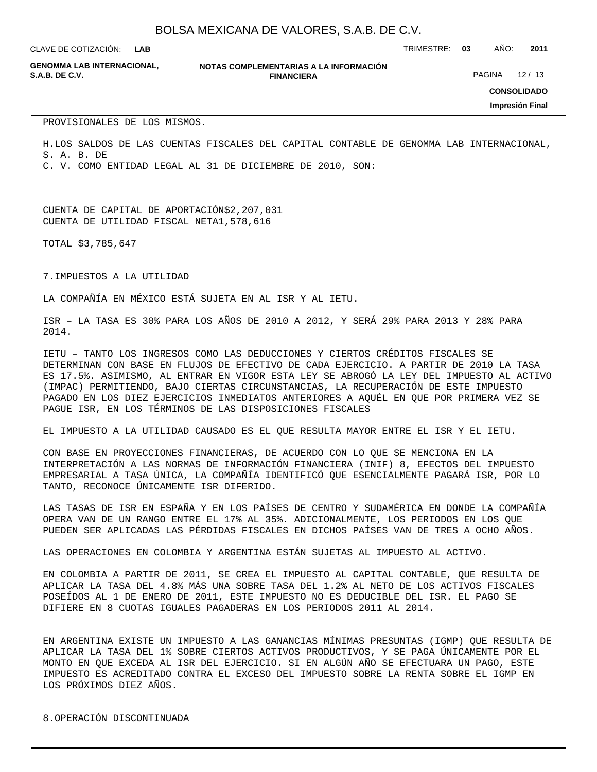CLAVE DE COTIZACIÓN: TRIMESTRE: **03** AÑO: **2011 LAB**

**GENOMMA LAB INTERNACIONAL,**

**NOTAS COMPLEMENTARIAS A LA INFORMACIÓN FINANCIERA**

PAGINA 12 / 13

**CONSOLIDADO**

**Impresión Final**

PROVISIONALES DE LOS MISMOS.

H. LOS SALDOS DE LAS CUENTAS FISCALES DEL CAPITAL CONTABLE DE GENOMMA LAB INTERNACIONAL, S. A. B. DE

C. V. COMO ENTIDAD LEGAL AL 31 DE DICIEMBRE DE 2010, SON:

CUENTA DE CAPITAL DE APORTACIÓN \$ 2,207,031 CUENTA DE UTILIDAD FISCAL NETA 1,578,616

TOTAL \$ 3,785,647

7. IMPUESTOS A LA UTILIDAD

LA COMPAÑÍA EN MÉXICO ESTÁ SUJETA EN AL ISR Y AL IETU.

ISR – LA TASA ES 30% PARA LOS AÑOS DE 2010 A 2012, Y SERÁ 29% PARA 2013 Y 28% PARA 2014.

IETU – TANTO LOS INGRESOS COMO LAS DEDUCCIONES Y CIERTOS CRÉDITOS FISCALES SE DETERMINAN CON BASE EN FLUJOS DE EFECTIVO DE CADA EJERCICIO. A PARTIR DE 2010 LA TASA ES 17.5%. ASIMISMO, AL ENTRAR EN VIGOR ESTA LEY SE ABROGÓ LA LEY DEL IMPUESTO AL ACTIVO (IMPAC) PERMITIENDO, BAJO CIERTAS CIRCUNSTANCIAS, LA RECUPERACIÓN DE ESTE IMPUESTO PAGADO EN LOS DIEZ EJERCICIOS INMEDIATOS ANTERIORES A AQUÉL EN QUE POR PRIMERA VEZ SE PAGUE ISR, EN LOS TÉRMINOS DE LAS DISPOSICIONES FISCALES

EL IMPUESTO A LA UTILIDAD CAUSADO ES EL QUE RESULTA MAYOR ENTRE EL ISR Y EL IETU.

CON BASE EN PROYECCIONES FINANCIERAS, DE ACUERDO CON LO QUE SE MENCIONA EN LA INTERPRETACIÓN A LAS NORMAS DE INFORMACIÓN FINANCIERA (INIF) 8, EFECTOS DEL IMPUESTO EMPRESARIAL A TASA ÚNICA, LA COMPAÑÍA IDENTIFICÓ QUE ESENCIALMENTE PAGARÁ ISR, POR LO TANTO, RECONOCE ÚNICAMENTE ISR DIFERIDO.

LAS TASAS DE ISR EN ESPAÑA Y EN LOS PAÍSES DE CENTRO Y SUDAMÉRICA EN DONDE LA COMPAÑÍA OPERA VAN DE UN RANGO ENTRE EL 17% AL 35%. ADICIONALMENTE, LOS PERIODOS EN LOS QUE PUEDEN SER APLICADAS LAS PÉRDIDAS FISCALES EN DICHOS PAÍSES VAN DE TRES A OCHO AÑOS.

LAS OPERACIONES EN COLOMBIA Y ARGENTINA ESTÁN SUJETAS AL IMPUESTO AL ACTIVO.

EN COLOMBIA A PARTIR DE 2011, SE CREA EL IMPUESTO AL CAPITAL CONTABLE, QUE RESULTA DE APLICAR LA TASA DEL 4.8% MÁS UNA SOBRE TASA DEL 1.2% AL NETO DE LOS ACTIVOS FISCALES POSEÍDOS AL 1 DE ENERO DE 2011, ESTE IMPUESTO NO ES DEDUCIBLE DEL ISR. EL PAGO SE DIFIERE EN 8 CUOTAS IGUALES PAGADERAS EN LOS PERIODOS 2011 AL 2014.

EN ARGENTINA EXISTE UN IMPUESTO A LAS GANANCIAS MÍNIMAS PRESUNTAS (IGMP) QUE RESULTA DE APLICAR LA TASA DEL 1% SOBRE CIERTOS ACTIVOS PRODUCTIVOS, Y SE PAGA ÚNICAMENTE POR EL MONTO EN QUE EXCEDA AL ISR DEL EJERCICIO. SI EN ALGÚN AÑO SE EFECTUARA UN PAGO, ESTE IMPUESTO ES ACREDITADO CONTRA EL EXCESO DEL IMPUESTO SOBRE LA RENTA SOBRE EL IGMP EN LOS PRÓXIMOS DIEZ AÑOS.

8. OPERACIÓN DISCONTINUADA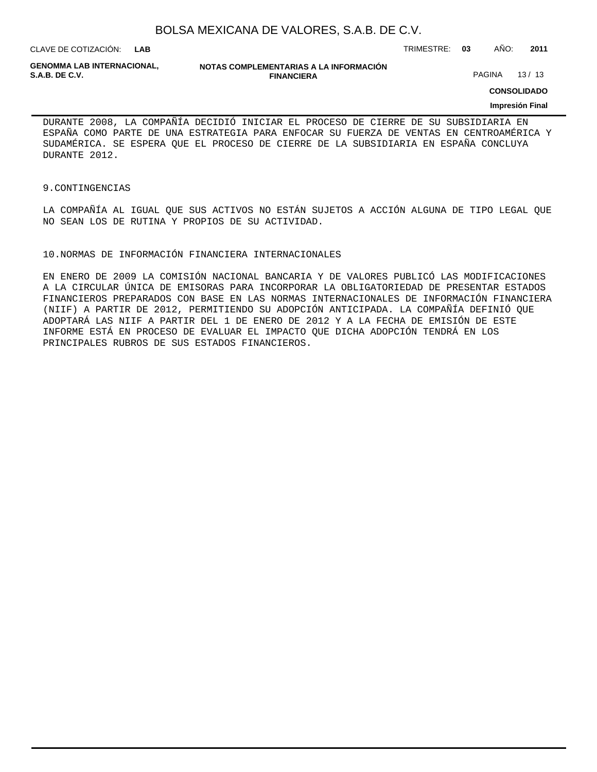**LAB**

CLAVE DE COTIZACIÓN: TRIMESTRE: **03** AÑO: **2011**

**GENOMMA LAB INTERNACIONAL,**

**NOTAS COMPLEMENTARIAS A LA INFORMACIÓN FINANCIERA**

PAGINA 13/13

**CONSOLIDADO**

#### **Impresión Final**

DURANTE 2008, LA COMPAÑÍA DECIDIÓ INICIAR EL PROCESO DE CIERRE DE SU SUBSIDIARIA EN ESPAÑA COMO PARTE DE UNA ESTRATEGIA PARA ENFOCAR SU FUERZA DE VENTAS EN CENTROAMÉRICA Y SUDAMÉRICA. SE ESPERA QUE EL PROCESO DE CIERRE DE LA SUBSIDIARIA EN ESPAÑA CONCLUYA DURANTE 2012.

### 9. CONTINGENCIAS

LA COMPAÑÍA AL IGUAL QUE SUS ACTIVOS NO ESTÁN SUJETOS A ACCIÓN ALGUNA DE TIPO LEGAL QUE NO SEAN LOS DE RUTINA Y PROPIOS DE SU ACTIVIDAD.

#### 10. NORMAS DE INFORMACIÓN FINANCIERA INTERNACIONALES

EN ENERO DE 2009 LA COMISIÓN NACIONAL BANCARIA Y DE VALORES PUBLICÓ LAS MODIFICACIONES A LA CIRCULAR ÚNICA DE EMISORAS PARA INCORPORAR LA OBLIGATORIEDAD DE PRESENTAR ESTADOS FINANCIEROS PREPARADOS CON BASE EN LAS NORMAS INTERNACIONALES DE INFORMACIÓN FINANCIERA (NIIF) A PARTIR DE 2012, PERMITIENDO SU ADOPCIÓN ANTICIPADA. LA COMPAÑÍA DEFINIÓ QUE ADOPTARÁ LAS NIIF A PARTIR DEL 1 DE ENERO DE 2012 Y A LA FECHA DE EMISIÓN DE ESTE INFORME ESTÁ EN PROCESO DE EVALUAR EL IMPACTO QUE DICHA ADOPCIÓN TENDRÁ EN LOS PRINCIPALES RUBROS DE SUS ESTADOS FINANCIEROS.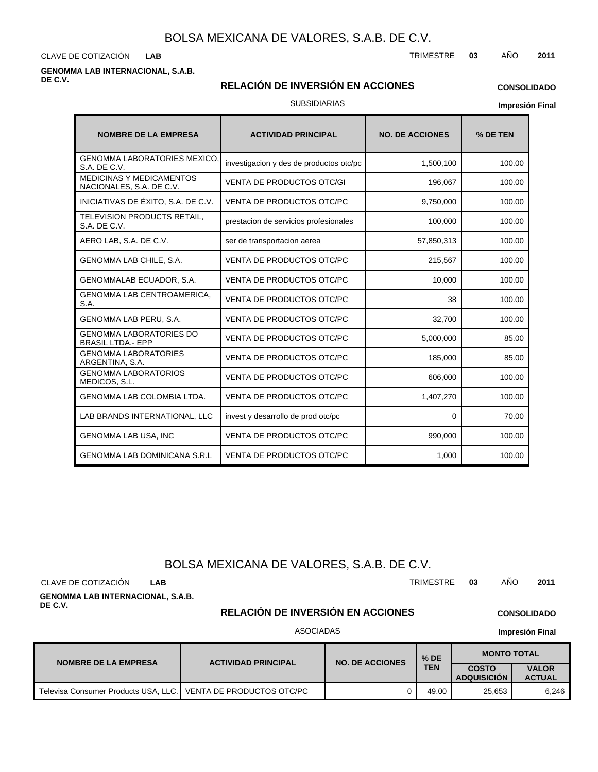CLAVE DE COTIZACIÓN TRIMESTRE **03** AÑO **2011 LAB**

### **GENOMMA LAB INTERNACIONAL, S.A.B. DE C.V.**

### **RELACIÓN DE INVERSIÓN EN ACCIONES**

## **CONSOLIDADO**

SUBSIDIARIAS

**Impresión Final**

| <b>NOMBRE DE LA EMPRESA</b>                                 | <b>ACTIVIDAD PRINCIPAL</b>              | <b>NO. DE ACCIONES</b> | % DE TEN |
|-------------------------------------------------------------|-----------------------------------------|------------------------|----------|
| GENOMMA LABORATORIES MEXICO,<br>S.A. DE C.V.                | investigacion y des de productos otc/pc | 1,500,100              | 100.00   |
| <b>MEDICINAS Y MEDICAMENTOS</b><br>NACIONALES, S.A. DE C.V. | VENTA DE PRODUCTOS OTC/GI               | 196,067                | 100.00   |
| INICIATIVAS DE ÉXITO, S.A. DE C.V.                          | VENTA DE PRODUCTOS OTC/PC               | 9,750,000              | 100.00   |
| TELEVISION PRODUCTS RETAIL,<br>S.A. DE C.V.                 | prestacion de servicios profesionales   | 100,000                | 100.00   |
| AERO LAB, S.A. DE C.V.                                      | ser de transportacion aerea             | 57,850,313             | 100.00   |
| GENOMMA LAB CHILE, S.A.                                     | <b>VENTA DE PRODUCTOS OTC/PC</b>        | 215,567                | 100.00   |
| GENOMMALAB ECUADOR, S.A.                                    | <b>VENTA DE PRODUCTOS OTC/PC</b>        | 10,000                 | 100.00   |
| GENOMMA LAB CENTROAMERICA,<br>S.A.                          | VENTA DE PRODUCTOS OTC/PC               | 38                     | 100.00   |
| GENOMMA LAB PERU, S.A.                                      | VENTA DE PRODUCTOS OTC/PC               | 32,700                 | 100.00   |
| <b>GENOMMA LABORATORIES DO</b><br><b>BRASIL LTDA.- EPP</b>  | VENTA DE PRODUCTOS OTC/PC               | 5,000,000              | 85.00    |
| <b>GENOMMA LABORATORIES</b><br>ARGENTINA, S.A.              | <b>VENTA DE PRODUCTOS OTC/PC</b>        | 185,000                | 85.00    |
| <b>GENOMMA LABORATORIOS</b><br>MEDICOS, S.L.                | <b>VENTA DE PRODUCTOS OTC/PC</b>        | 606,000                | 100.00   |
| <b>GENOMMA LAB COLOMBIA LTDA.</b>                           | <b>VENTA DE PRODUCTOS OTC/PC</b>        | 1,407,270              | 100.00   |
| LAB BRANDS INTERNATIONAL, LLC                               | invest y desarrollo de prod otc/pc      | $\Omega$               | 70.00    |
| <b>GENOMMA LAB USA, INC</b>                                 | <b>VENTA DE PRODUCTOS OTC/PC</b>        | 990,000                | 100.00   |
| <b>GENOMMA LAB DOMINICANA S.R.L</b>                         | <b>VENTA DE PRODUCTOS OTC/PC</b>        | 1,000                  | 100.00   |

## BOLSA MEXICANA DE VALORES, S.A.B. DE C.V.

CLAVE DE COTIZACIÓN TRIMESTRE **03** AÑO **2011 LAB**

**CONSOLIDADO Impresión Final**

**GENOMMA LAB INTERNACIONAL, S.A.B. DE C.V.**

## **RELACIÓN DE INVERSIÓN EN ACCIONES**

ASOCIADAS

| <b>NOMBRE DE LA EMPRESA</b>                                      | <b>ACTIVIDAD PRINCIPAL</b> | <b>NO. DE ACCIONES</b> | $%$ DE     | <b>MONTO TOTAL</b>                 |                               |
|------------------------------------------------------------------|----------------------------|------------------------|------------|------------------------------------|-------------------------------|
|                                                                  |                            |                        | <b>TEN</b> | <b>COSTO</b><br><b>ADQUISICIÓN</b> | <b>VALOR</b><br><b>ACTUAL</b> |
| Televisa Consumer Products USA, LLC.   VENTA DE PRODUCTOS OTC/PC |                            |                        | 49.00      | 25,653                             | 6.246                         |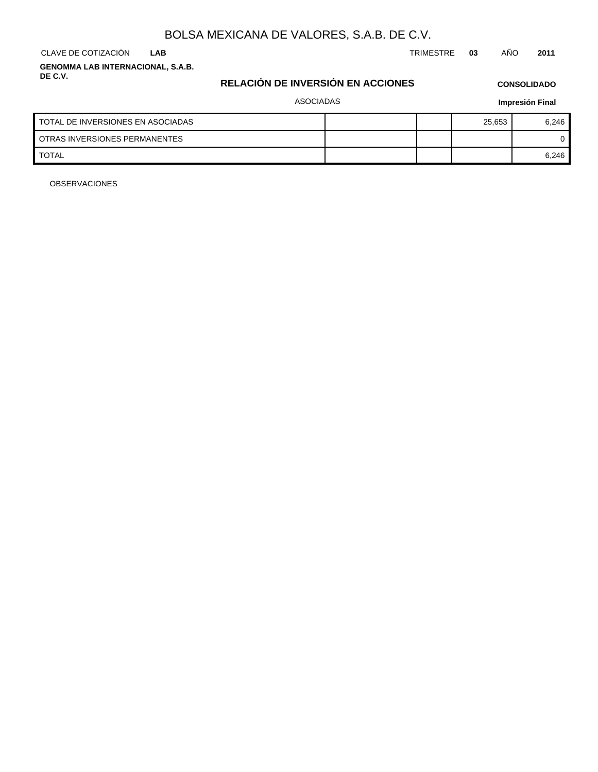CLAVE DE COTIZACIÓN TRIMESTRE **03** AÑO **2011 LAB**

**GENOMMA LAB INTERNACIONAL, S.A.B. DE C.V.**

## **RELACIÓN DE INVERSIÓN EN ACCIONES**

## **CONSOLIDADO**

ASOCIADAS

**Impresión Final**

| TOTAL DE INVERSIONES EN ASOCIADAS |  | 25,653 | 6,246 |
|-----------------------------------|--|--------|-------|
| OTRAS INVERSIONES PERMANENTES     |  |        | 0     |
| <b>TOTAL</b>                      |  |        | 6.246 |

OBSERVACIONES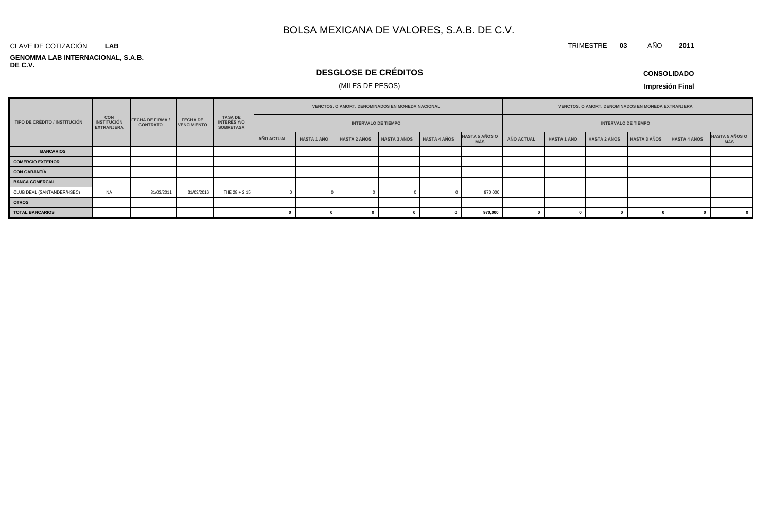#### **GENOMMA LAB INTERNACIONAL, S.A.B. DE C.V.** CLAVE DE COTIZACIÓN **LAB**

## **DESGLOSE DE CRÉDITOS**

### (MILES DE PESOS)

**CONSOLIDADO**

**Impresión Final**

|                               |                                                       |                                            |                                       |                                            | <b>VENCTOS, O AMORT, DENOMINADOS EN MONEDA NACIONAL</b> |                    |                            |                     |                     | VENCTOS. O AMORT. DENOMINADOS EN MONEDA EXTRANJERA |                   |                    |                            |                     |                     |                               |
|-------------------------------|-------------------------------------------------------|--------------------------------------------|---------------------------------------|--------------------------------------------|---------------------------------------------------------|--------------------|----------------------------|---------------------|---------------------|----------------------------------------------------|-------------------|--------------------|----------------------------|---------------------|---------------------|-------------------------------|
| TIPO DE CRÉDITO / INSTITUCIÓN | <b>CON</b><br><b>INSTITUCIÓN</b><br><b>EXTRANJERA</b> | <b>FECHA DE FIRMA /</b><br><b>CONTRATO</b> | <b>FECHA DE</b><br><b>VENCIMIENTO</b> | TASA DE<br>INTERÉS Y/O<br><b>SOBRETASA</b> |                                                         |                    | <b>INTERVALO DE TIEMPO</b> |                     |                     |                                                    |                   |                    | <b>INTERVALO DE TIEMPO</b> |                     |                     |                               |
|                               |                                                       |                                            |                                       |                                            | AÑO ACTUAL                                              | <b>HASTA 1 AÑO</b> | <b>HASTA 2 AÑOS</b>        | <b>HASTA 3 AÑOS</b> | <b>HASTA 4 AÑOS</b> | <b>HASTA 5 AÑOS O</b><br><b>MÁS</b>                | <b>AÑO ACTUAL</b> | <b>HASTA 1 AÑO</b> | <b>HASTA 2 AÑOS</b>        | <b>HASTA 3 AÑOS</b> | <b>HASTA 4 AÑOS</b> | <b>HASTA 5 AÑOS O<br/>MÁS</b> |
| <b>BANCARIOS</b>              |                                                       |                                            |                                       |                                            |                                                         |                    |                            |                     |                     |                                                    |                   |                    |                            |                     |                     |                               |
| <b>COMERCIO EXTERIOR</b>      |                                                       |                                            |                                       |                                            |                                                         |                    |                            |                     |                     |                                                    |                   |                    |                            |                     |                     |                               |
| <b>CON GARANTÍA</b>           |                                                       |                                            |                                       |                                            |                                                         |                    |                            |                     |                     |                                                    |                   |                    |                            |                     |                     |                               |
| <b>BANCA COMERCIAL</b>        |                                                       |                                            |                                       |                                            |                                                         |                    |                            |                     |                     |                                                    |                   |                    |                            |                     |                     |                               |
| CLUB DEAL (SANTANDER/HSBC)    | <b>NA</b>                                             | 31/03/2011                                 | 31/03/2016                            | TIIE $28 + 2.15$                           |                                                         |                    |                            |                     |                     | 970,000                                            |                   |                    |                            |                     |                     |                               |
| <b>OTROS</b>                  |                                                       |                                            |                                       |                                            |                                                         |                    |                            |                     |                     |                                                    |                   |                    |                            |                     |                     |                               |
| <b>TOTAL BANCARIOS</b>        |                                                       |                                            |                                       |                                            |                                                         |                    |                            |                     |                     | 970,000                                            |                   |                    |                            |                     |                     |                               |

TRIMESTRE **03** AÑO **2011**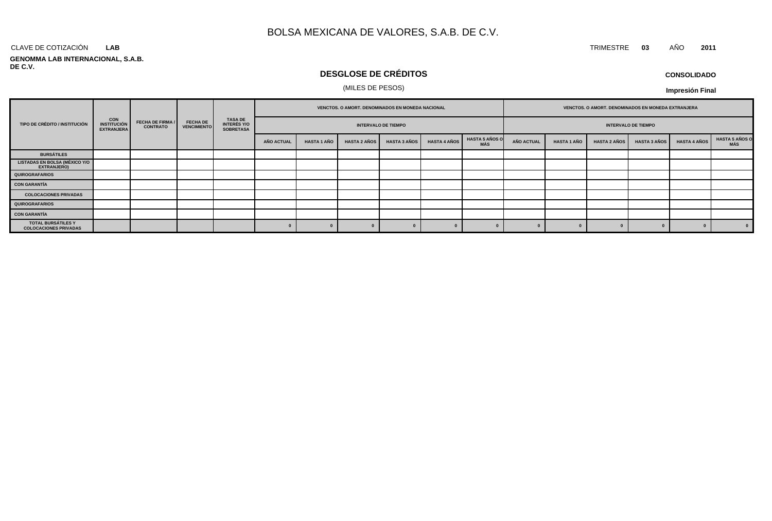#### CLAVE DE COTIZACIÓN TRIMESTRE **03** AÑO **2011 LAB**

### **GENOMMA LAB INTERNACIONAL, S.A.B. DE C.V.**

## **DESGLOSE DE CRÉDITOS**

### (MILES DE PESOS)

| <b>CONSOLIDADO</b> |  |
|--------------------|--|
|--------------------|--|

|                                                     |                                                       |                                            |                                       |                                            |                   |             |                     | VENCTOS. O AMORT. DENOMINADOS EN MONEDA NACIONAL |                     |                              | VENCTOS. O AMORT. DENOMINADOS EN MONEDA EXTRANJERA |                    |                     |                            |                     |                               |
|-----------------------------------------------------|-------------------------------------------------------|--------------------------------------------|---------------------------------------|--------------------------------------------|-------------------|-------------|---------------------|--------------------------------------------------|---------------------|------------------------------|----------------------------------------------------|--------------------|---------------------|----------------------------|---------------------|-------------------------------|
| TIPO DE CRÉDITO / INSTITUCIÓN                       | <b>CON</b><br><b>INSTITUCIÓN</b><br><b>EXTRANJERA</b> | <b>FECHA DE FIRMA /</b><br><b>CONTRATO</b> | <b>FECHA DE</b><br><b>VENCIMIENTO</b> | TASA DE<br>INTERÉS Y/O<br><b>SOBRETASA</b> |                   |             |                     | <b>INTERVALO DE TIEMPO</b>                       |                     |                              |                                                    |                    |                     | <b>INTERVALO DE TIEMPO</b> |                     |                               |
|                                                     |                                                       |                                            |                                       |                                            | <b>AÑO ACTUAL</b> | HASTA 1 AÑO | <b>HASTA 2 AÑOS</b> | <b>HASTA 3 AÑOS</b>                              | <b>HASTA 4 AÑOS</b> | <b>HASTA 5 AÑOS O</b><br>MÁS | <b>AÑO ACTUAL</b>                                  | <b>HASTA 1 AÑO</b> | <b>HASTA 2 AÑOS</b> | <b>HASTA 3 AÑOS</b>        | <b>HASTA 4 AÑOS</b> | <b>HASTA 5 AÑOS O<br/>MÁS</b> |
| <b>BURSÁTILES</b>                                   |                                                       |                                            |                                       |                                            |                   |             |                     |                                                  |                     |                              |                                                    |                    |                     |                            |                     |                               |
| <b>LISTADAS EN BOLSA (MÉXICO Y/O</b><br>EXTRANJERO) |                                                       |                                            |                                       |                                            |                   |             |                     |                                                  |                     |                              |                                                    |                    |                     |                            |                     |                               |
| <b>QUIROGRAFARIOS</b>                               |                                                       |                                            |                                       |                                            |                   |             |                     |                                                  |                     |                              |                                                    |                    |                     |                            |                     |                               |
| <b>CON GARANTÍA</b>                                 |                                                       |                                            |                                       |                                            |                   |             |                     |                                                  |                     |                              |                                                    |                    |                     |                            |                     |                               |
| <b>COLOCACIONES PRIVADAS</b>                        |                                                       |                                            |                                       |                                            |                   |             |                     |                                                  |                     |                              |                                                    |                    |                     |                            |                     |                               |
| <b>QUIROGRAFARIOS</b>                               |                                                       |                                            |                                       |                                            |                   |             |                     |                                                  |                     |                              |                                                    |                    |                     |                            |                     |                               |
| <b>CON GARANTÍA</b>                                 |                                                       |                                            |                                       |                                            |                   |             |                     |                                                  |                     |                              |                                                    |                    |                     |                            |                     |                               |
| TOTAL BURSÁTILES Y<br><b>COLOCACIONES PRIVADAS</b>  |                                                       |                                            |                                       |                                            |                   |             |                     |                                                  |                     |                              |                                                    |                    |                     |                            |                     | $\mathbf{0}$                  |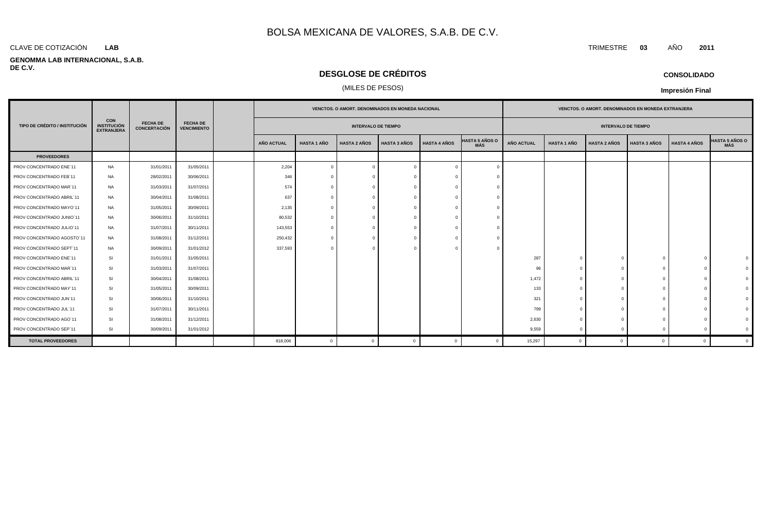### **LAB**

### **GENOMMA LAB INTERNACIONAL, S.A.B. DE C.V.**

## **DESGLOSE DE CRÉDITOS**

### (MILES DE PESOS)

|                               |                                                       |                                        |                                       |            |                    | VENCTOS. O AMORT. DENOMINADOS EN MONEDA NACIONAL |                     |                     |                              | VENCTOS. O AMORT. DENOMINADOS EN MONEDA EXTRANJERA |                    |                            |                     |                     |                                     |  |
|-------------------------------|-------------------------------------------------------|----------------------------------------|---------------------------------------|------------|--------------------|--------------------------------------------------|---------------------|---------------------|------------------------------|----------------------------------------------------|--------------------|----------------------------|---------------------|---------------------|-------------------------------------|--|
| TIPO DE CRÉDITO / INSTITUCIÓN | <b>CON</b><br><b>INSTITUCIÓN</b><br><b>EXTRANJERA</b> | <b>FECHA DE</b><br><b>CONCERTACIÓN</b> | <b>FECHA DE</b><br><b>VENCIMIENTO</b> |            |                    | <b>INTERVALO DE TIEMPO</b>                       |                     |                     |                              |                                                    |                    | <b>INTERVALO DE TIEMPO</b> |                     |                     |                                     |  |
|                               |                                                       |                                        |                                       | AÑO ACTUAL | <b>HASTA 1 AÑO</b> | <b>HASTA 2 AÑOS</b>                              | <b>HASTA 3 AÑOS</b> | <b>HASTA 4 AÑOS</b> | <b>HASTA 5 AÑOS O</b><br>MÁS | <b>AÑO ACTUAL</b>                                  | <b>HASTA 1 AÑO</b> | <b>HASTA 2 AÑOS</b>        | <b>HASTA 3 AÑOS</b> | <b>HASTA 4 AÑOS</b> | <b>HASTA 5 AÑOS O</b><br><b>MÁS</b> |  |
| <b>PROVEEDORES</b>            |                                                       |                                        |                                       |            |                    |                                                  |                     |                     |                              |                                                    |                    |                            |                     |                     |                                     |  |
| PROV CONCENTRADO ENE'11       | NA                                                    | 31/01/2011                             | 31/05/2011                            | 2,204      |                    | $\overline{0}$                                   |                     | $\Omega$            |                              |                                                    |                    |                            |                     |                     |                                     |  |
| PROV CONCENTRADO FEB'11       | <b>NA</b>                                             | 28/02/2011                             | 30/06/2011                            | 346        |                    | $\Omega$                                         |                     |                     |                              |                                                    |                    |                            |                     |                     |                                     |  |
| PROV CONCENTRADO MAR'11       | <b>NA</b>                                             | 31/03/2011                             | 31/07/2011                            | 574        |                    | $\Omega$                                         |                     |                     |                              |                                                    |                    |                            |                     |                     |                                     |  |
| PROV CONCENTRADO ABRIL'11     | <b>NA</b>                                             | 30/04/2011                             | 31/08/2011                            | 637        |                    | $\Omega$                                         |                     |                     |                              |                                                    |                    |                            |                     |                     |                                     |  |
| PROV CONCENTRADO MAYO'11      | <b>NA</b>                                             | 31/05/2011                             | 30/09/2011                            | 2,135      |                    | $\Omega$                                         |                     |                     |                              |                                                    |                    |                            |                     |                     |                                     |  |
| PROV CONCENTRADO JUNIO'11     | NA                                                    | 30/06/2011                             | 31/10/2011                            | 80,532     |                    | $\Omega$                                         |                     |                     |                              |                                                    |                    |                            |                     |                     |                                     |  |
| PROV CONCENTRADO JULIO'11     | <b>NA</b>                                             | 31/07/2011                             | 30/11/2011                            | 143,553    |                    | $\Omega$                                         |                     |                     |                              |                                                    |                    |                            |                     |                     |                                     |  |
| PROV CONCENTRADO AGOSTO'11    | NA                                                    | 31/08/2011                             | 31/12/2011                            | 250,432    |                    | $\Omega$                                         |                     |                     |                              |                                                    |                    |                            |                     |                     |                                     |  |
| PROV CONCENTRADO SEPT'11      | NA                                                    | 30/09/201                              | 31/01/2012                            | 337,593    |                    | $\Omega$                                         |                     |                     |                              |                                                    |                    |                            |                     |                     |                                     |  |
| PROV CONCENTRADO ENE'11       | SI                                                    | 31/01/2011                             | 31/05/2011                            |            |                    |                                                  |                     |                     |                              | 287                                                | $\Omega$           | $\Omega$                   |                     | $\Omega$            |                                     |  |
| PROV CONCENTRADO MAR'11       | <b>SI</b>                                             | 31/03/2011                             | 31/07/2011                            |            |                    |                                                  |                     |                     |                              | 96                                                 |                    | $\Omega$                   |                     |                     |                                     |  |
| PROV CONCENTRADO ABRIL'11     | <b>SI</b>                                             | 30/04/2011                             | 31/08/2011                            |            |                    |                                                  |                     |                     |                              | 1,472                                              |                    | $\Omega$                   |                     |                     |                                     |  |
| PROV CONCENTRADO MAY'11       | <b>SI</b>                                             | 31/05/2011                             | 30/09/2011                            |            |                    |                                                  |                     |                     |                              | 133                                                | ſ                  | $\Omega$                   |                     |                     |                                     |  |
| PROV CONCENTRADO JUN'11       | <b>SI</b>                                             | 30/06/2011                             | 31/10/2011                            |            |                    |                                                  |                     |                     |                              | 321                                                |                    |                            |                     |                     |                                     |  |
| PROV CONCENTRADO JUL'11       | <b>SI</b>                                             | 31/07/2011                             | 30/11/2011                            |            |                    |                                                  |                     |                     |                              | 799                                                |                    | $\Omega$                   |                     |                     |                                     |  |
| PROV CONCENTRADO AGO'11       | <b>SI</b>                                             | 31/08/2011                             | 31/12/2011                            |            |                    |                                                  |                     |                     |                              | 2,630                                              |                    |                            |                     |                     |                                     |  |
| PROV CONCENTRADO SEP'11       | SI                                                    | 30/09/2011                             | 31/01/2012                            |            |                    |                                                  |                     |                     |                              | 9,559                                              |                    | $\Omega$                   |                     |                     |                                     |  |
| <b>TOTAL PROVEEDORES</b>      |                                                       |                                        |                                       | 818,006    | $^{\circ}$         | $\mathbf{0}$                                     | $\Omega$            | $\mathbf{0}$        | $\Omega$                     | 15.297                                             | $\Omega$           | $\Omega$                   | $\Omega$            | $\overline{0}$      |                                     |  |

**CONSOLIDADO**

**Impresión Final**

#### CLAVE DE COTIZACIÓN TRIMESTRE **03** AÑO **2011**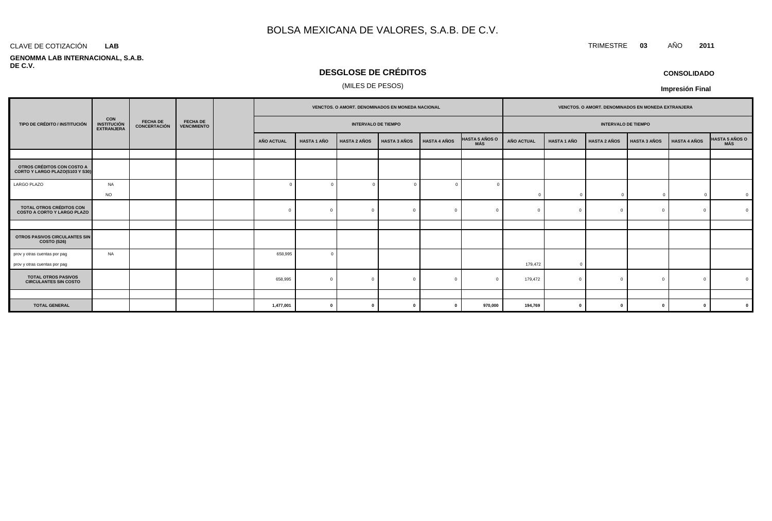#### CLAVE DE COTIZACIÓN TRIMESTRE **03** AÑO **2011 LAB**

#### **GENOMMA LAB INTERNACIONAL, S.A.B. DE C.V.**

## **DESGLOSE DE CRÉDITOS**

### (MILES DE PESOS)

| <b>CONSOLIDADO</b> |
|--------------------|
|--------------------|

|                                                                |                                                |                                        |                                       |                            |                    | VENCTOS. O AMORT. DENOMINADOS EN MONEDA NACIONAL<br>VENCTOS. O AMORT. DENOMINADOS EN MONEDA EXTRANJERA |                     |                     |                                     |                            |                    |                     |                     |                     |                |
|----------------------------------------------------------------|------------------------------------------------|----------------------------------------|---------------------------------------|----------------------------|--------------------|--------------------------------------------------------------------------------------------------------|---------------------|---------------------|-------------------------------------|----------------------------|--------------------|---------------------|---------------------|---------------------|----------------|
| TIPO DE CRÉDITO / INSTITUCIÓN                                  | CON<br><b>INSTITUCIÓN</b><br><b>EXTRANJERA</b> | <b>FECHA DE</b><br><b>CONCERTACIÓN</b> | <b>FECHA DE</b><br><b>VENCIMIENTO</b> | <b>INTERVALO DE TIEMPO</b> |                    |                                                                                                        |                     |                     |                                     | <b>INTERVALO DE TIEMPO</b> |                    |                     |                     |                     |                |
|                                                                |                                                |                                        |                                       | AÑO ACTUAL                 | <b>HASTA 1 AÑO</b> | <b>HASTA 2 AÑOS</b>                                                                                    | <b>HASTA 3 AÑOS</b> | <b>HASTA 4 AÑOS</b> | <b>HASTA 5 AÑOS O</b><br><b>MÁS</b> | <b>AÑO ACTUAL</b>          | <b>HASTA 1 AÑO</b> | <b>HASTA 2 AÑOS</b> | <b>HASTA 3 AÑOS</b> | <b>HASTA 4 AÑOS</b> | HASTA 5 AÑOS O |
|                                                                |                                                |                                        |                                       |                            |                    |                                                                                                        |                     |                     |                                     |                            |                    |                     |                     |                     |                |
| OTROS CRÉDITOS CON COSTO A<br>CORTO Y LARGO PLAZO(S103 Y S30)  |                                                |                                        |                                       |                            |                    |                                                                                                        |                     |                     |                                     |                            |                    |                     |                     |                     |                |
| LARGO PLAZO                                                    | <b>NA</b>                                      |                                        |                                       |                            | $\Omega$           |                                                                                                        |                     |                     |                                     |                            |                    |                     |                     |                     |                |
|                                                                | <b>NO</b>                                      |                                        |                                       |                            |                    |                                                                                                        |                     |                     |                                     |                            |                    |                     |                     |                     | $\Omega$       |
| TOTAL OTROS CRÉDITOS CON<br><b>COSTO A CORTO Y LARGO PLAZO</b> |                                                |                                        |                                       |                            | $\Omega$           |                                                                                                        |                     |                     |                                     |                            |                    | $\Omega$            |                     | $\cap$              |                |
|                                                                |                                                |                                        |                                       |                            |                    |                                                                                                        |                     |                     |                                     |                            |                    |                     |                     |                     |                |
| OTROS PASIVOS CIRCULANTES SIN<br><b>COSTO (S26)</b>            |                                                |                                        |                                       |                            |                    |                                                                                                        |                     |                     |                                     |                            |                    |                     |                     |                     |                |
| prov y otras cuentas por pag                                   | <b>NA</b>                                      |                                        |                                       | 658,995                    | $\Omega$           |                                                                                                        |                     |                     |                                     |                            |                    |                     |                     |                     |                |
| prov y otras cuentas por pag                                   |                                                |                                        |                                       |                            |                    |                                                                                                        |                     |                     |                                     | 179,472                    |                    |                     |                     |                     |                |
| <b>TOTAL OTROS PASIVOS</b><br><b>CIRCULANTES SIN COSTO</b>     |                                                |                                        |                                       | 658,995                    | $\Omega$           |                                                                                                        |                     |                     |                                     | 179,472                    | $\Omega$           | $\Omega$            | $\Omega$            | $\Omega$            |                |
|                                                                |                                                |                                        |                                       |                            |                    |                                                                                                        |                     |                     |                                     |                            |                    |                     |                     |                     |                |
| <b>TOTAL GENERAL</b>                                           |                                                |                                        |                                       | 1,477,001                  | $\Omega$           |                                                                                                        |                     |                     | 970,000                             | 194,769                    | $\mathbf{r}$       | $\Omega$            | $\mathbf{0}$        | $\mathbf{a}$        |                |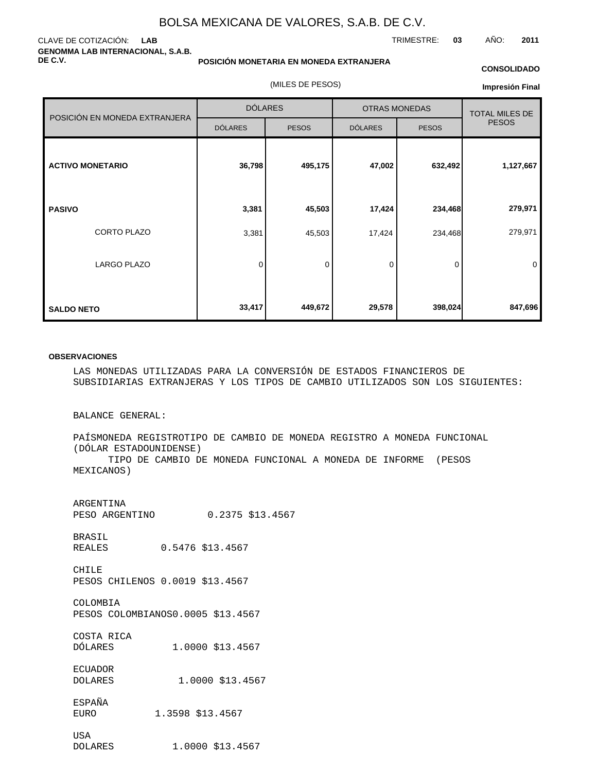### CLAVE DE COTIZACIÓN: **LAB GENOMMA LAB INTERNACIONAL, S.A.B. DE C.V.**

### **POSICIÓN MONETARIA EN MONEDA EXTRANJERA**

(MILES DE PESOS)

### **CONSOLIDADO**

**Impresión Final**

|                               | <b>DÓLARES</b> |              |                | <b>OTRAS MONEDAS</b> | <b>TOTAL MILES DE</b> |
|-------------------------------|----------------|--------------|----------------|----------------------|-----------------------|
| POSICIÓN EN MONEDA EXTRANJERA | <b>DÓLARES</b> | <b>PESOS</b> | <b>DÓLARES</b> | <b>PESOS</b>         | <b>PESOS</b>          |
| <b>ACTIVO MONETARIO</b>       | 36,798         | 495,175      | 47,002         | 632,492              | 1,127,667             |
| <b>PASIVO</b>                 | 3,381          | 45,503       | 17,424         | 234,468              | 279,971               |
| <b>CORTO PLAZO</b>            | 3,381          | 45,503       | 17,424         | 234,468              | 279,971               |
| LARGO PLAZO                   | 0              | 0            | 0              | 0                    | 0                     |
| <b>SALDO NETO</b>             | 33,417         | 449,672      | 29,578         | 398,024              | 847,696               |

#### **OBSERVACIONES**

LAS MONEDAS UTILIZADAS PARA LA CONVERSIÓN DE ESTADOS FINANCIEROS DE SUBSIDIARIAS EXTRANJERAS Y LOS TIPOS DE CAMBIO UTILIZADOS SON LOS SIGUIENTES:

BALANCE GENERAL:

PAÍS MONEDA REGISTRO TIPO DE CAMBIO DE MONEDA REGISTRO A MONEDA FUNCIONAL (DÓLAR ESTADOUNIDENSE) TIPO DE CAMBIO DE MONEDA FUNCIONAL A MONEDA DE INFORME (PESOS MEXICANOS)

ARGENTINA PESO ARGENTINO 0.2375 \$13.4567 BRASIL REALES 0.5476 \$13.4567 CHILE PESOS CHILENOS 0.0019 \$13.4567 COLOMBIA PESOS COLOMBIANOS 0.0005 \$13.4567 COSTA RICA DÓLARES 1.0000 \$13.4567 ECUADOR DOLARES 1.0000 \$13.4567 ESPAÑA EURO 1.3598 \$13.4567 USA DOLARES 1.0000 \$13.4567

TRIMESTRE: **03** AÑO: **2011**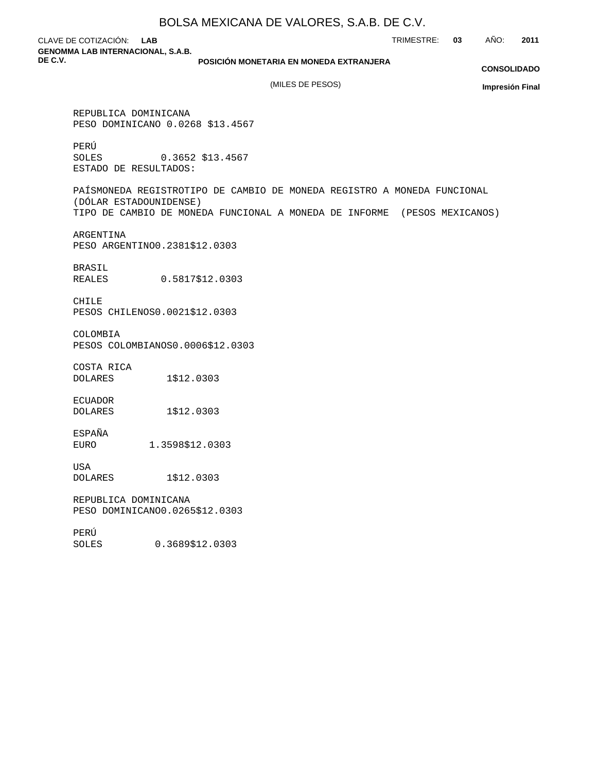BOLSA MEXICANA DE VALORES, S.A.B. DE C.V. CLAVE DE COTIZACIÓN: **LAB POSICIÓN MONETARIA EN MONEDA EXTRANJERA** (MILES DE PESOS) TRIMESTRE: **03** AÑO: **2011 CONSOLIDADO Impresión Final GENOMMA LAB INTERNACIONAL, S.A.B. DE C.V.** REPUBLICA DOMINICANA PESO DOMINICANO 0.0268 \$13.4567 PERÚ SOLES 0.3652 \$13.4567 ESTADO DE RESULTADOS: PAÍS MONEDA REGISTRO TIPO DE CAMBIO DE MONEDA REGISTRO A MONEDA FUNCIONAL (DÓLAR ESTADOUNIDENSE) TIPO DE CAMBIO DE MONEDA FUNCIONAL A MONEDA DE INFORME (PESOS MEXICANOS) ARGENTINA PESO ARGENTINO 0.2381 \$12.0303 BRASIL<br>REALES REALES 0.5817 \$12.0303 CHILE PESOS CHILENOS 0.0021 \$12.0303 COLOMBIA PESOS COLOMBIANOS 0.0006 \$12.0303 COSTA RICA DOLARES 1 \$12.0303 ECUADOR DOLARES 1 \$12.0303 ESPAÑA EURO 1.3598 \$12.0303 USA DOLARES 1 \$12.0303 REPUBLICA DOMINICANA PESO DOMINICANO 0.0265 \$12.0303 PERÚ SOLES 0.3689 \$12.0303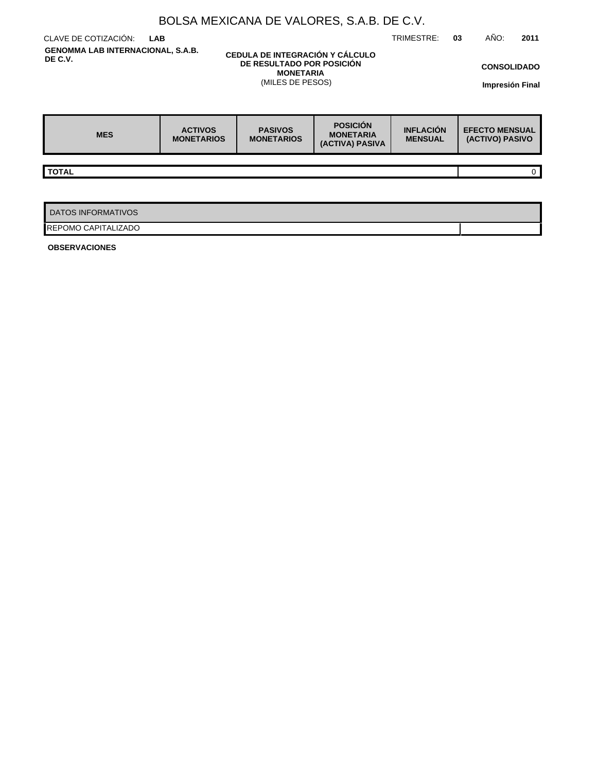|                                                                                                                                                                                                                                | BOLSA MEXICANA DE VALORES, S.A.B. DE C.V. |                                     |                                     |                                    |                                          |  |  |  |  |  |  |
|--------------------------------------------------------------------------------------------------------------------------------------------------------------------------------------------------------------------------------|-------------------------------------------|-------------------------------------|-------------------------------------|------------------------------------|------------------------------------------|--|--|--|--|--|--|
| CLAVE DE COTIZACIÓN:<br><b>LAB</b>                                                                                                                                                                                             |                                           |                                     |                                     | TRIMESTRE:                         | AÑO:<br>2011<br>03                       |  |  |  |  |  |  |
| <b>GENOMMA LAB INTERNACIONAL, S.A.B.</b><br>CEDULA DE INTEGRACIÓN Y CÁLCULO<br>DE C.V.<br>DE RESULTADO POR POSICIÓN<br><b>CONSOLIDADO</b><br><b>MONETARIA</b><br>(MILES DE PESOS)<br><b>Impresión Final</b><br><b>POSICIÓN</b> |                                           |                                     |                                     |                                    |                                          |  |  |  |  |  |  |
| <b>MES</b>                                                                                                                                                                                                                     | <b>ACTIVOS</b><br><b>MONETARIOS</b>       | <b>PASIVOS</b><br><b>MONETARIOS</b> | <b>MONETARIA</b><br>(ACTIVA) PASIVA | <b>INFLACIÓN</b><br><b>MENSUAL</b> | <b>EFECTO MENSUAL</b><br>(ACTIVO) PASIVO |  |  |  |  |  |  |
| <b>TOTAL</b>                                                                                                                                                                                                                   |                                           |                                     |                                     |                                    | $\overline{0}$                           |  |  |  |  |  |  |
|                                                                                                                                                                                                                                |                                           |                                     |                                     |                                    |                                          |  |  |  |  |  |  |
|                                                                                                                                                                                                                                |                                           |                                     |                                     |                                    |                                          |  |  |  |  |  |  |
| <b>DATOS INFORMATIVOS</b>                                                                                                                                                                                                      |                                           |                                     |                                     |                                    |                                          |  |  |  |  |  |  |
| REPOMO CAPITALIZADO                                                                                                                                                                                                            |                                           |                                     |                                     |                                    |                                          |  |  |  |  |  |  |

**OBSERVACIONES**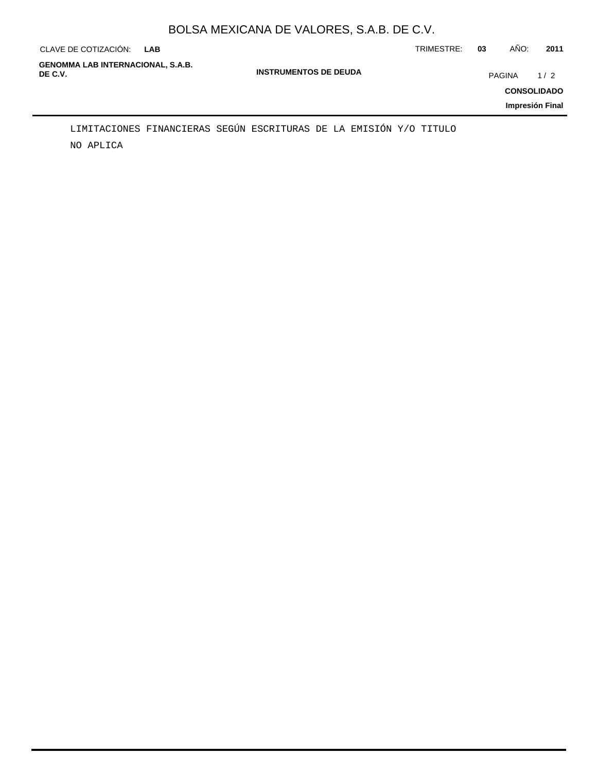| CLAVE DE COTIZACIÓN:                                | <b>LAB</b> |                              | TRIMESTRE: | 03     | AÑO:                                  | 2011 |
|-----------------------------------------------------|------------|------------------------------|------------|--------|---------------------------------------|------|
| <b>GENOMMA LAB INTERNACIONAL, S.A.B.</b><br>DE C.V. |            | <b>INSTRUMENTOS DE DEUDA</b> |            | PAGINA | <b>CONSOLIDADO</b><br>Impresión Final | 1/2  |
|                                                     |            |                              |            |        |                                       |      |

NO APLICA LIMITACIONES FINANCIERAS SEGÚN ESCRITURAS DE LA EMISIÓN Y/O TITULO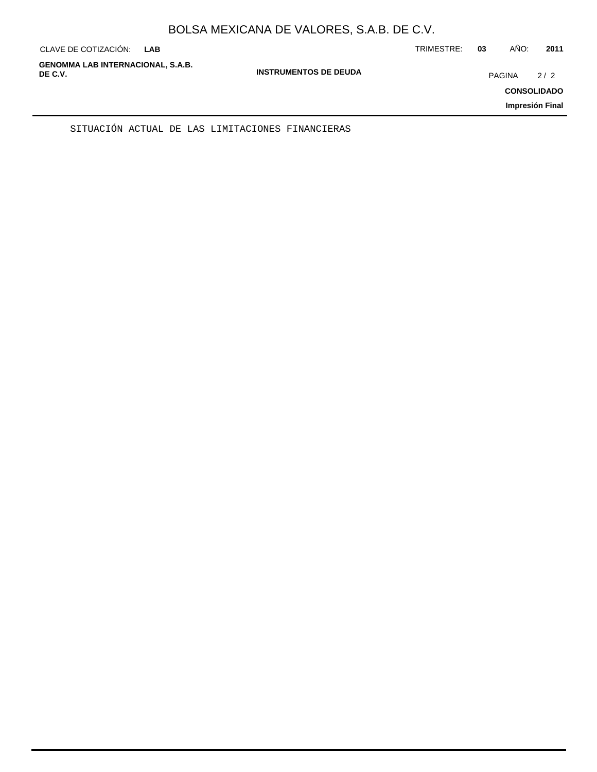| <b>GENOMMA LAB INTERNACIONAL, S.A.B.</b><br><b>INSTRUMENTOS DE DEUDA</b><br>DE C.V.<br>2/2<br><b>PAGINA</b><br><b>CONSOLIDADO</b> | CLAVE DE COTIZACIÓN: | <b>LAB</b> | TRIMESTRE: | 03 | AÑO: | 2011            |
|-----------------------------------------------------------------------------------------------------------------------------------|----------------------|------------|------------|----|------|-----------------|
|                                                                                                                                   |                      |            |            |    |      | Impresión Final |

SITUACIÓN ACTUAL DE LAS LIMITACIONES FINANCIERAS

÷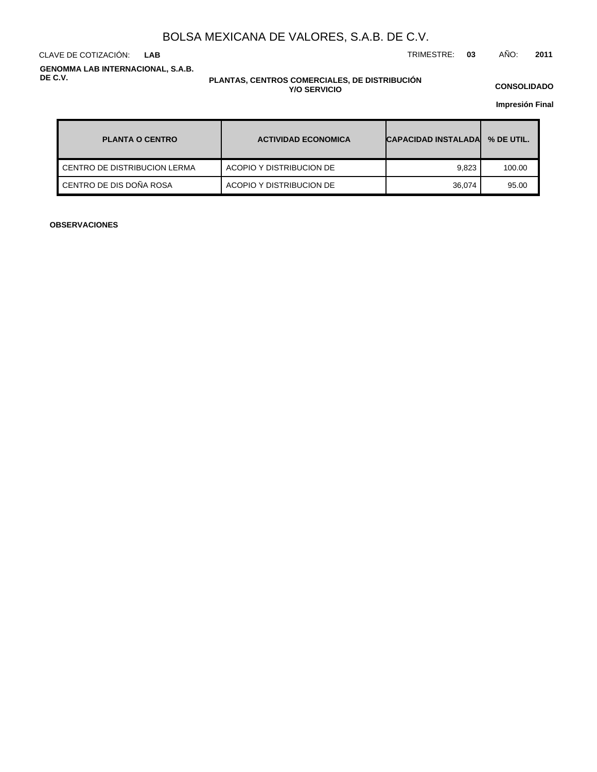CLAVE DE COTIZACIÓN: TRIMESTRE: **03** AÑO: **2011 LAB**

**GENOMMA LAB INTERNACIONAL, S.A.B. DE C.V.**

#### **PLANTAS, CENTROS COMERCIALES, DE DISTRIBUCIÓN Y/O SERVICIO**

**CONSOLIDADO**

**Impresión Final**

| <b>PLANTA O CENTRO</b>         | <b>ACTIVIDAD ECONOMICA</b> | <b>CAPACIDAD INSTALADA</b> | % DE UTIL. |
|--------------------------------|----------------------------|----------------------------|------------|
| I CENTRO DE DISTRIBUCION LERMA | ACOPIO Y DISTRIBUCION DE   | 9.823                      | 100.00     |
| I CENTRO DE DIS DOÑA ROSA      | ACOPIO Y DISTRIBUCION DE   | 36.074                     | 95.00      |

**OBSERVACIONES**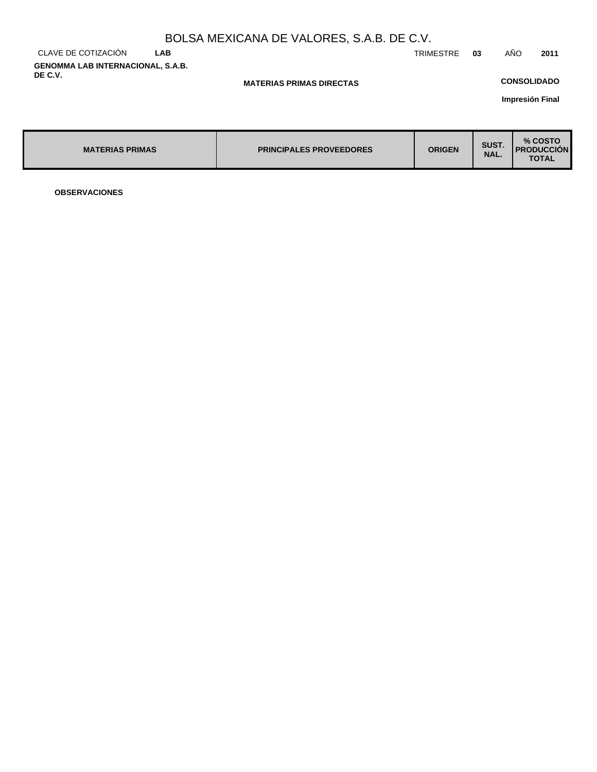|                                          |     | BOLSA MEXICANA DE VALORES, S.A.B. DE C.V. |           |     |                    |      |
|------------------------------------------|-----|-------------------------------------------|-----------|-----|--------------------|------|
| CLAVE DE COTIZACIÓN                      | LAB |                                           | TRIMESTRE | -03 | AÑO                | 2011 |
| <b>GENOMMA LAB INTERNACIONAL, S.A.B.</b> |     |                                           |           |     |                    |      |
| DE C.V.                                  |     | <b>MATERIAS PRIMAS DIRECTAS</b>           |           |     | <b>CONSOLIDADO</b> |      |
|                                          |     |                                           |           |     |                    |      |

**Impresión Final**

| <b>MATERIAS PRIMAS</b> | <b>PRINCIPALES PROVEEDORES</b> | <b>ORIGEN</b> | SUST.<br>NAL. | % COSTO<br><b>I PRODUCCION</b><br><b>TOTAL</b> |
|------------------------|--------------------------------|---------------|---------------|------------------------------------------------|
|------------------------|--------------------------------|---------------|---------------|------------------------------------------------|

**OBSERVACIONES**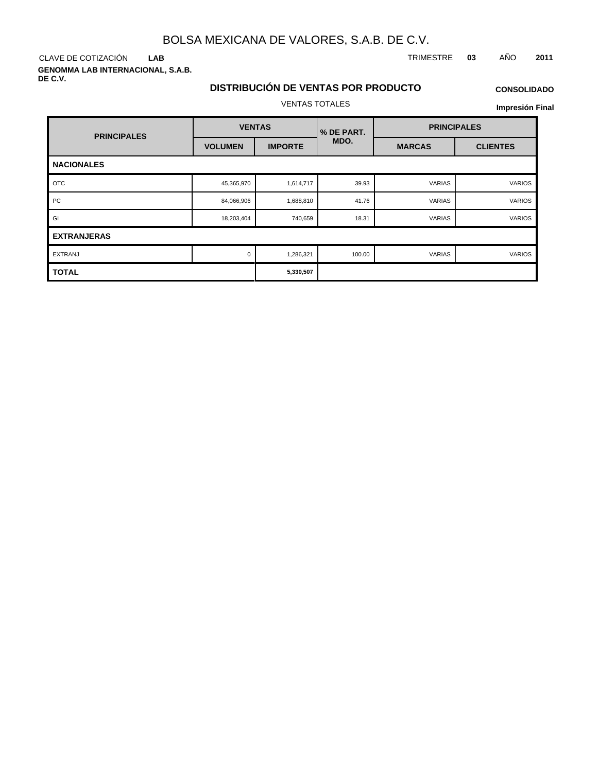CLAVE DE COTIZACIÓN TRIMESTRE **03** AÑO **2011 LAB**

**GENOMMA LAB INTERNACIONAL, S.A.B. DE C.V.**

# **DISTRIBUCIÓN DE VENTAS POR PRODUCTO**

## **CONSOLIDADO**

## VENTAS TOTALES

| <b>PRINCIPALES</b> | <b>VENTAS</b>  |                | <b>% DE PART.</b> | <b>PRINCIPALES</b> |                 |  |  |  |
|--------------------|----------------|----------------|-------------------|--------------------|-----------------|--|--|--|
|                    | <b>VOLUMEN</b> | <b>IMPORTE</b> | MDO.              | <b>MARCAS</b>      | <b>CLIENTES</b> |  |  |  |
| <b>NACIONALES</b>  |                |                |                   |                    |                 |  |  |  |
| <b>OTC</b>         | 45,365,970     | 1,614,717      | 39.93             | <b>VARIAS</b>      | <b>VARIOS</b>   |  |  |  |
| PC                 | 84,066,906     | 1,688,810      | 41.76             | <b>VARIAS</b>      | <b>VARIOS</b>   |  |  |  |
| GI                 | 18,203,404     | 740,659        | 18.31             | VARIAS             | <b>VARIOS</b>   |  |  |  |
| <b>EXTRANJERAS</b> |                |                |                   |                    |                 |  |  |  |
| <b>EXTRANJ</b>     | $\mathbf 0$    | 1,286,321      | 100.00            | <b>VARIAS</b>      | <b>VARIOS</b>   |  |  |  |
| <b>TOTAL</b>       |                | 5,330,507      |                   |                    |                 |  |  |  |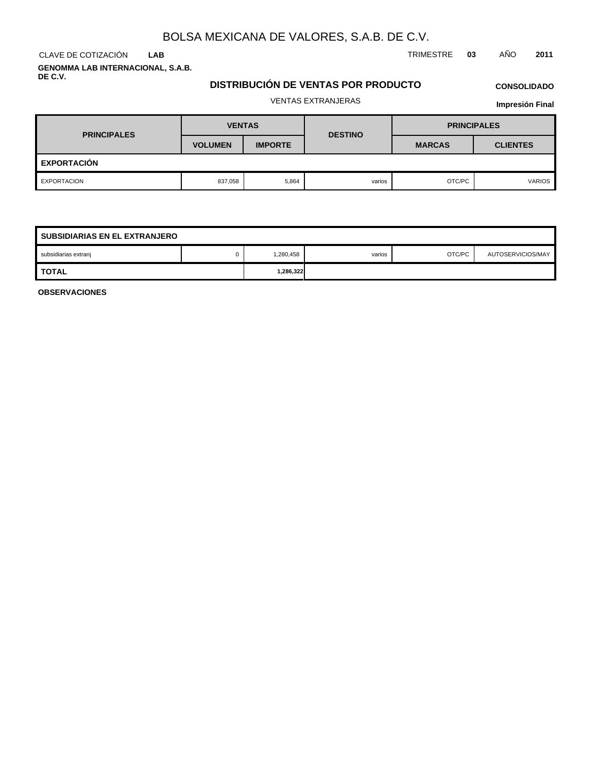CLAVE DE COTIZACIÓN TRIMESTRE **03** AÑO **2011 LAB**

**GENOMMA LAB INTERNACIONAL, S.A.B. DE C.V.**

## **DISTRIBUCIÓN DE VENTAS POR PRODUCTO**

# **CONSOLIDADO**

## VENTAS EXTRANJERAS

**Impresión Final**

| <b>PRINCIPALES</b> | <b>VENTAS</b>  |                | <b>DESTINO</b> | <b>PRINCIPALES</b> |                 |  |  |  |
|--------------------|----------------|----------------|----------------|--------------------|-----------------|--|--|--|
|                    | <b>VOLUMEN</b> | <b>IMPORTE</b> |                | <b>MARCAS</b>      | <b>CLIENTES</b> |  |  |  |
| <b>EXPORTACIÓN</b> |                |                |                |                    |                 |  |  |  |
| EXPORTACION        | 837,058        | 5,864          | varios         | OTC/PC             | <b>VARIOS</b>   |  |  |  |

| <b>SUBSIDIARIAS EN EL EXTRANJERO</b> |  |           |        |        |                   |  |  |  |
|--------------------------------------|--|-----------|--------|--------|-------------------|--|--|--|
| subsidiarias extranj                 |  | .280,458  | varios | OTC/PC | AUTOSERVICIOS/MAY |  |  |  |
| <b>TOTAL</b>                         |  | 1,286,322 |        |        |                   |  |  |  |

**OBSERVACIONES**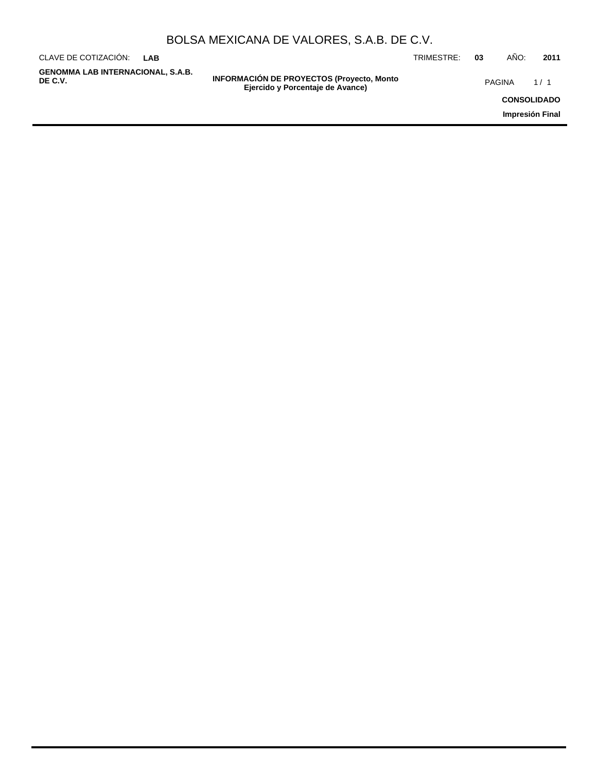| BOLSA MEXICANA DE VALORES, S.A.B. DE C.V. |  |  |  |
|-------------------------------------------|--|--|--|
|-------------------------------------------|--|--|--|

| CLAVE DE COTIZACIÓN:<br>LAB                         |                                                                                      | TRIMESTRE: | 03     | AÑO: | 2011               |
|-----------------------------------------------------|--------------------------------------------------------------------------------------|------------|--------|------|--------------------|
| <b>GENOMMA LAB INTERNACIONAL, S.A.B.</b><br>DE C.V. | <b>INFORMACIÓN DE PROYECTOS (Proyecto, Monto</b><br>Ejercido y Porcentaje de Avance) |            | PAGINA |      | 1/1                |
|                                                     |                                                                                      |            |        |      | <b>CONSOLIDADO</b> |
|                                                     |                                                                                      |            |        |      | Impresión Final    |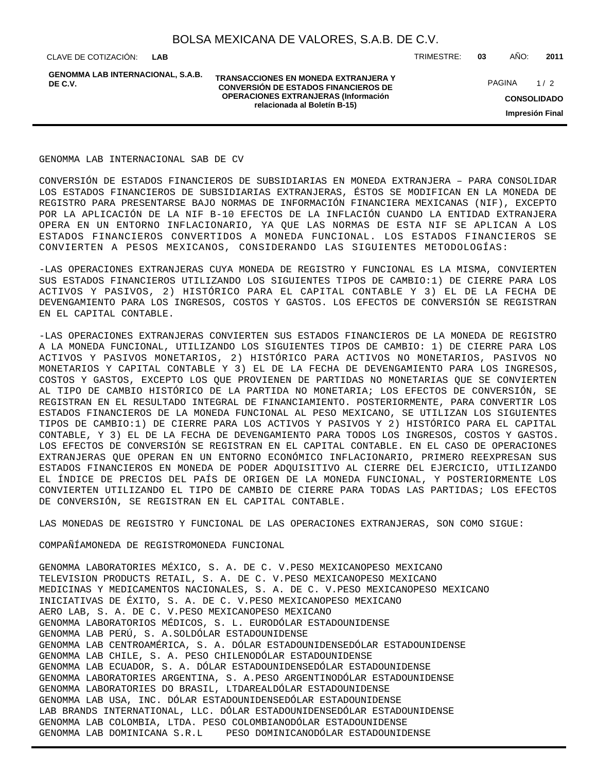**GENOMMA LAB INTERNACIONAL, S.A.B. DE C.V.**

**TRANSACCIONES EN MONEDA EXTRANJERA Y CONVERSIÓN DE ESTADOS FINANCIEROS DE OPERACIONES EXTRANJERAS (Información relacionada al Boletín B-15)**

CLAVE DE COTIZACIÓN: TRIMESTRE: **03** AÑO: **2011**

**CONSOLIDADO** PAGINA 1/2

**Impresión Final**

GENOMMA LAB INTERNACIONAL SAB DE CV

 CONVERSIÓN DE ESTADOS FINANCIEROS DE SUBSIDIARIAS EN MONEDA EXTRANJERA – PARA CONSOLIDAR LOS ESTADOS FINANCIEROS DE SUBSIDIARIAS EXTRANJERAS, ÉSTOS SE MODIFICAN EN LA MONEDA DE REGISTRO PARA PRESENTARSE BAJO NORMAS DE INFORMACIÓN FINANCIERA MEXICANAS (NIF), EXCEPTO POR LA APLICACIÓN DE LA NIF B-10 EFECTOS DE LA INFLACIÓN CUANDO LA ENTIDAD EXTRANJERA OPERA EN UN ENTORNO INFLACIONARIO, YA QUE LAS NORMAS DE ESTA NIF SE APLICAN A LOS ESTADOS FINANCIEROS CONVERTIDOS A MONEDA FUNCIONAL. LOS ESTADOS FINANCIEROS SE CONVIERTEN A PESOS MEXICANOS, CONSIDERANDO LAS SIGUIENTES METODOLOGÍAS:

- LAS OPERACIONES EXTRANJERAS CUYA MONEDA DE REGISTRO Y FUNCIONAL ES LA MISMA, CONVIERTEN SUS ESTADOS FINANCIEROS UTILIZANDO LOS SIGUIENTES TIPOS DE CAMBIO:1) DE CIERRE PARA LOS ACTIVOS Y PASIVOS, 2) HISTÓRICO PARA EL CAPITAL CONTABLE Y 3) EL DE LA FECHA DE DEVENGAMIENTO PARA LOS INGRESOS, COSTOS Y GASTOS. LOS EFECTOS DE CONVERSIÓN SE REGISTRAN EN EL CAPITAL CONTABLE.

- LAS OPERACIONES EXTRANJERAS CONVIERTEN SUS ESTADOS FINANCIEROS DE LA MONEDA DE REGISTRO A LA MONEDA FUNCIONAL, UTILIZANDO LOS SIGUIENTES TIPOS DE CAMBIO: 1) DE CIERRE PARA LOS ACTIVOS Y PASIVOS MONETARIOS, 2) HISTÓRICO PARA ACTIVOS NO MONETARIOS, PASIVOS NO MONETARIOS Y CAPITAL CONTABLE Y 3) EL DE LA FECHA DE DEVENGAMIENTO PARA LOS INGRESOS, COSTOS Y GASTOS, EXCEPTO LOS QUE PROVIENEN DE PARTIDAS NO MONETARIAS QUE SE CONVIERTEN AL TIPO DE CAMBIO HISTÓRICO DE LA PARTIDA NO MONETARIA; LOS EFECTOS DE CONVERSIÓN, SE REGISTRAN EN EL RESULTADO INTEGRAL DE FINANCIAMIENTO. POSTERIORMENTE, PARA CONVERTIR LOS ESTADOS FINANCIEROS DE LA MONEDA FUNCIONAL AL PESO MEXICANO, SE UTILIZAN LOS SIGUIENTES TIPOS DE CAMBIO:1) DE CIERRE PARA LOS ACTIVOS Y PASIVOS Y 2) HISTÓRICO PARA EL CAPITAL CONTABLE, Y 3) EL DE LA FECHA DE DEVENGAMIENTO PARA TODOS LOS INGRESOS, COSTOS Y GASTOS. LOS EFECTOS DE CONVERSIÓN SE REGISTRAN EN EL CAPITAL CONTABLE. EN EL CASO DE OPERACIONES EXTRANJERAS QUE OPERAN EN UN ENTORNO ECONÓMICO INFLACIONARIO, PRIMERO REEXPRESAN SUS ESTADOS FINANCIEROS EN MONEDA DE PODER ADQUISITIVO AL CIERRE DEL EJERCICIO, UTILIZANDO EL ÍNDICE DE PRECIOS DEL PAÍS DE ORIGEN DE LA MONEDA FUNCIONAL, Y POSTERIORMENTE LOS CONVIERTEN UTILIZANDO EL TIPO DE CAMBIO DE CIERRE PARA TODAS LAS PARTIDAS; LOS EFECTOS DE CONVERSIÓN, SE REGISTRAN EN EL CAPITAL CONTABLE.

LAS MONEDAS DE REGISTRO Y FUNCIONAL DE LAS OPERACIONES EXTRANJERAS, SON COMO SIGUE:

COMPAÑÍA MONEDA DE REGISTRO MONEDA FUNCIONAL

GENOMMA LABORATORIES MÉXICO, S. A. DE C. V. PESO MEXICANO PESO MEXICANO TELEVISION PRODUCTS RETAIL, S. A. DE C. V. PESO MEXICANO PESO MEXICANO MEDICINAS Y MEDICAMENTOS NACIONALES, S. A. DE C. V. PESO MEXICANO PESO MEXICANO INICIATIVAS DE ÉXITO, S. A. DE C. V. PESO MEXICANO PESO MEXICANO AERO LAB, S. A. DE C. V. PESO MEXICANO PESO MEXICANO GENOMMA LABORATORIOS MÉDICOS, S. L. EURO DÓLAR ESTADOUNIDENSE GENOMMA LAB PERÚ, S. A. SOL DÓLAR ESTADOUNIDENSE GENOMMA LAB CENTROAMÉRICA, S. A. DÓLAR ESTADOUNIDENSE DÓLAR ESTADOUNIDENSE GENOMMA LAB CHILE, S. A. PESO CHILENO DÓLAR ESTADOUNIDENSE GENOMMA LAB ECUADOR, S. A. DÓLAR ESTADOUNIDENSE DÓLAR ESTADOUNIDENSE GENOMMA LABORATORIES ARGENTINA, S. A. PESO ARGENTINO DÓLAR ESTADOUNIDENSE GENOMMA LABORATORIES DO BRASIL, LTDA REAL DÓLAR ESTADOUNIDENSE GENOMMA LAB USA, INC. DÓLAR ESTADOUNIDENSE DÓLAR ESTADOUNIDENSE LAB BRANDS INTERNATIONAL, LLC. DÓLAR ESTADOUNIDENSE DÓLAR ESTADOUNIDENSE GENOMMA LAB COLOMBIA, LTDA. PESO COLOMBIANO DÓLAR ESTADOUNIDENSE GENOMMA LAB DOMINICANA S.R.L PESO DOMINICANO DÓLAR ESTADOUNIDENSE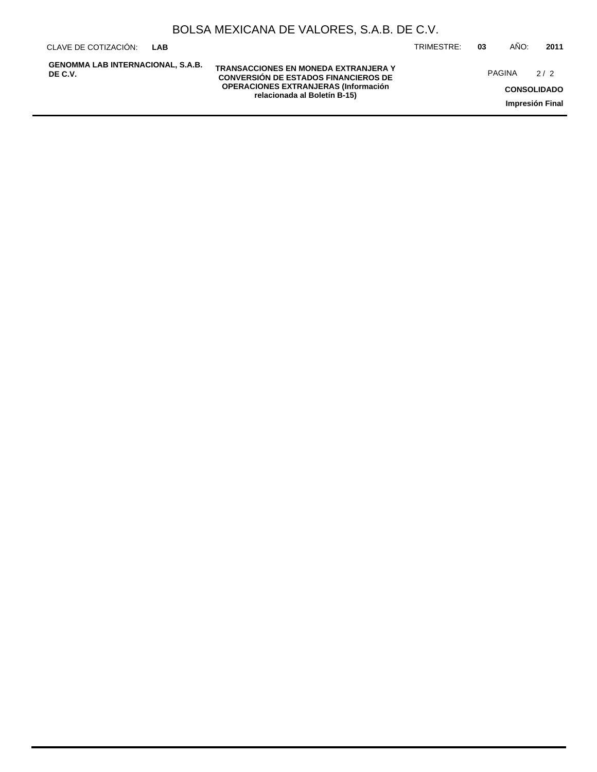**GENOMMA LAB INTERNACIONAL, S.A.B. DE C.V.**

**TRANSACCIONES EN MONEDA EXTRANJERA Y CONVERSIÓN DE ESTADOS FINANCIEROS DE OPERACIONES EXTRANJERAS (Información relacionada al Boletín B-15)**

CLAVE DE COTIZACIÓN: TRIMESTRE: **03** AÑO: **2011**

PAGINA 2/2

**CONSOLIDADO Impresión Final**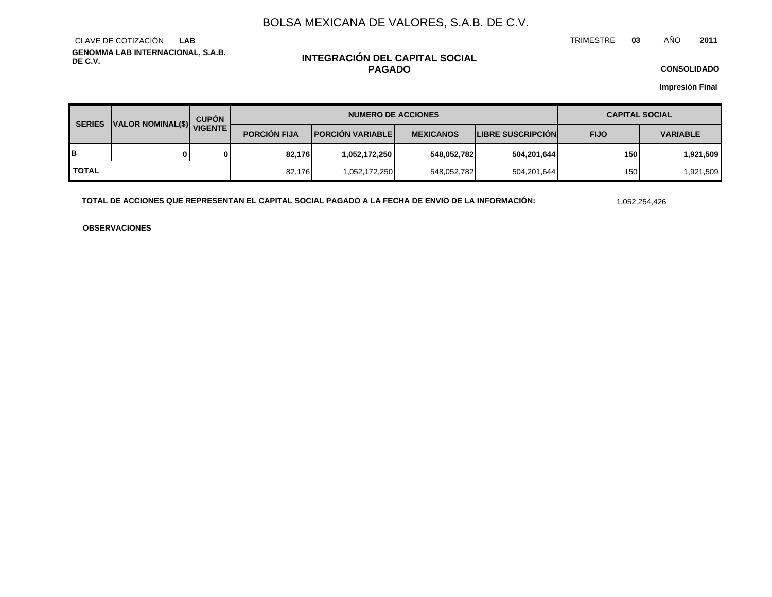TRIMESTRE **03** AÑO **2011**

**GENOMMA LAB INTERNACIONAL, S.A.B. DE C.V.** CLAVE DE COTIZACIÓN **LAB**

### **INTEGRACIÓN DEL CAPITAL SOCIAL PAGADO**

**CONSOLIDADO**

**Impresión Final**

| <b>SERIES</b>             | <b>CUPÓN</b> |  | <b>NUMERO DE ACCIONES</b> | <b>CAPITAL SOCIAL</b>   |                  |                          |                  |                 |
|---------------------------|--------------|--|---------------------------|-------------------------|------------------|--------------------------|------------------|-----------------|
| VALOR NOMINAL(\$) VIGENTE |              |  | <b>PORCION FIJA</b>       | <b>PORCIÓN VARIABLE</b> | <b>MEXICANOS</b> | <b>LIBRE SUSCRIPCION</b> | <b>FIJO</b>      | <b>VARIABLE</b> |
| в                         |              |  | 82.176                    | ا 052,172,250.          | 548,052,782      | 504,201,644              | 150 l            | 1,921,509       |
| <b>TOTAL</b>              |              |  | 82,176                    | 1,052,172,250           | 548,052,782      | 504,201,644              | 150 <sup>1</sup> | 1,921,509       |

**TOTAL DE ACCIONES QUE REPRESENTAN EL CAPITAL SOCIAL PAGADO A LA FECHA DE ENVIO DE LA INFORMACIÓN:** 1,052,254,426

**OBSERVACIONES**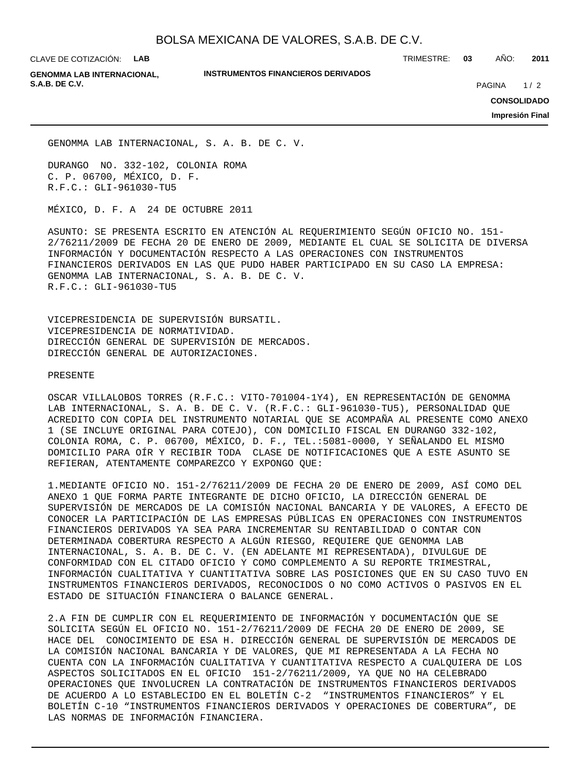CLAVE DE COTIZACIÓN: **LAB**

TRIMESTRE: **03** AÑO: **2011**

**GENOMMA LAB INTERNACIONAL, S.A.B. DE C.V. PAGINA 2020 20:20 20:20 20:20 20:20 20:20 20:20 20:20 20:20 20:20 20:20 20:20 20:20 20:20 20:20 20:20 20:20 20:20 20:20 20:20 20:20 20:20 20:20 20:20 20:20 20:20 20:20 20:20 20:20 20:20 20:20 20:20 20:20** 

#### **INSTRUMENTOS FINANCIEROS DERIVADOS**

 $1/2$ 

**CONSOLIDADO**

**Impresión Final**

GENOMMA LAB INTERNACIONAL, S. A. B. DE C. V.

DURANGO NO. 332-102, COLONIA ROMA C. P. 06700, MÉXICO, D. F. R.F.C.: GLI-961030-TU5

MÉXICO, D. F. A 24 DE OCTUBRE 2011

ASUNTO: SE PRESENTA ESCRITO EN ATENCIÓN AL REQUERIMIENTO SEGÚN OFICIO NO. 151- 2/76211/2009 DE FECHA 20 DE ENERO DE 2009, MEDIANTE EL CUAL SE SOLICITA DE DIVERSA INFORMACIÓN Y DOCUMENTACIÓN RESPECTO A LAS OPERACIONES CON INSTRUMENTOS FINANCIEROS DERIVADOS EN LAS QUE PUDO HABER PARTICIPADO EN SU CASO LA EMPRESA: GENOMMA LAB INTERNACIONAL, S. A. B. DE C. V. R.F.C.: GLI-961030-TU5

VICEPRESIDENCIA DE SUPERVISIÓN BURSATIL. VICEPRESIDENCIA DE NORMATIVIDAD. DIRECCIÓN GENERAL DE SUPERVISIÓN DE MERCADOS. DIRECCIÓN GENERAL DE AUTORIZACIONES.

PRESENTE

OSCAR VILLALOBOS TORRES (R.F.C.: VITO-701004-1Y4), EN REPRESENTACIÓN DE GENOMMA LAB INTERNACIONAL, S. A. B. DE C. V. (R.F.C.: GLI-961030-TU5), PERSONALIDAD QUE ACREDITO CON COPIA DEL INSTRUMENTO NOTARIAL QUE SE ACOMPAÑA AL PRESENTE COMO ANEXO 1 (SE INCLUYE ORIGINAL PARA COTEJO), CON DOMICILIO FISCAL EN DURANGO 332-102, COLONIA ROMA, C. P. 06700, MÉXICO, D. F., TEL.:5081-0000, Y SEÑALANDO EL MISMO DOMICILIO PARA OÍR Y RECIBIR TODA CLASE DE NOTIFICACIONES QUE A ESTE ASUNTO SE REFIERAN, ATENTAMENTE COMPAREZCO Y EXPONGO QUE:

1. MEDIANTE OFICIO NO. 151-2/76211/2009 DE FECHA 20 DE ENERO DE 2009, ASÍ COMO DEL ANEXO 1 QUE FORMA PARTE INTEGRANTE DE DICHO OFICIO, LA DIRECCIÓN GENERAL DE SUPERVISIÓN DE MERCADOS DE LA COMISIÓN NACIONAL BANCARIA Y DE VALORES, A EFECTO DE CONOCER LA PARTICIPACIÓN DE LAS EMPRESAS PÚBLICAS EN OPERACIONES CON INSTRUMENTOS FINANCIEROS DERIVADOS YA SEA PARA INCREMENTAR SU RENTABILIDAD O CONTAR CON DETERMINADA COBERTURA RESPECTO A ALGÚN RIESGO, REQUIERE QUE GENOMMA LAB INTERNACIONAL, S. A. B. DE C. V. (EN ADELANTE MI REPRESENTADA), DIVULGUE DE CONFORMIDAD CON EL CITADO OFICIO Y COMO COMPLEMENTO A SU REPORTE TRIMESTRAL, INFORMACIÓN CUALITATIVA Y CUANTITATIVA SOBRE LAS POSICIONES QUE EN SU CASO TUVO EN INSTRUMENTOS FINANCIEROS DERIVADOS, RECONOCIDOS O NO COMO ACTIVOS O PASIVOS EN EL ESTADO DE SITUACIÓN FINANCIERA O BALANCE GENERAL.

2. A FIN DE CUMPLIR CON EL REQUERIMIENTO DE INFORMACIÓN Y DOCUMENTACIÓN QUE SE SOLICITA SEGÚN EL OFICIO NO. 151-2/76211/2009 DE FECHA 20 DE ENERO DE 2009, SE HACE DEL CONOCIMIENTO DE ESA H. DIRECCIÓN GENERAL DE SUPERVISIÓN DE MERCADOS DE LA COMISIÓN NACIONAL BANCARIA Y DE VALORES, QUE MI REPRESENTADA A LA FECHA NO CUENTA CON LA INFORMACIÓN CUALITATIVA Y CUANTITATIVA RESPECTO A CUALQUIERA DE LOS ASPECTOS SOLICITADOS EN EL OFICIO 151-2/76211/2009, YA QUE NO HA CELEBRADO OPERACIONES QUE INVOLUCREN LA CONTRATACIÓN DE INSTRUMENTOS FINANCIEROS DERIVADOS DE ACUERDO A LO ESTABLECIDO EN EL BOLETÍN C-2 "INSTRUMENTOS FINANCIEROS" Y EL BOLETÍN C-10 "INSTRUMENTOS FINANCIEROS DERIVADOS Y OPERACIONES DE COBERTURA", DE LAS NORMAS DE INFORMACIÓN FINANCIERA.